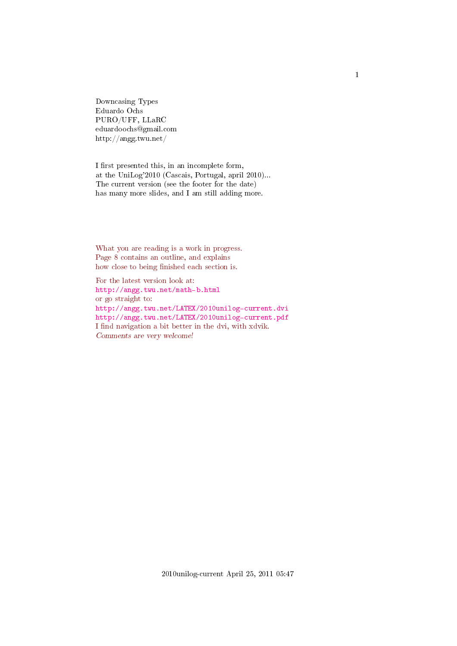<span id="page-0-0"></span>Downcasing Types Eduardo Ochs PURO/UFF, LLaRC eduardoochs@gmail.com http://angg.twu.net/

I first presented this, in an incomplete form, at the UniLog'2010 (Cascais, Portugal, april 2010)... The current version (see the footer for the date) has many more slides, and I am still adding more.

What you are reading is a work in progress. Page 8 contains an outline, and explains how close to being finished each section is.

For the latest version look at: <http://angg.twu.net/math-b.html> or go straight to: <http://angg.twu.net/LATEX/2010unilog-current.dvi> <http://angg.twu.net/LATEX/2010unilog-current.pdf> I find navigation a bit better in the dvi, with xdvik. Comments are very welcome!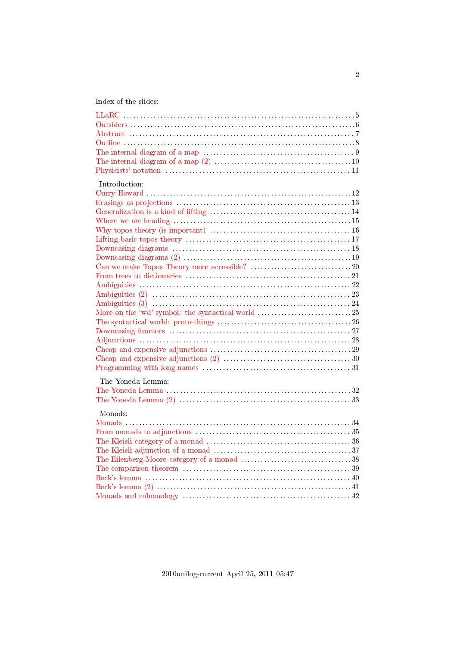Index of the slides:

<span id="page-1-30"></span><span id="page-1-29"></span><span id="page-1-28"></span><span id="page-1-27"></span><span id="page-1-26"></span><span id="page-1-25"></span><span id="page-1-24"></span><span id="page-1-23"></span><span id="page-1-22"></span><span id="page-1-21"></span><span id="page-1-20"></span><span id="page-1-19"></span><span id="page-1-18"></span><span id="page-1-17"></span><span id="page-1-16"></span><span id="page-1-15"></span><span id="page-1-14"></span><span id="page-1-13"></span><span id="page-1-12"></span><span id="page-1-11"></span><span id="page-1-10"></span><span id="page-1-9"></span><span id="page-1-8"></span><span id="page-1-7"></span><span id="page-1-6"></span><span id="page-1-5"></span><span id="page-1-4"></span><span id="page-1-3"></span><span id="page-1-2"></span><span id="page-1-1"></span><span id="page-1-0"></span>

| Introduction:                                     |
|---------------------------------------------------|
|                                                   |
|                                                   |
| More on the 'wd' symbol: the syntactical world 25 |
|                                                   |
|                                                   |
| The Yoneda Lemma:                                 |
| Monads:                                           |
|                                                   |
|                                                   |
|                                                   |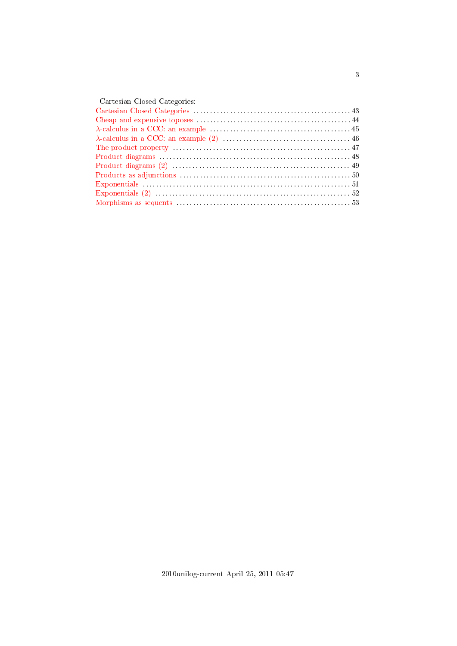| Cartesian Closed Categories: |
|------------------------------|
|                              |
|                              |
|                              |
|                              |
|                              |
|                              |
|                              |
|                              |
|                              |
|                              |
|                              |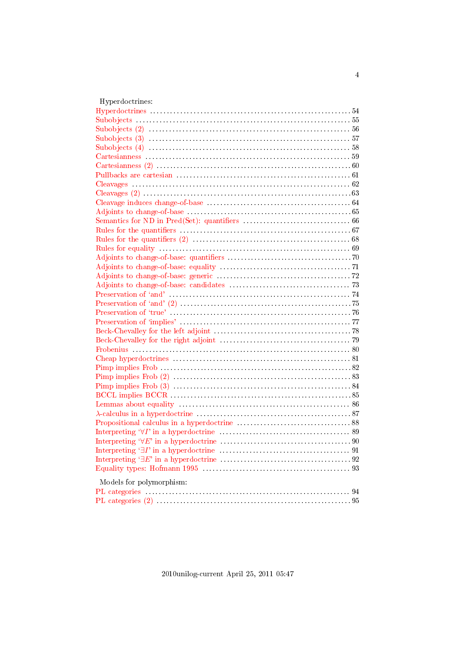| Hyperdoctrines:          |
|--------------------------|
|                          |
|                          |
|                          |
|                          |
|                          |
|                          |
|                          |
|                          |
|                          |
|                          |
|                          |
|                          |
|                          |
|                          |
|                          |
|                          |
|                          |
|                          |
|                          |
|                          |
|                          |
|                          |
|                          |
|                          |
|                          |
|                          |
|                          |
|                          |
|                          |
|                          |
|                          |
|                          |
|                          |
|                          |
|                          |
|                          |
|                          |
|                          |
|                          |
|                          |
| Models for polymorphism: |
|                          |
|                          |
|                          |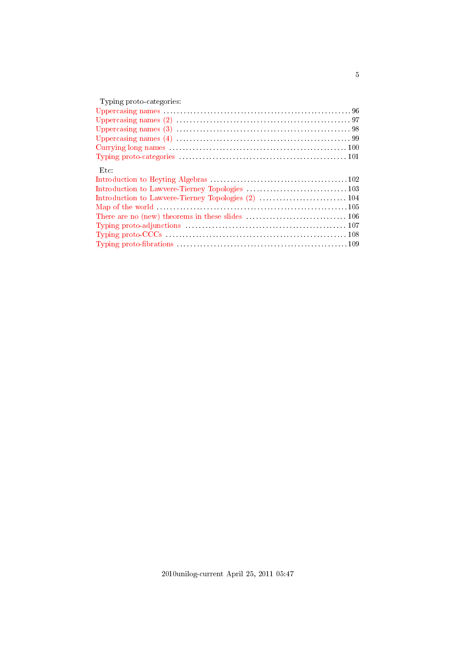| Typing proto-categories: |
|--------------------------|
|                          |
|                          |
|                          |
|                          |
|                          |
|                          |
| Etc:                     |
|                          |
|                          |
|                          |
|                          |
|                          |
|                          |
|                          |
|                          |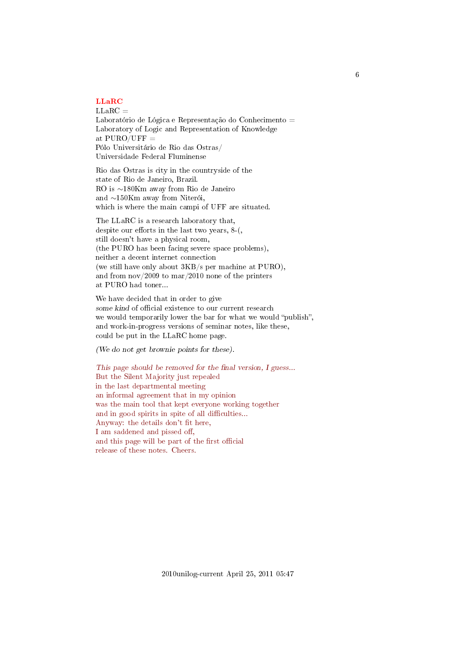# <span id="page-5-0"></span>[LLaRC](#page-1-0)

 $LLaRC =$ Laboratório de Lógica e Representação do Conhecimento = Laboratory of Logic and Representation of Knowledge at  $PURO/UFF =$ Pólo Universitário de Rio das Ostras/ Universidade Federal Fluminense

Rio das Ostras is city in the countryside of the state of Rio de Janeiro, Brazil. RO is ∼180Km away from Rio de Janeiro and ∼150Km away from Niterói, which is where the main campi of UFF are situated.

The LLaRC is a research laboratory that, despite our efforts in the last two years,  $8-($ , still doesn't have a physical room, (the PURO has been facing severe space problems), neither a decent internet connection (we still have only about 3KB/s per machine at PURO), and from nov/2009 to mar/2010 none of the printers at PURO had toner...

We have decided that in order to give some kind of official existence to our current research we would temporarily lower the bar for what we would "publish", and work-in-progress versions of seminar notes, like these, could be put in the LLaRC home page.

(We do not get brownie points for these).

This page should be removed for the final version,  $I$  guess... But the Silent Majority just repealed in the last departmental meeting an informal agreement that in my opinion was the main tool that kept everyone working together and in good spirits in spite of all difficulties... Anyway: the details don't fit here, I am saddened and pissed off, and this page will be part of the first official release of these notes. Cheers.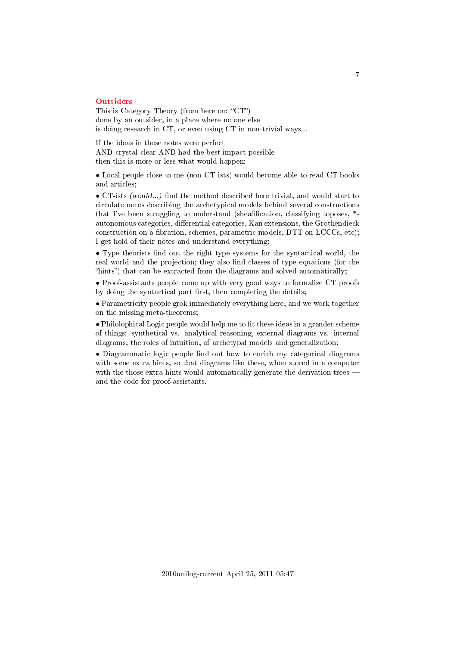### <span id="page-6-0"></span>**[Outsiders](#page-1-1)**

This is Category Theory (from here on: " $CT$ ") done by an outsider, in a place where no one else is doing research in CT, or even using CT in non-trivial ways...

If the ideas in these notes were perfect AND crystal-clear AND had the best impact possible then this is more or less what would happen:

• Local people close to me (non-CT-ists) would become able to read CT books and articles;

• CT-ists (would...) find the method described here trivial, and would start to circulate notes describing the archetypical models behind several constructions that I've been struggling to understand (sheafification, classifying toposes,  $*$ autonomous categories, differential categories, Kan extensions, the Grothendieck construction on a fibration, schemes, parametric models,  $DTT$  on  $LCCCs$ , etc); I get hold of their notes and understand everything;

• Type theorists find out the right type systems for the syntactical world, the real world and the projection; they also find classes of type equations (for the "hints") that can be extracted from the diagrams and solved automatically;

• Proof-assistants people come up with very good ways to formalize CT proofs by doing the syntactical part first, then completing the details;

• Parametricity people grok immediately everything here, and we work together on the missing meta-theorems;

 $\bullet$  Philolophical Logic people would help me to fit these ideas in a grander scheme of things: synthetical vs. analytical reasoning, external diagrams vs. internal diagrams, the roles of intuition, of archetypal models and generalization;

• Diagrammatic logic people find out how to enrich my categorical diagrams with some extra hints, so that diagrams like these, when stored in a computer with the those extra hints would automatically generate the derivation trees and the code for proof-assistants.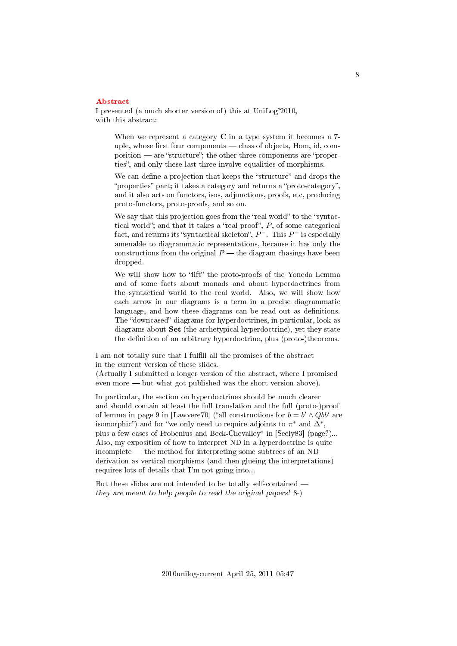### <span id="page-7-0"></span>[Abstract](#page-1-2)

I presented (a much shorter version of) this at UniLog'2010, with this abstract:

When we represent a category  $C$  in a type system it becomes a  $7$ uple, whose first four components  $-\text{class of objects}, \text{Hom}, \text{id}, \text{com-}$ position — are "structure"; the other three components are "properties", and only these last three involve equalities of morphisms.

We can define a projection that keeps the "structure" and drops the "properties" part; it takes a category and returns a "proto-category", and it also acts on functors, isos, adjunctions, proofs, etc, producing proto-functors, proto-proofs, and so on.

We say that this projection goes from the "real world" to the "syntactical world"; and that it takes a "real proof",  $P$ , of some categorical fact, and returns its "syntactical skeleton",  $P^-$ . This  $P^-$  is especially amenable to diagrammatic representations, because it has only the constructions from the original  $P$  — the diagram chasings have been dropped.

We will show how to "lift" the proto-proofs of the Yoneda Lemma and of some facts about monads and about hyperdoctrines from the syntactical world to the real world. Also, we will show how each arrow in our diagrams is a term in a precise diagrammatic language, and how these diagrams can be read out as definitions. The "downcased" diagrams for hyperdoctrines, in particular, look as diagrams about Set (the archetypical hyperdoctrine), yet they state the definition of an arbitrary hyperdoctrine, plus (proto-)theorems.

I am not totally sure that I fulll all the promises of the abstract in the current version of these slides.

(Actually I submitted a longer version of the abstract, where I promised even more  $\equiv$  but what got published was the short version above).

In particular, the section on hyperdoctrines should be much clearer and should contain at least the full translation and the full (proto-)proof of lemma in page 9 in [Lawvere70] ("all constructions for  $b = b' \wedge Qbb'$  are isomorphic") and for "we only need to require adjoints to  $\pi^*$  and  $\Delta^*$ , plus a few cases of Frobenius and Beck-Chevalley" in [Seely83] (page?)... Also, my exposition of how to interpret ND in a hyperdoctrine is quite  $incomplete$   $-$  the method for interpreting some subtrees of an ND derivation as vertical morphisms (and then glueing the interpretations) requires lots of details that I'm not going into...

But these slides are not intended to be totally self-contained they are meant to help people to read the original papers! 8-)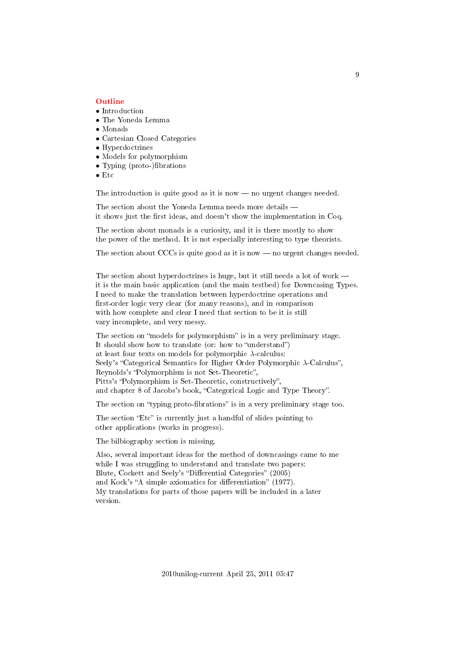### <span id="page-8-0"></span>[Outline](#page-1-3)

- Introduction
- The Yoneda Lemma
- Monads
- Cartesian Closed Categories
- Hyperdoctrines
- Models for polymorphism
- Typing (proto-)fibrations
- Etc

The introduction is quite good as it is now  $-$  no urgent changes needed.

The section about the Yoneda Lemma needs more details it shows just the first ideas, and doesn't show the implementation in Coq.

The section about monads is a curiosity, and it is there mostly to show the power of the method. It is not especially interesting to type theorists.

The section about CCCs is quite good as it is now  $-$  no urgent changes needed.

The section about hyperdoctrines is huge, but it still needs a lot of work – it is the main basic application (and the main testbed) for Downcasing Types. I need to make the translation between hyperdoctrine operations and first-order logic very clear (for many reasons), and in comparison with how complete and clear I need that section to be it is still vary incomplete, and very messy.

The section on "models for polymorphism" is in a very preliminary stage. It should show how to translate (or: how to "understand") at least four texts on models for polymorphic  $\lambda$ -calculus: Seely's "Categorical Semantics for Higher Order Polymorphic  $\lambda$ -Calculus", Reynolds's "Polymorphism is not Set-Theoretic", Pitts's "Polymorphism is Set-Theoretic, constructively", and chapter 8 of Jacobs's book, "Categorical Logic and Type Theory".

The section on "typing proto-fibrations" is in a very preliminary stage too.

The section "Etc" is currently just a handful of slides pointing to other applications (works in progress).

The bilbiography section is missing.

Also, several important ideas for the method of downcasings came to me while I was struggling to understand and translate two papers: Blute, Cockett and Seely's "Differential Categories" (2005) and Kock's "A simple axiomatics for differentiation" (1977). My translations for parts of those papers will be included in a later version.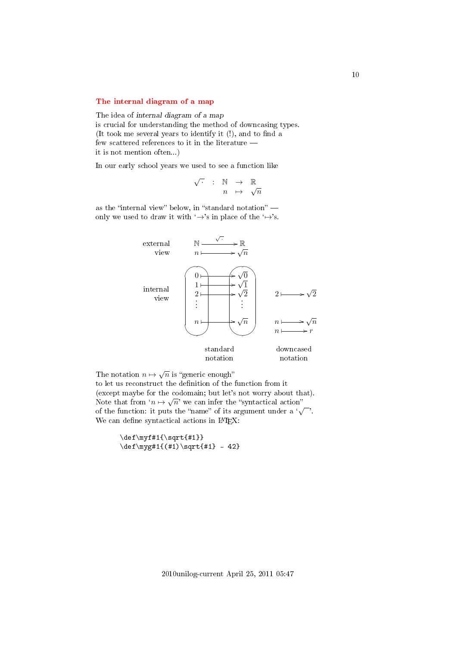## <span id="page-9-0"></span>[The internal diagram of a map](#page-1-4)

The idea of internal diagram of a map is crucial for understanding the method of downcasing types. (It took me several years to identify it  $(!)$ , and to find a few scattered references to it in the literature  $$ it is not mention often...)

In our early school years we used to see a function like

$$
\begin{array}{rcl}\n\sqrt{\cdot} & : & \mathbb{N} & \rightarrow & \mathbb{R} \\
n & \mapsto & \sqrt{n}\n\end{array}
$$

as the "internal view" below, in "standard notation"  $$ only we used to draw it with  $\rightarrow$ 's in place of the  $\rightarrow$ 's.



The notation  $n \mapsto \sqrt{n}$  is "generic enough"

to let us reconstruct the definition of the function from it (except maybe for the codomain; but let's not worry about that). √ Note that from  $n \mapsto \sqrt{n}$  we can infer the "syntactical action" Note that from  $n \mapsto \sqrt{n}$  we can find the syntactical action<br>of the function: it puts the "name" of its argument under a ' $\sqrt{\ }$ . We can define syntactical actions in IATEX:

> \def\myf#1{\sqrt{#1}}  $\def\nyg#1({#1})\sqrt{#1} - 42}$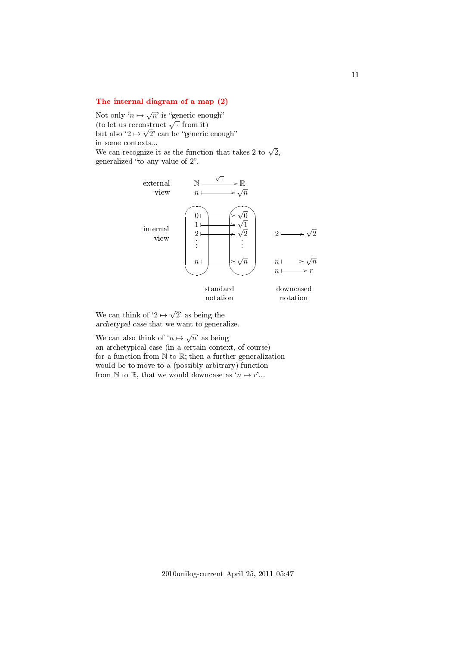## <span id="page-10-0"></span>[The internal diagram of a map \(2\)](#page-1-5)

Not only  $\lq n \mapsto \sqrt{n}$ ' is "generic enough" Not omy  $n \mapsto \sqrt{n}$  is generic end<br>(to let us reconstruct  $\sqrt{\cdot}$  from it) but also  $'2 \mapsto \sqrt{2}'$  can be "generic enough" in some contexts... in some contexts...<br>We can recognize it as the function that takes 2 to  $\sqrt{2},$ generalized "to any value of 2".



We can think of  $'2 \mapsto$ 2' as being the archetypal case that we want to generalize.

We can also think of  $n \mapsto \sqrt{n}$  as being an archetypical case (in a certain context, of course) for a function from  $\mathbb N$  to  $\mathbb R$ ; then a further generalization would be to move to a (possibly arbitrary) function from N to R, that we would downcase as  $n \mapsto r'$ ...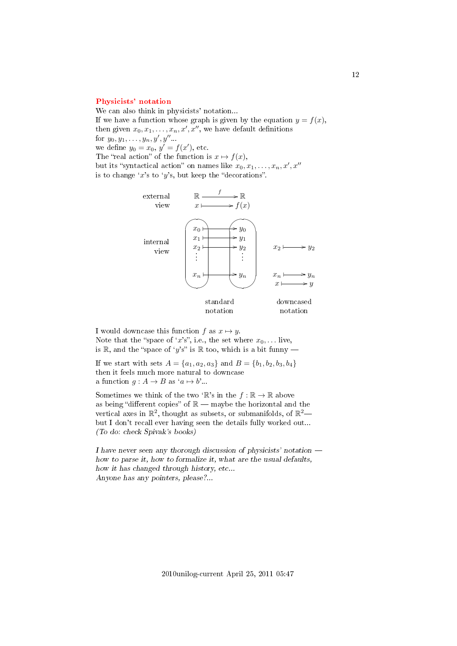### <span id="page-11-0"></span>[Physicists' notation](#page-1-6)

We can also think in physicists' notation... If we have a function whose graph is given by the equation  $y = f(x)$ , then given  $x_0, x_1, \ldots, x_n, x', x''$ , we have default definitions for  $y_0, y_1, \ldots, y_n, y', y''$ ... we define  $y_0 = x_0, y' = f(x')$ , etc. The "real action" of the function is  $x \mapsto f(x)$ , but its "syntactical action" on names like  $x_0, x_1, \ldots, x_n, x', x''$ is to change 'x's to 'y's, but keep the "decorations".



I would downcase this function f as  $x \mapsto y$ . Note that the "space of 'x's", i.e., the set where  $x_0, \ldots$  live, is R, and the "space of 'y's" is R too, which is a bit funny —

If we start with sets  $A = \{a_1, a_2, a_3\}$  and  $B = \{b_1, b_2, b_3, b_4\}$ then it feels much more natural to downcase a function  $g : A \to B$  as  $a \mapsto b'$ ...

Sometimes we think of the two 'R's in the  $f : \mathbb{R} \to \mathbb{R}$  above as being "different copies" of  $\mathbb{R}$  - maybe the horizontal and the vertical axes in  $\mathbb{R}^2$ , thought as subsets, or submanifolds, of  $\mathbb{R}^2$ but I don't recall ever having seen the details fully worked out... (To do: check Spivak's books)

I have never seen any thorough discussion of physicists' notation  $$ how to parse it, how to formalize it, what are the usual defaults, how it has changed through history, etc... Anyone has any pointers, please?...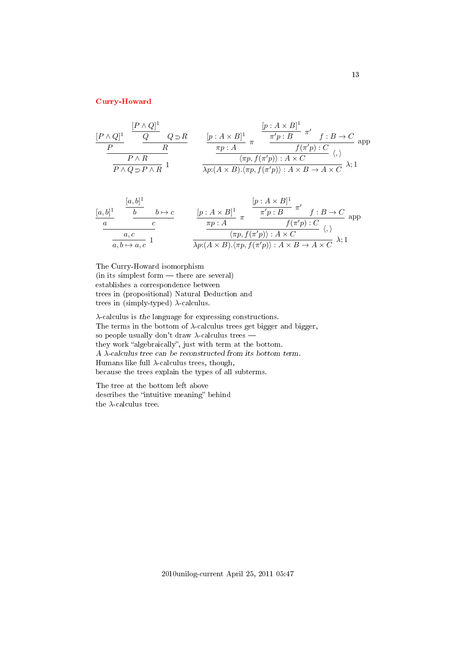## <span id="page-12-0"></span>[Curry-Howard](#page-1-7)

$$
\frac{[P \wedge Q]^1}{P} \xrightarrow{\frac{[P \wedge Q]^1}{R}} \frac{Q \supset R}{R} \qquad \frac{[p: A \times B]^1}{\pi p: A} \pi \xrightarrow{\frac{\pi' p: B}{\pi' p: B} \pi'} f: B \to C \text{ and}
$$
\n
$$
\frac{P \wedge R}{P \wedge Q \supset P \wedge R} \frac{1}{\sqrt{p: A \times B} \cdot \langle \pi p, f(\pi' p \rangle) : A \times C} \langle \varphi \rangle
$$

$$
\frac{[a,b]^1}{a} \quad \frac{[b \rightarrow b \rightarrow c]}{c} \quad \frac{[p:A \times B]^1}{\pi p:A} \pi \quad \frac{\pi' p:B}{f(\pi' p):C} \quad \text{app}
$$
\n
$$
\frac{a,c}{a,b \mapsto a,c} \quad 1 \quad \frac{\pi p:A}{\lambda p:(A \times B).\langle \pi p, f(\pi' p) \rangle : A \times C} \quad \langle, \rangle
$$

The Curry-Howard isomorphism (in its simplest form — there are several) establishes a correspondence between trees in (propositional) Natural Deduction and trees in (simply-typed)  $\lambda$ -calculus.

λ-calculus is the language for expressing constructions. The terms in the bottom of  $\lambda$ -calculus trees get bigger and bigger, so people usually don't draw  $\lambda$ -calculus trees they work "algebraically", just with term at the bottom. A  $\lambda\text{-}calculus$  tree can be reconstructed from its bottom term. Humans like full  $\lambda$ -calculus trees, though, because the trees explain the types of all subterms.

The tree at the bottom left above describes the "intuitive meaning" behind the  $\lambda\text{-calculus tree.}$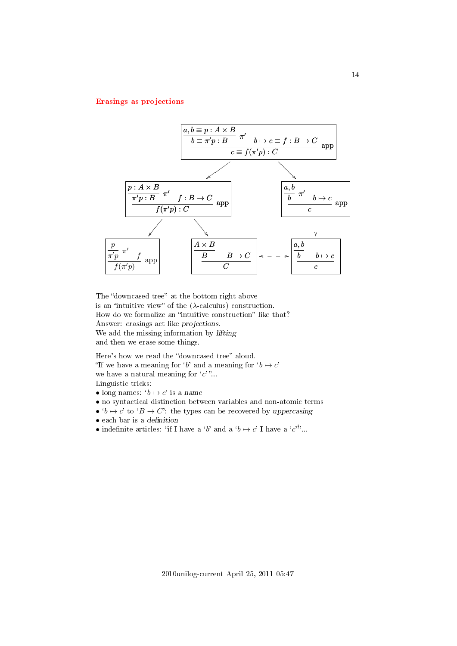## <span id="page-13-0"></span>[Erasings as projections](#page-1-8)



The "downcased tree" at the bottom right above is an "intuitive view" of the  $(\lambda$ -calculus) construction. How do we formalize an "intuitive construction" like that? Answer: erasings act like projections. We add the missing information by lifting and then we erase some things.

Here's how we read the "downcased tree" aloud. "If we have a meaning for 'b' and a meaning for  $b \mapsto c'$ we have a natural meaning for  $c$ <sup>"</sup>... Linguistic tricks:

- long names:  $b \mapsto c'$  is a name
- no syntactical distinction between variables and non-atomic terms
- $b \mapsto c'$  to  $B \to C'$ : the types can be recovered by uppercasing
- $\bullet$  each bar is a definition
- indefinite articles: "if I have a 'b' and a ' $b \mapsto c'$  I have a 'c'...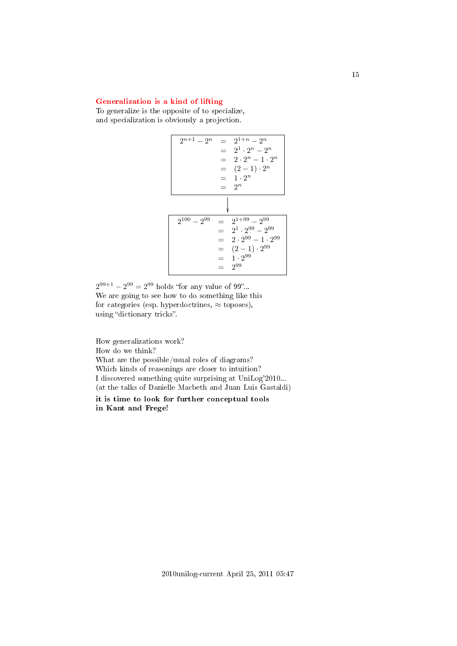## <span id="page-14-0"></span>[Generalization is a kind of lifting](#page-1-9)

To generalize is the opposite of to specialize, and specialization is obviously a projection.



 $2^{99+1} - 2^{99} = 2^{99}$  holds "for any value of 99"... We are going to see how to do something like this for categories (esp. hyperdoctrines,  $\approx$  toposes), using "dictionary tricks".

How generalizations work? How do we think? What are the possible/usual roles of diagrams? Which kinds of reasonings are closer to intuition? I discovered something quite surprising at UniLog'2010... (at the talks of Danielle Macbeth and Juan Luis Gastaldi) it is time to look for further conceptual tools

in Kant and Frege!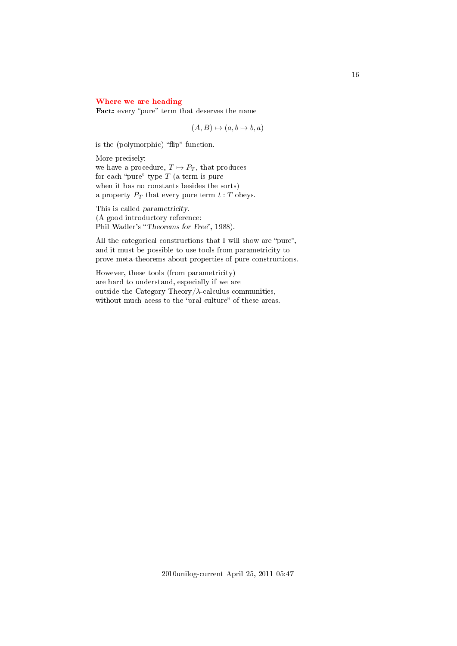## <span id="page-15-0"></span>[Where we are heading](#page-1-10)

Fact: every "pure" term that deserves the name

 $(A, B) \mapsto (a, b \mapsto b, a)$ 

is the (polymorphic) "flip" function.

More precisely: we have a procedure,  $T \mapsto P_T$ , that produces for each "pure" type  $T$  (a term is pure when it has no constants besides the sorts) a property  $P_T$  that every pure term  $t : T$  obeys.

This is called parametricity. (A good introductory reference: Phil Wadler's "Theorems for Free", 1988).

All the categorical constructions that I will show are "pure", and it must be possible to use tools from parametricity to prove meta-theorems about properties of pure constructions.

However, these tools (from parametricity) are hard to understand, especially if we are outside the Category Theory/ $\lambda$ -calculus communities, without much acess to the "oral culture" of these areas.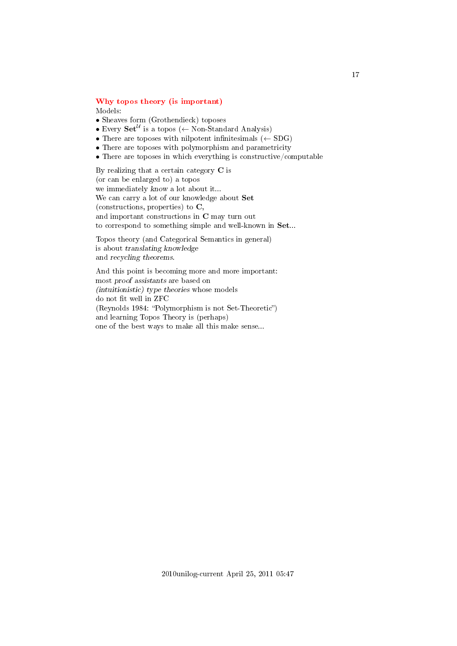### <span id="page-16-0"></span>[Why topos theory \(is important\)](#page-1-11) Models:

- Sheaves form (Grothendieck) toposes
- Every  $\mathbf{Set}^{\mathcal{U}}$  is a topos ( $\leftarrow$  Non-Standard Analysis)
- There are toposes with nilpotent infinitesimals  $(\leftarrow SDG)$
- There are toposes with polymorphism and parametricity
- There are toposes in which everything is constructive/computable

By realizing that a certain category C is (or can be enlarged to) a topos we immediately know a lot about it... We can carry a lot of our knowledge about Set (constructions, properties) to C, and important constructions in C may turn out to correspond to something simple and well-known in Set...

Topos theory (and Categorical Semantics in general) is about translating knowledge and recycling theorems.

And this point is becoming more and more important: most proof assistants are based on (intuitionistic) type theories whose models do not fit well in ZFC  $(Reynolds 1984: "Polymorphism is not Set-Theoretic")$ and learning Topos Theory is (perhaps) one of the best ways to make all this make sense...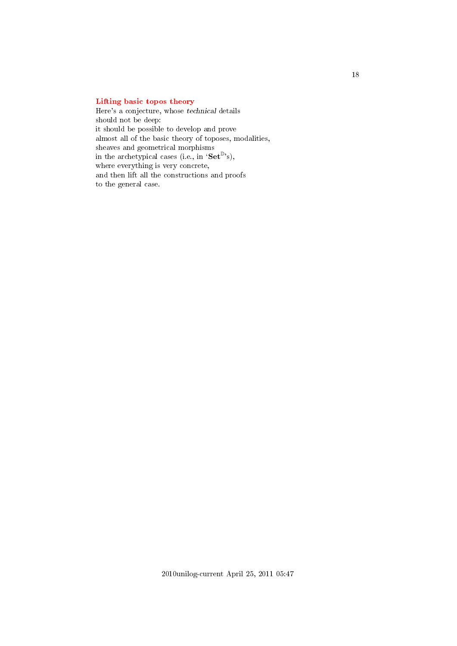## <span id="page-17-0"></span>[Lifting basic topos theory](#page-1-12)

Here's a conjecture, whose technical details should not be deep: it should be possible to develop and prove almost all of the basic theory of toposes, modalities, sheaves and geometrical morphisms in the archetypical cases (i.e., in ' $\textbf{Set}^{\mathbb{D}}$ 's), where everything is very concrete, and then lift all the constructions and proofs to the general case.

18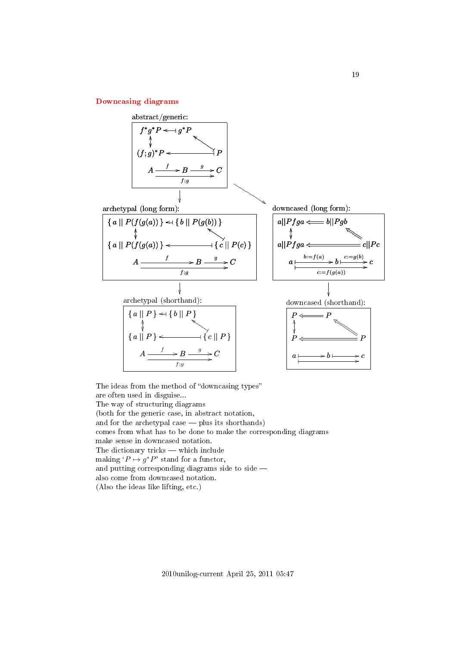## <span id="page-18-0"></span>[Downcasing diagrams](#page-1-13)



The ideas from the method of "downcasing types" are often used in disguise... The way of structuring diagrams (both for the generic case, in abstract notation, and for the archetypal case  $-$  plus its shorthands) comes from what has to be done to make the corresponding diagrams make sense in downcased notation. The dictionary tricks  $-$  which include making  $'P \mapsto g^*P'$  stand for a functor, and putting corresponding diagrams side to side  $$ also come from downcased notation. (Also the ideas like lifting, etc.)

2010unilog-current April 25, 2011 05:47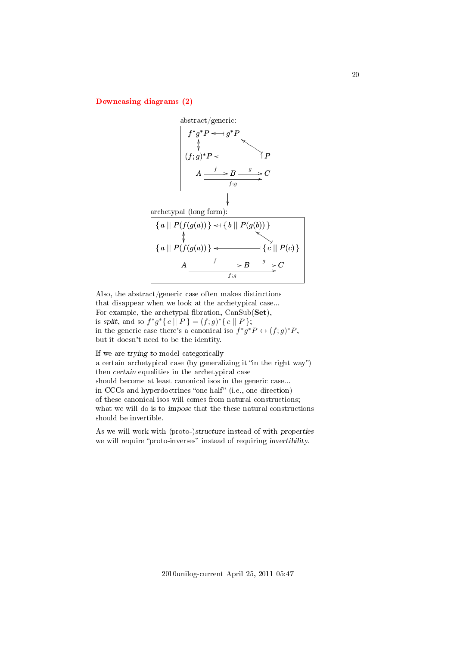<span id="page-19-0"></span>[Downcasing diagrams \(2\)](#page-1-14)



Also, the abstract/generic case often makes distinctions that disappear when we look at the archetypical case... For example, the archetypal fibration,  $CanSub(\mathbf{Set}),$ is split, and so  $f^*g^*\{c \mid P\} = (f; g)^*\{c \mid P\};$ in the generic case there's a canonical iso  $f^*g^*P \leftrightarrow (f;g)^*P$ , but it doesn't need to be the identity.

If we are trying to model categorically a certain archetypical case (by generalizing it "in the right way") then certain equalities in the archetypical case should become at least canonical isos in the generic case... in CCCs and hyperdoctrines "one half" (i.e., one direction) of these canonical isos will comes from natural constructions; what we will do is to *impose* that the these natural constructions should be invertible.

As we will work with (proto-)structure instead of with properties we will require "proto-inverses" instead of requiring invertibility.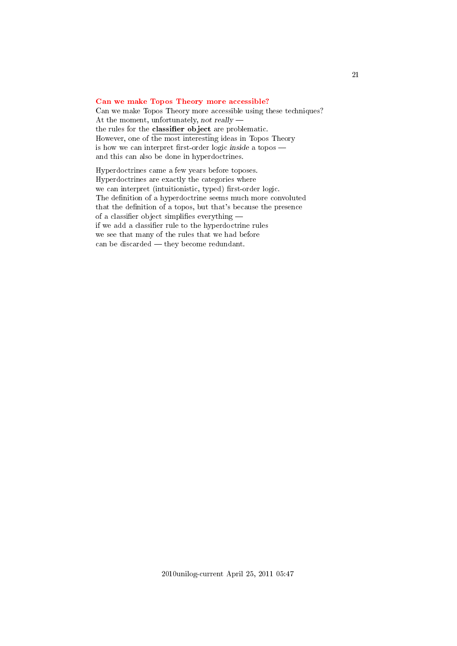## <span id="page-20-0"></span>[Can we make Topos Theory more accessible?](#page-1-15)

Can we make Topos Theory more accessible using these techniques? At the moment, unfortunately, not really the rules for the classifier object are problematic. However, one of the most interesting ideas in Topos Theory is how we can interpret first-order logic inside a topos  $$ and this can also be done in hyperdoctrines.

Hyperdoctrines came a few years before toposes. Hyperdoctrines are exactly the categories where we can interpret (intuitionistic, typed) first-order logic. The definition of a hyperdoctrine seems much more convoluted that the definition of a topos, but that's because the presence of a classifier object simplifies everything  $$ if we add a classifier rule to the hyperdoctrine rules we see that many of the rules that we had before can be discarded  $-$  they become redundant.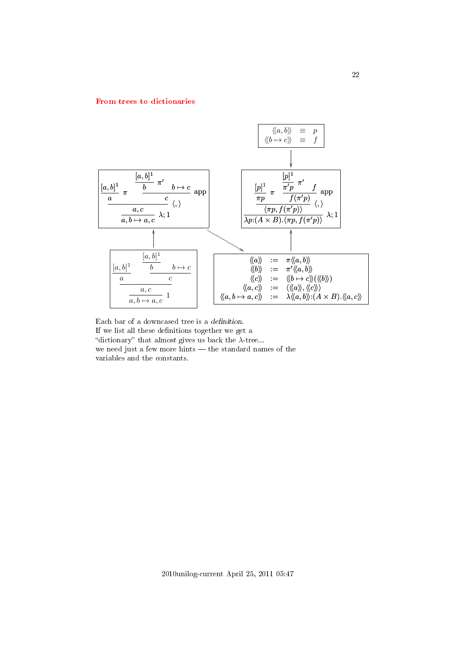### <span id="page-21-0"></span>[From trees to dictionaries](#page-1-16)



Each bar of a downcased tree is a definition. If we list all these definitions together we get a "dictionary" that almost gives us back the  $\lambda$ -tree... we need just a few more hints — the standard names of the variables and the constants.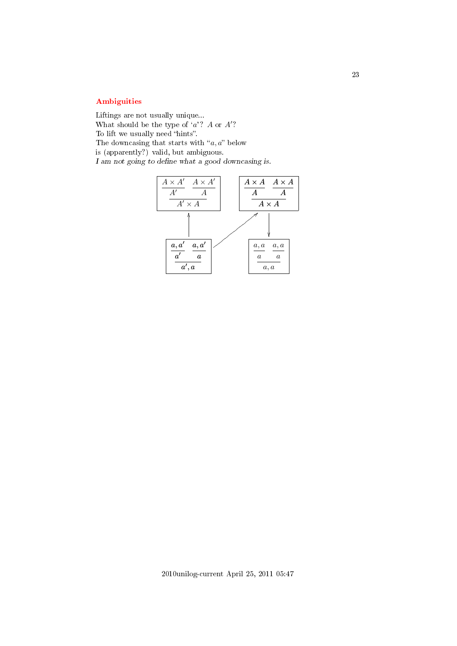# <span id="page-22-0"></span>[Ambiguities](#page-1-17)

Liftings are not usually unique... What should be the type of  $a$ ? A or  $A$ ? To lift we usually need "hints". The downcasing that starts with " $a, a$ " below is (apparently?) valid, but ambiguous.  ${\cal I}$ am not going to define what a good downcasing is.

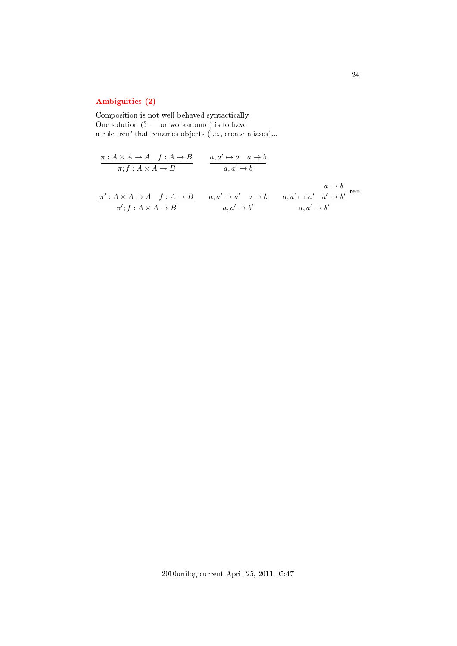# <span id="page-23-0"></span>[Ambiguities \(2\)](#page-1-18)

Composition is not well-behaved syntactically. One solution  $(? - or workaround)$  is to have a rule 'ren' that renames objects (i.e., create aliases)...

$$
\frac{\pi: A \times A \to A \quad f: A \to B}{\pi; f: A \times A \to B} \qquad \frac{a, a' \mapsto a \quad a \mapsto b}{a, a' \mapsto b}
$$
\n
$$
\frac{\pi': A \times A \to A \quad f: A \to B}{\pi'; f: A \times A \to B} \qquad \frac{a, a' \mapsto a' \quad a \mapsto b}{a, a' \mapsto b'} \qquad \frac{a, a' \mapsto a' \quad \frac{a \mapsto b}{a', a' \mapsto b'}}{a, a' \mapsto b'}
$$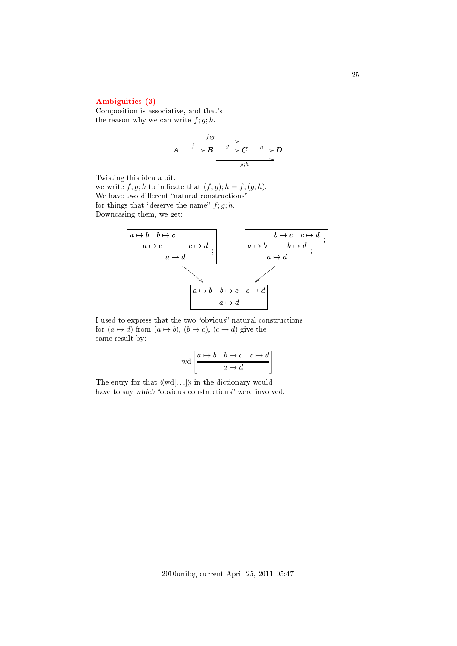## <span id="page-24-0"></span>[Ambiguities \(3\)](#page-1-19)

Composition is associative, and that's the reason why we can write  $f; g; h$ .

$$
A \xrightarrow{f:g} B \xrightarrow{g} C \xrightarrow{h} D
$$
  

$$
g; h \longrightarrow B
$$

Twisting this idea a bit:

we write  $f; g; h$  to indicate that  $(f; g); h = f; (g; h)$ . We have two different "natural constructions" for things that "deserve the name"  $f; g; h$ . Downcasing them, we get:



I used to express that the two "obvious" natural constructions for  $(a \mapsto d)$  from  $(a \mapsto b)$ ,  $(b \to c)$ ,  $(c \to d)$  give the same result by:

$$
\operatorname{wd}\left[\begin{array}{c|c} a\mapsto b & b\mapsto c & c\mapsto d\\ \hline & a\mapsto d \end{array}\right]
$$

The entry for that  $\langle \langle \text{wd}[\ldots] \rangle \rangle$  in the dictionary would have to say which "obvious constructions" were involved.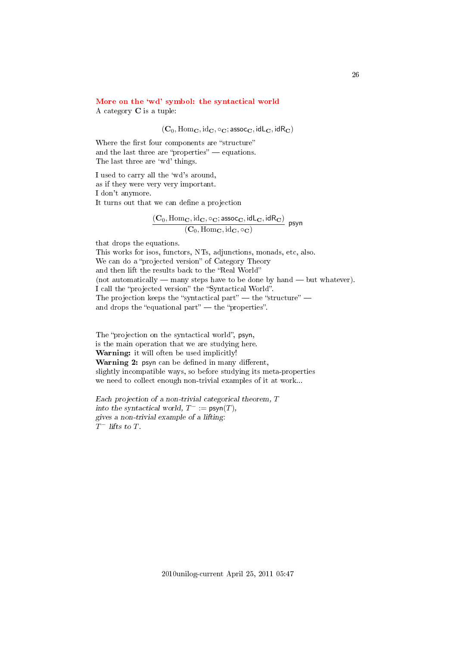## <span id="page-25-0"></span>More on the 'wd' symbol: the syntactical world

A category C is a tuple:

 $(C_0, \text{Hom}_\mathbf{C}, \text{id}_\mathbf{C}, \circ_\mathbf{C}; \text{assoc}_\mathbf{C}, \text{idL}_\mathbf{C}, \text{idR}_\mathbf{C})$ 

Where the first four components are "structure" and the last three are "properties"  $-$  equations. The last three are 'wd' things.

I used to carry all the `wd's around, as if they were very very important. I don't anymore. It turns out that we can define a projection

$$
\frac{(\mathbf{C}_0,\mathrm{Hom}_{\mathbf{C}},\mathrm{id}_{\mathbf{C}},\circ_{\mathbf{C}};\mathsf{assoc}_\mathbf{C},\mathsf{idL}_\mathbf{C},\mathsf{idR}_\mathbf{C})}{(\mathbf{C}_0,\mathrm{Hom}_{\mathbf{C}},\mathrm{id}_{\mathbf{C}},\circ_{\mathbf{C}})}\;\; \mathsf{psyn}
$$

that drops the equations.

This works for isos, functors, NTs, adjunctions, monads, etc, also. We can do a "projected version" of Category Theory and then lift the results back to the "Real World" (not automatically  $-$  many steps have to be done by hand  $-$  but whatever). I call the "projected version" the "Syntactical World". The projection keeps the "syntactical part"  $-$  the "structure"  $$ and drops the "equational part"  $\frac{d}{dt}$  the "properties".

The "projection on the syntactical world", psyn, is the main operation that we are studying here. Warning: it will often be used implicitly! Warning 2: psyn can be defined in many different, slightly incompatible ways, so before studying its meta-properties we need to collect enough non-trivial examples of it at work...

Each projection of a non-trivial categorical theorem, T into the syntactical world,  $T^- := \text{psyn}(T)$ , gives a non-trivial example of a lifting:  $T^-$  lifts to T.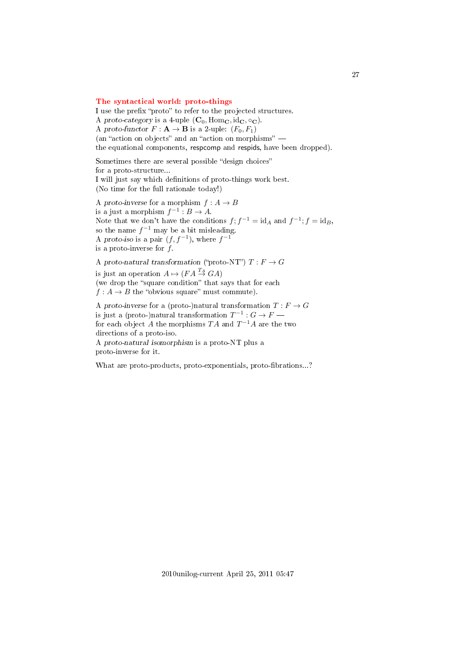### <span id="page-26-0"></span>[The syntactical world: proto-things](#page-1-21)

I use the prefix "proto" to refer to the projected structures. A proto-category is a 4-uple  $(C_0, \text{Hom}_\mathbf{C}, \text{id}_\mathbf{C}, \circ_\mathbf{C})$ . A proto-functor  $F: \mathbf{A} \to \mathbf{B}$  is a 2-uple:  $(F_0, F_1)$ (an "action on objects" and an "action on morphisms"  $$ the equational components, respcomp and respids, have been dropped).

Sometimes there are several possible "design choices" for a proto-structure... I will just say which denitions of proto-things work best. (No time for the full rationale today!)

A proto-inverse for a morphism  $f : A \to B$ is a just a morphism  $f^{-1}: B \to A$ . Note that we don't have the conditions  $f$ ;  $f^{-1} = id_A$  and  $f^{-1}$ ;  $f = id_B$ , so the name  $f^{-1}$  may be a bit misleading. A proto-iso is a pair  $(f, f^{-1})$ , where  $f^{-1}$ is a proto-inverse for  $f$ .

A proto-natural transformation ("proto-NT")  $T : F \to G$ is just an operation  $A \mapsto (FA \stackrel{T_A}{\rightarrow} GA)$ (we drop the "square condition" that says that for each  $f: A \to B$  the "obvious square" must commute). A proto-inverse for a (proto-)natural transformation  $T : F \to G$ is just a (proto-)natural transformation  $T^{-1}: G \to F$  for each object  $A$  the morphisms  $TA$  and  $T^{-1}A$  are the two directions of a proto-iso.

A proto-natural isomorphism is a proto-NT plus a proto-inverse for it.

What are proto-products, proto-exponentials, proto-fibrations...?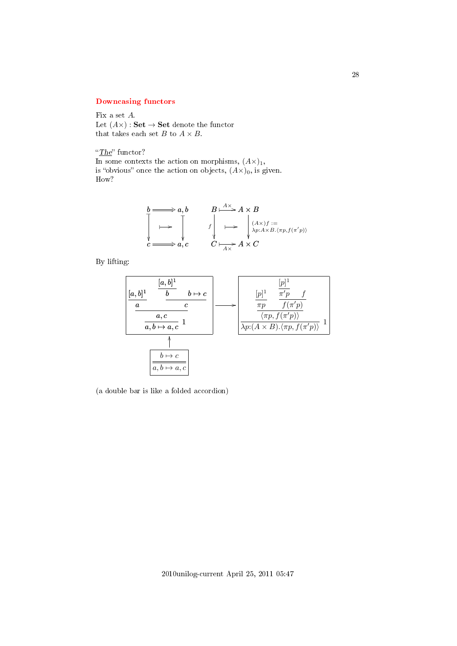## <span id="page-27-0"></span>[Downcasing functors](#page-1-22)

Fix a set A. Let  $(A\times)$ : Set  $\rightarrow$  Set denote the functor that takes each set  $B$  to  $A\times B.$ 

" $The$ " functor?

In some contexts the action on morphisms,  $(A\times)_{1}$ , is "obvious" once the action on objects,  $(A\times)_{0}$ , is given. How?

$$
b \longrightarrow a, b
$$
\n
$$
B \longrightarrow A \times B
$$
\n
$$
\downarrow \qquad \qquad f \downarrow \qquad \qquad \downarrow \qquad \downarrow \qquad \downarrow \qquad \downarrow \qquad \downarrow \qquad \downarrow \qquad \downarrow \qquad \downarrow \qquad \downarrow \qquad \downarrow \qquad \downarrow \qquad \downarrow \qquad \downarrow \qquad \downarrow \qquad \downarrow \qquad \downarrow \qquad \downarrow \qquad \downarrow \qquad \downarrow \qquad \downarrow \qquad \downarrow \qquad \downarrow \qquad \downarrow \qquad \downarrow \qquad \downarrow \qquad \downarrow \qquad \downarrow \qquad \downarrow \qquad \downarrow \qquad \downarrow \qquad \downarrow \qquad \downarrow \qquad \downarrow \qquad \downarrow \qquad \downarrow \qquad \downarrow \qquad \downarrow \qquad \downarrow \qquad \downarrow \qquad \downarrow \qquad \downarrow \qquad \downarrow \qquad \downarrow \qquad \downarrow \qquad \downarrow \qquad \downarrow \qquad \downarrow \qquad \downarrow \qquad \downarrow \qquad \downarrow \qquad \downarrow \qquad \downarrow \qquad \downarrow \qquad \downarrow \qquad \downarrow \qquad \downarrow \qquad \downarrow \qquad \downarrow \qquad \downarrow \qquad \downarrow \qquad \downarrow \qquad \downarrow \qquad \downarrow \qquad \downarrow \qquad \downarrow \qquad \downarrow \qquad \downarrow \qquad \downarrow \qquad \downarrow \qquad \downarrow \qquad \downarrow \qquad \downarrow \qquad \downarrow \qquad \downarrow \qquad \downarrow \qquad \downarrow \qquad \downarrow \qquad \downarrow \qquad \downarrow \qquad \downarrow \qquad \downarrow \qquad \downarrow \qquad \downarrow \qquad \downarrow \qquad \downarrow \qquad \downarrow \qquad \downarrow \qquad \downarrow \qquad \downarrow \qquad \downarrow \qquad \downarrow \qquad \downarrow \qquad \downarrow \qquad \downarrow \qquad \downarrow \qquad \downarrow \qquad \downarrow \qquad \downarrow \qquad \downarrow \qquad \downarrow \qquad \downarrow \qquad \downarrow \qquad \downarrow \qquad \downarrow \qquad \downarrow \qquad \downarrow \qquad \downarrow \qquad \downarrow \qquad \downarrow \qquad \downarrow \qquad \downarrow \qquad \downarrow \qquad \downarrow \qquad \downarrow \qquad \downarrow \qquad \downarrow \qquad \downarrow \qquad \downarrow \qquad
$$

By lifting:



(a double bar is like a folded accordion)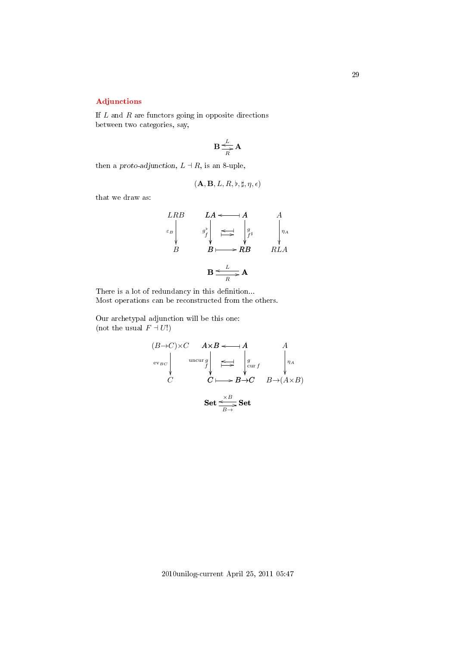# 29

# <span id="page-28-0"></span>[Adjunctions](#page-1-23)

If  $L$  and  $R$  are functors going in opposite directions between two categories, say,

$$
\mathbf{B}\frac{L}{\sum\limits_{R}^{L}\mathbf{A}}
$$

then a proto-adjunction,  $L \dashv R$ , is an 8-uple,

$$
(\mathbf{A},\mathbf{B},L,R,\flat,\sharp,\eta,\epsilon)
$$

that we draw as:

$$
\begin{array}{ccc}\nLRB & LA \leftarrow & A & A \\
\epsilon_B & g^{\flat} & \underset{B}{\iff} & g^{\flat} \\
B & B \longmapsto RB & RLA\n\end{array}
$$

There is a lot of redundancy in this definition... Most operations can be reconstructed from the others.

Our archetypal adjunction will be this one: (not the usual  $F \dashv U!$ )

$$
(B \to C) \times C \qquad A \times B \longleftarrow A \qquad A
$$
  
ev<sub>BC</sub> 
$$
\downarrow \qquad \text{uncur } g
$$
  

$$
C \qquad \qquad C \longmapsto B \to C \qquad B \to (A \times B)
$$
  

$$
\text{Set} \xrightarrow{X B} \text{Set}
$$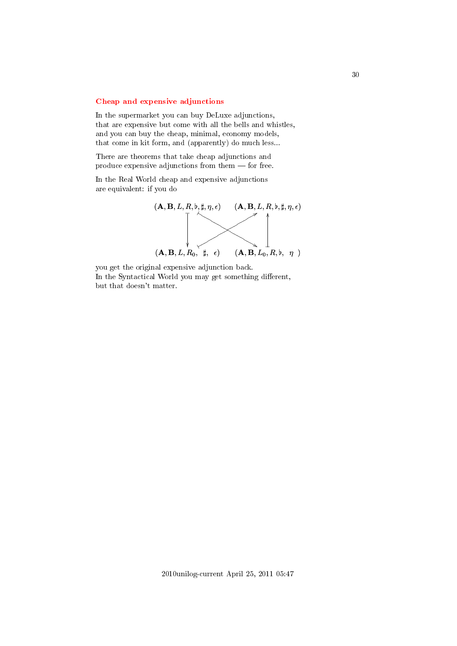## <span id="page-29-0"></span>[Cheap and expensive adjunctions](#page-1-24)

In the supermarket you can buy DeLuxe adjunctions, that are expensive but come with all the bells and whistles, and you can buy the cheap, minimal, economy models, that come in kit form, and (apparently) do much less...

There are theorems that take cheap adjunctions and produce expensive adjunctions from them  $-$  for free.

In the Real World cheap and expensive adjunctions are equivalent: if you do



you get the original expensive adjunction back. In the Syntactical World you may get something different, but that doesn't matter.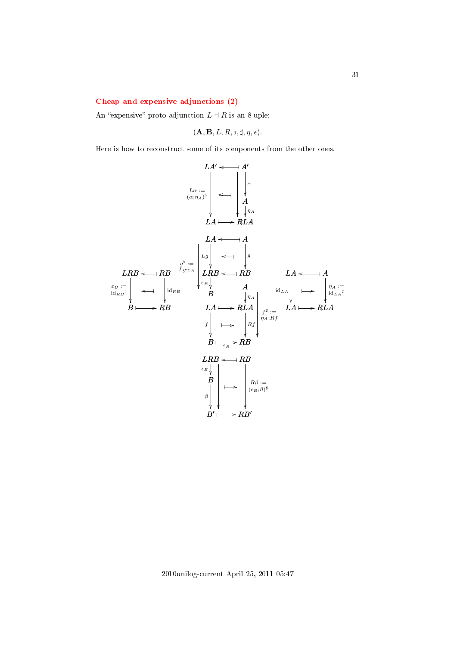### <span id="page-30-0"></span>[Cheap and expensive adjunctions \(2\)](#page-1-25)

An "expensive" proto-adjunction  $L \dashv R$  is an 8-uple:

$$
(\mathbf{A}, \mathbf{B}, L, R, \flat, \sharp, \eta, \epsilon).
$$

Here is how to reconstruct some of its components from the other ones.

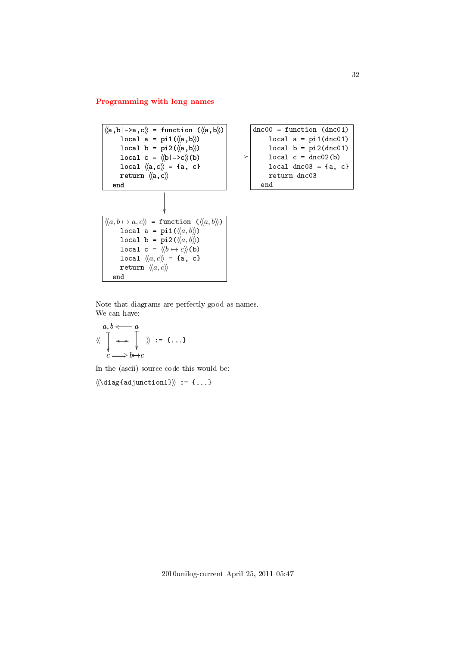# <span id="page-31-0"></span>[Programming with long names](#page-1-26)



Note that diagrams are perfectly good as names. We can have:

$$
\begin{array}{ccc}\na, b & \Longleftarrow & a \\
\langle\langle & \uparrow & \longrightarrow & \downarrow \\
c & \longrightarrow & b \rightarrow c\n\end{array}
$$
 := {\ldots}

In the (ascii) source code this would be:

 $\langle\langle\langle \text{diag}\{\text{adjunction1}\rangle\}\rangle := \{... \}$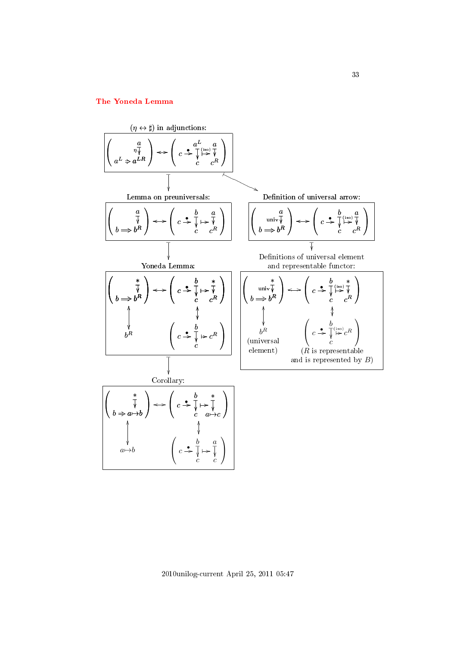# <span id="page-32-0"></span>[The Yoneda Lemma](#page-1-27)



2010unilog-current April 25, 2011 05:47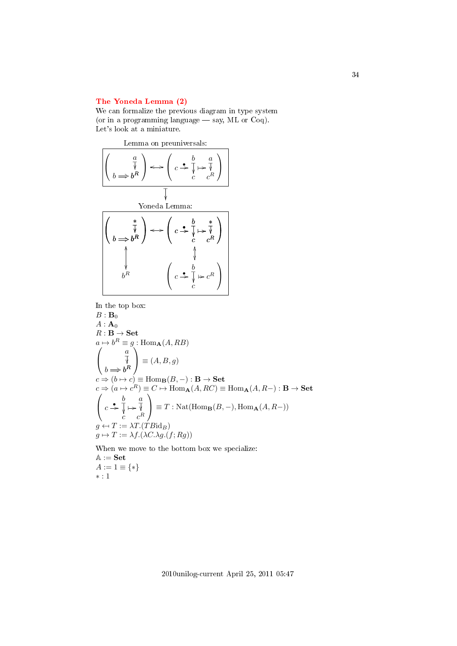## <span id="page-33-0"></span>[The Yoneda Lemma \(2\)](#page-1-28)

We can formalize the previous diagram in type system (or in a programming language  $-$  say, ML or Coq). Let's look at a miniature.



In the top box:

 $B: \mathbf{B}_0$  $A: \mathbf{A}_0$  $R: \mathbf{B} \to \mathbf{Set}$  $a \mapsto b^R \equiv g : \text{Hom}_{\mathbf{A}}(A, RB)$  $\sqrt{ }$  $\mathcal{L}$ a  $b^R$  $\overline{\mathbb{V}}$ ì  $b \Longrightarrow b$  $\setminus$  $\equiv (A, B, g)$  $c \Rightarrow (b \mapsto c) \equiv \text{Hom}_{\mathbf{B}}(B, -) : \mathbf{B} \rightarrow \mathbf{Set}$  $c \Rightarrow (a \mapsto c^R) \equiv C \mapsto \text{Hom}_{\mathbf{A}}(A, RC) \equiv \text{Hom}_{\mathbf{A}}(A, R-) : \mathbf{B} \to \mathbf{Set}$  $\sqrt{ }$  $\mathcal{L}$ b  $\frac{v}{c}$  $\overline{\mathsf{I}}$  $\frac{1}{2}$ a  $c^R$  $c \overset{\bullet}{\Rightarrow} \overline{\downarrow} \mapsto \overline{\downarrow}$  $\setminus$  $\equiv T : \operatorname{Nat}(\operatorname{Hom}_{\mathbf{B}}(B,-),\operatorname{Hom}_{\mathbf{A}}(A,R-))$  $q \leftrightarrow T := \lambda T.(\overline{T} B \mathrm{id}_B)$  $g \mapsto T := \lambda f.(\lambda C.\lambda g.(f; Rg))$ 

When we move to the bottom box we specialize:  $\mathbb{A} := \mathbf{Set}$  $A := 1 \equiv \{ * \}$ ∗ : 1

34

2010unilog-current April 25, 2011 05:47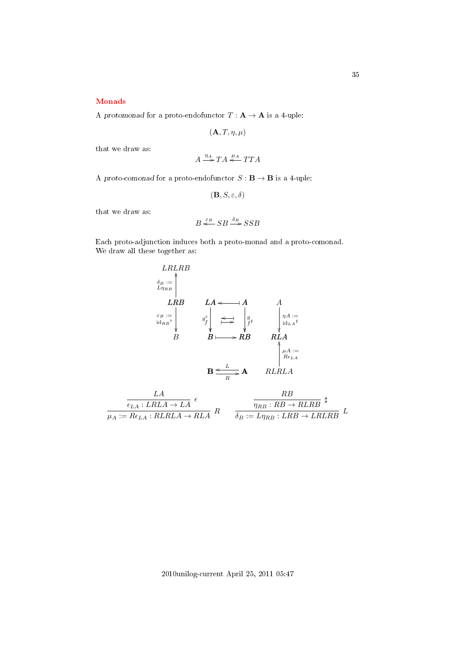## <span id="page-34-0"></span>[Monads](#page-1-29)

A protomonad for a proto-endofunctor  $T : A \rightarrow A$  is a 4-uple:

$$
(\mathbf{A},T,\eta,\mu)
$$

that we draw as:

$$
A \xrightarrow{\eta_A} TA \xleftarrow{\mu_A} TTA
$$

A proto-comonad for a proto-endofunctor  $S : \mathbf{B} \to \mathbf{B}$  is a 4-uple:

$$
(\mathbf{B},S,\varepsilon,\delta)
$$

that we draw as:

$$
B \stackrel{\varepsilon_B}{\Longleftarrow} SB \stackrel{\delta_B}{\longrightarrow} SSB
$$

Each proto-adjunction induces both a proto-monad and a proto-comonad. We draw all these together as:



| $\epsilon_{LA}: LRLA \rightarrow LA$       | $\eta_{BB}$ : $RB \rightarrow RLRB$               |
|--------------------------------------------|---------------------------------------------------|
| $\mu_A := Re_{LA} : RLRLA \rightarrow RLA$ | $\delta_B := L \eta_{RB} : LRB \rightarrow LRLRB$ |

2010unilog-current April 25, 2011 05:47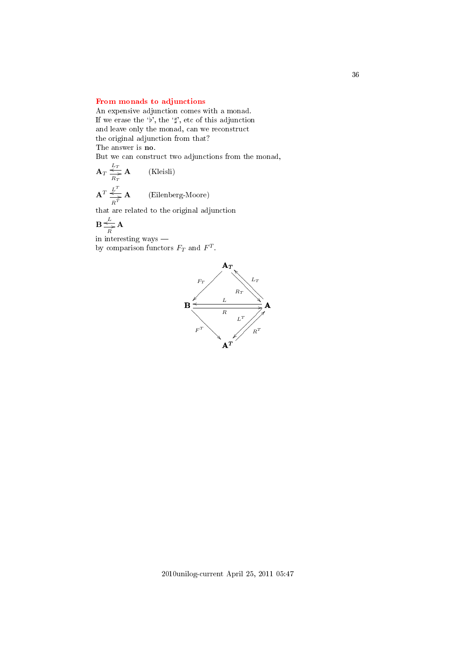## <span id="page-35-0"></span>[From monads to adjunctions](#page-1-30)

An expensive adjunction comes with a monad. If we erase the 'b', the ' $\sharp$ ', etc of this adjunction and leave only the monad, can we reconstruct the original adjunction from that? The answer is no.

But we can construct two adjunctions from the monad,

$$
\mathbf{A}_{T} \overset{L_T}{\underset{R_T}{\rightleftharpoons}} \mathbf{A}
$$
 (Kleisli)  

$$
\mathbf{A}^{T} \overset{L^T}{\underset{R^T}{\rightleftharpoons}} \mathbf{A}
$$
 (Eilenberg-Moore)

that are related to the original adjunction

$$
\mathbf{B} \underset{R}{\overset{L}{\Longleftrightarrow}} \mathbf{A}
$$

in interesting ways by comparison functors  $F_T$  and  $F^T$ .

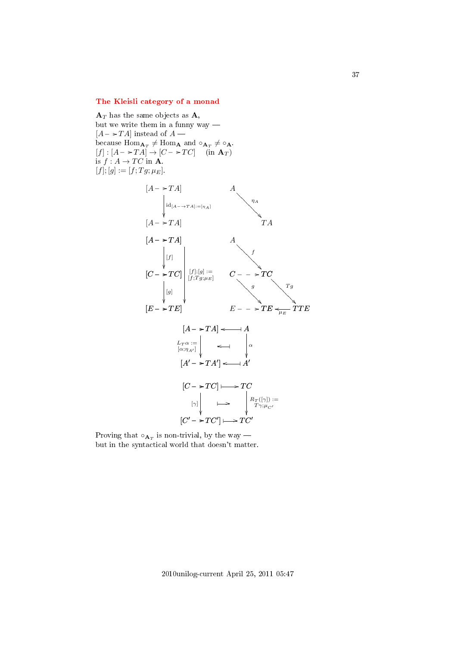### [The Kleisli category of a monad](#page-1-0)

 $\mathbf{A}_T$  has the same objects as  $\mathbf{A}$ , but we write them in a funny way  $[A - \rightarrow TA]$  instead of  $A$  because  $\text{Hom}_{\mathbf{A}_T} \neq \text{Hom}_{\mathbf{A}}$  and  $\circ_{\mathbf{A}_T} \neq \circ_{\mathbf{A}}$ .  $[f] : [A - \rightarrow T A] \rightarrow [C - \rightarrow TC]$  (in  $\mathbf{A}_T$ ) is  $f : A \to TC$  in **A**.  $[f]; [g] := [f; Tg; \mu_E].$ 



Proving that  $\circ_{\mathbf{A}_T}$  is non-trivial, by the way but in the syntactical world that doesn't matter.

37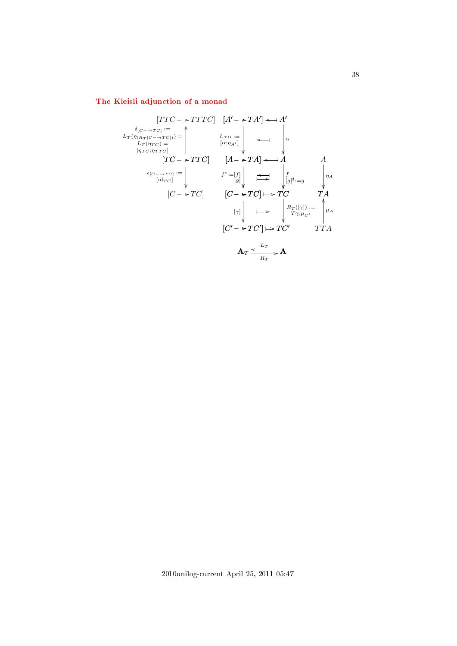# [The Kleisli adjunction of a monad](#page-1-1)

$$
[TC \rightarrow TTTC] \quad [A' \rightarrow TA'] \leftrightarrow A'
$$
\n
$$
L_{T}(\eta_{(R_{T}[C \rightarrow TC])}) = \begin{vmatrix} L_{T\alpha} := \begin{vmatrix} \lambda_{(R_{T}[C \rightarrow TC])} & \lambda_{(R_{T}[C \rightarrow TC])} \\ \lambda_{(R_{T}[C \rightarrow TC])} & \lambda_{(R_{T}[C \rightarrow TC])} \\ \lambda_{(R_{T}[C \rightarrow TC])} & \lambda_{(R_{T}[C \rightarrow TC])} \end{vmatrix} \end{vmatrix} \begin{vmatrix} \lambda_{(R_{T}[C \rightarrow TC])} & \lambda_{(R_{T}[C \rightarrow TC])} \\ \lambda_{(R_{T}[C \rightarrow TC])} & \lambda_{(R_{T}[C \rightarrow TC])} \end{vmatrix} \begin{vmatrix} \lambda_{(R_{T}[C \rightarrow TC])} & \lambda_{(R_{T}[C \rightarrow TC])} \\ \lambda_{(R_{T}[C \rightarrow TC])} & \lambda_{(R_{T}[C \rightarrow TC])} \\ \lambda_{(R_{T}[C \rightarrow TC])} & \lambda_{(R_{T}[C \rightarrow TC])} \end{vmatrix} \end{vmatrix}
$$
\n
$$
[C' \rightarrow TC'] \rightarrow TC'
$$
\n
$$
A_{T} \xrightarrow{L_{T}} A
$$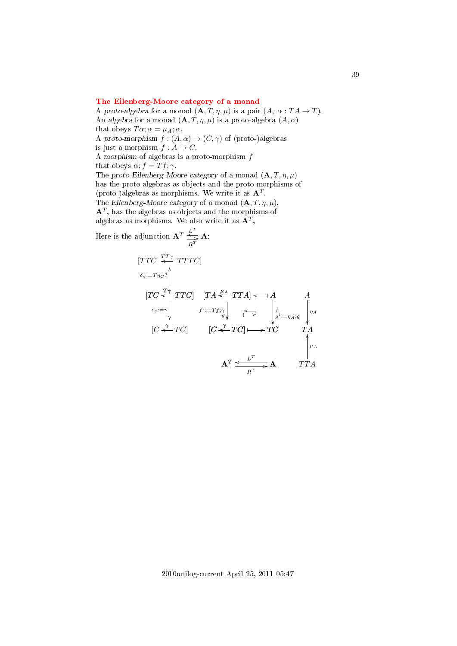### [The Eilenberg-Moore category of a monad](#page-1-2)

A proto-algebra for a monad  $(\mathbf{A}, T, \eta, \mu)$  is a pair  $(A, \alpha : T A \to T)$ . An algebra for a monad  $(A, T, \eta, \mu)$  is a proto-algebra  $(A, \alpha)$ that obeys  $T\alpha$ ;  $\alpha = \mu_A$ ;  $\alpha$ . A proto-morphism  $f : (A, \alpha) \to (C, \gamma)$  of (proto-)algebras is just a morphism  $f : A \rightarrow C$ . A morphism of algebras is a proto-morphism f that obeys  $\alpha$ ;  $f = Tf$ ;  $\gamma$ . The proto-Eilenberg-Moore category of a monad  $(\mathbf{A}, T, \eta, \mu)$ has the proto-algebras as objects and the proto-morphisms of (proto-)algebras as morphisms. We write it as  $A<sup>T</sup>$ . The Eilenberg-Moore category of a monad  $(\mathbf{A}, T, \eta, \mu)$ ,  ${\bf A}^T,$  has the algebras as objects and the morphisms of algebras as morphisms. We also write it as  $\mathbf{A}^T$ , Here is the  $\alpha$  $L^T$ 

e adjunction 
$$
\mathbf{A}^T \stackrel{\mathcal{L}}{\underset{R^T}{\rightleftharpoons}} \mathbf{A}
$$
:  
\n
$$
[TTC \stackrel{TT\gamma}{\underset{\epsilon_{\gamma}:=T\eta_{C}?}{\rightleftharpoons}} \mathbf{A}
$$
\n
$$
[TC \stackrel{T\gamma}{\underset{\epsilon_{\gamma}:=\gamma}{\rightleftharpoons}} TTC] \quad [TA \stackrel{\mu_{A}}{\underset{\beta'}{\rightleftharpoons}} TTA] \leftleftharpoons \mathbf{A} \qquad A
$$
\n
$$
\stackrel{\epsilon_{\gamma}:=\gamma}{\underset{\Gamma}{\rightleftharpoons}} \qquad f^{\flat}:=Tf; \gamma \downarrow \qquad \underset{\Gamma}{\rightleftharpoons} \qquad \int_{g^{\sharp}:=\eta_{A}; g} \qquad \gamma_{A}
$$
\n
$$
[C \stackrel{\gamma}{\longleftarrow} TC] \qquad [C \stackrel{\gamma}{\longleftarrow} TC] \longmapsto TC \qquad TA
$$
\n
$$
\mathbf{A}^T \stackrel{\mathcal{L}^T}{\underset{R^T}{\rightleftharpoons}} \mathbf{A} \qquad TTA
$$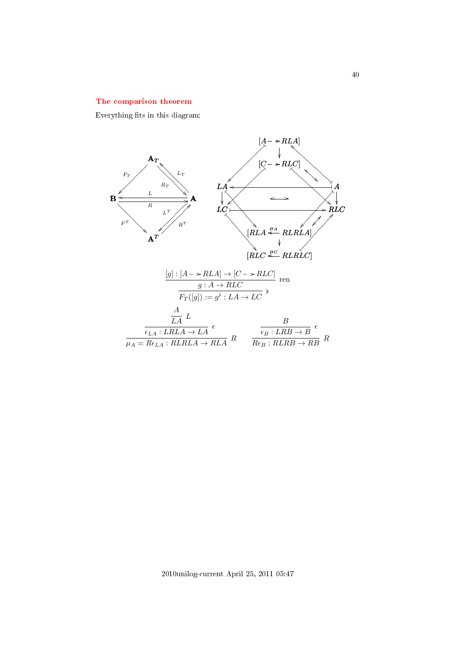### [The comparison theorem](#page-1-3)

Everything fits in this diagram:

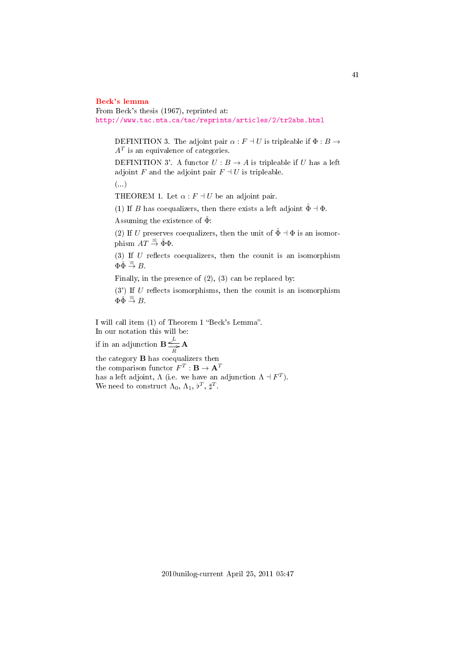#### [Beck's lemma](#page-1-4)

From Beck's thesis (1967), reprinted at: <http://www.tac.mta.ca/tac/reprints/articles/2/tr2abs.html>

DEFINITION 3. The adjoint pair  $\alpha$  :  $F \dashv U$  is tripleable if  $\Phi : B \to$  $A<sup>T</sup>$  is an equivalence of categories.

DEFINITION 3'. A functor  $U : B \to A$  is tripleable if U has a left adjoint F and the adjoint pair  $F \dashv U$  is tripleable.

(...)

THEOREM 1. Let  $\alpha$  :  $F \dashv U$  be an adjoint pair.

(1) If B has coequalizers, then there exists a left adjoint  $\hat{\Phi} \dashv \Phi$ .

Assuming the existence of  $\hat{\Phi}$ :

(2) If U preserves coequalizers, then the unit of  $\hat{\Phi} \dashv \Phi$  is an isomorphism  $AT \stackrel{\equiv}{\Rightarrow} \hat{\Phi}\Phi$ .

(3) If  $U$  reflects coequalizers, then the counit is an isomorphism  $\Phi \hat{\Phi} \stackrel{\equiv}{\Rightarrow} B.$ 

Finally, in the presence of (2), (3) can be replaced by:

 $(3')$  If U reflects isomorphisms, then the counit is an isomorphism  $\Phi \oplus \overline{\exists} B$ .

I will call item (1) of Theorem 1 "Beck's Lemma". In our notation this will be:

if in an adjunction  $\mathbf{B} \preceq$ L  $\frac{1}{R}$ **A** 

the category B has coequalizers then the comparison functor  $F^T:{\mathbf{B}}\to{\mathbf{A}}^T$ has a left adjoint,  $\Lambda$  (i.e. we have an adjunction  $\Lambda \dashv F^T$ ). We need to construct  $\Lambda_0$ ,  $\Lambda_1$ ,  $\nu^T$ ,  $\natural^T$ .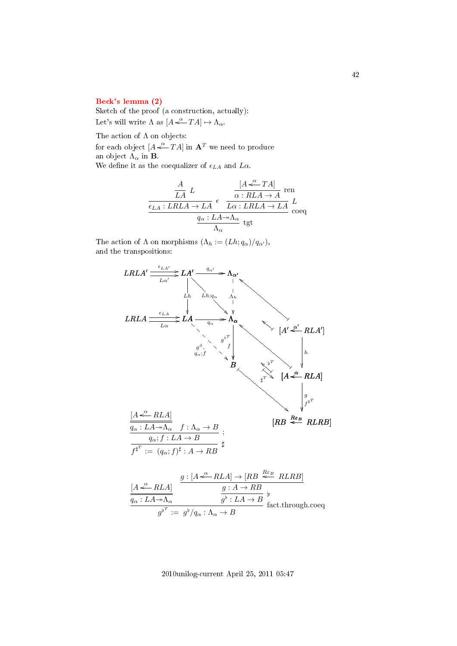#### [Beck's lemma \(2\)](#page-1-5)

Sketch of the proof (a construction, actually): Let's will write  $\Lambda$  as  $[A \stackrel{\alpha}{\longleftarrow} TA] \mapsto \Lambda_{\alpha}$ .

The action of  $\Lambda$  on objects:

for each object  $[A \stackrel{\alpha}{\leftarrow} TA]$  in  $\mathbf{A}^T$  we need to produce an object  $\Lambda_{\alpha}$  in **B**.

We define it as the coequalizer of  $\epsilon_{LA}$  and  $L\alpha$ .

$$
\begin{array}{c|c}\nA & L & [A \stackrel{\alpha}{\longleftarrow} TA] \text{ ren} \\
\hline\n\frac{\epsilon_{LA}: LRLA \to LA}{\epsilon} & \frac{\alpha: RLA \to A}{L\alpha: LRLA \to LA} \stackrel{\tau}{L} \\
\frac{q_\alpha: LA \twoheadrightarrow \Lambda_\alpha}{\Lambda_\alpha} & \text{tgt}\n\end{array}
$$

The action of  $\Lambda$  on morphisms  $(\Lambda_h := (Lh; q_\alpha)/q_{\alpha'})$ , and the transpositions:

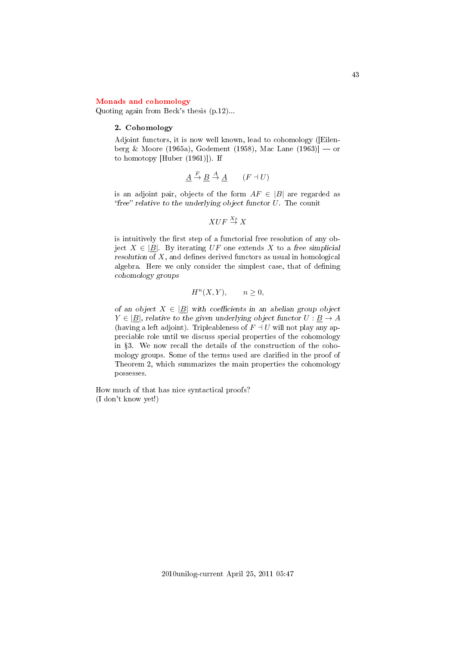#### [Monads and cohomology](#page-2-0)

Quoting again from Beck's thesis (p.12)...

#### 2. Cohomology

Adjoint functors, it is now well known, lead to cohomology ([Eilenberg & Moore (1965a), Godement (1958), Mac Lane (1963)] — or to homotopy [Huber (1961)]). If

$$
\underline{A} \stackrel{F}{\to} \underline{B} \stackrel{A}{\to} \underline{A} \qquad (F \dashv U)
$$

is an adjoint pair, objects of the form  $AF \in |B|$  are regarded as "free" relative to the underlying object functor  $U$ . The counit

$$
XUF \overset{X_{\epsilon}}{\to} X
$$

is intuitively the first step of a functorial free resolution of any object  $X \in |B|$ . By iterating UF one extends X to a free simplicial resolution of  $X$ , and defines derived functors as usual in homological algebra. Here we only consider the simplest case, that of defining cohomology groups

$$
H^n(X, Y), \qquad n \ge 0,
$$

of an object  $X \in |B|$  with coefficients in an abelian group object  $Y \in |B|$ , relative to the given underlying object functor  $U : B \to A$ (having a left adjoint). Tripleableness of  $F \dashv U$  will not play any appreciable role until we discuss special properties of the cohomology in 3. We now recall the details of the construction of the cohomology groups. Some of the terms used are clarified in the proof of Theorem 2, which summarizes the main properties the cohomology possesses.

How much of that has nice syntactical proofs? (I don't know yet!)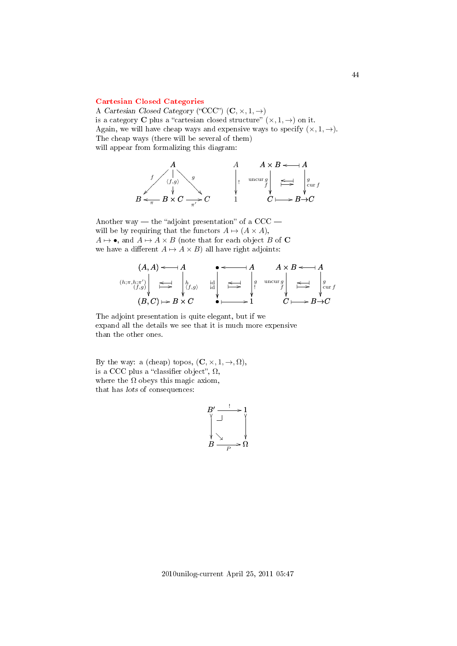### [Cartesian Closed Categories](#page-2-1)

A Cartesian Closed Category ("CCC")  $(C, \times, 1, \rightarrow)$ is a category **C** plus a "cartesian closed structure"  $(\times, 1, \rightarrow)$  on it. Again, we will have cheap ways and expensive ways to specify  $(x, 1, \rightarrow)$ . The cheap ways (there will be several of them) will appear from formalizing this diagram:



Another way — the "adjoint presentation" of a  $CCC$ will be by requiring that the functors  $A \mapsto (A \times A)$ ,  $A \mapsto \bullet$ , and  $A \mapsto A \times B$  (note that for each object B of C we have a different  $A \mapsto A \times B$ ) all have right adjoints:

$$
(A, A) \leftarrow A
$$
\n
$$
(h; \pi, h; \pi') \downarrow \iff \downarrow h
$$
\n
$$
(B, C) \mapsto B \times C
$$
\n
$$
(B, C) \mapsto B \times C
$$
\n
$$
(B, C) \mapsto B \times C
$$
\n
$$
(B, C) \mapsto B \times C
$$
\n
$$
(B, C) \mapsto B \times C
$$
\n
$$
(B, C) \mapsto B \times C
$$
\n
$$
(B, C) \mapsto B \times C
$$

The adjoint presentation is quite elegant, but if we expand all the details we see that it is much more expensive than the other ones.

By the way: a (cheap) topos,  $(C, \times, 1, \rightarrow, \Omega)$ , is a CCC plus a "classifier object",  $\Omega$ , where the  $\Omega$  obeys this magic axiom, that has lots of consequences:

$$
\begin{array}{ccc}\nB' & \xrightarrow{!} & 1 \\
\uparrow & & \uparrow & \\
\downarrow & & \downarrow & \\
B & \xrightarrow{p} & \Omega\n\end{array}
$$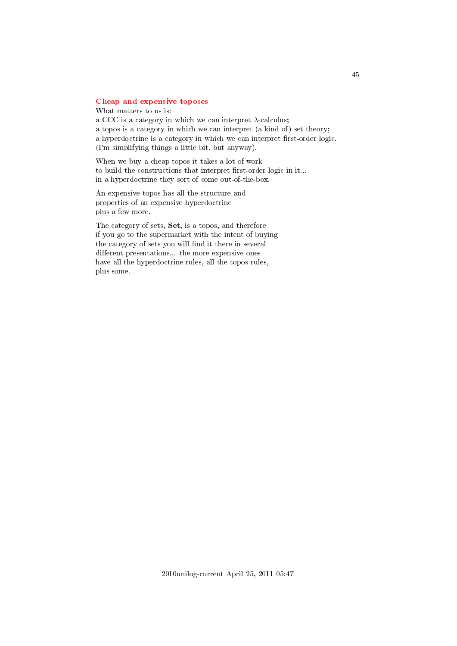### [Cheap and expensive toposes](#page-2-2)

What matters to us is: a CCC is a category in which we can interpret  $\lambda$ -calculus; a topos is a category in which we can interpret (a kind of) set theory; a hyperdoctrine is a category in which we can interpret first-order logic. (I'm simplifying things a little bit, but anyway).

When we buy a cheap topos it takes a lot of work to build the constructions that interpret first-order logic in it... in a hyperdoctrine they sort of come out-of-the-box.

An expensive topos has all the structure and properties of an expensive hyperdoctrine plus a few more.

The category of sets, Set, is a topos, and therefore if you go to the supermarket with the intent of buying the category of sets you will find it there in several different presentations... the more expensive ones have all the hyperdoctrine rules, all the topos rules, plus some.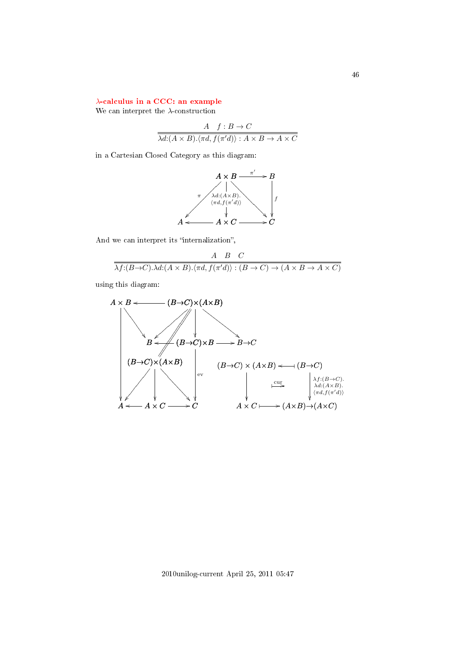## λ[-calculus in a CCC: an example](#page-2-3)

We can interpret the  $\lambda$ -construction

$$
\frac{A \quad f:B \to C}{\lambda d:(A \times B). \langle \pi d, f(\pi' d) \rangle : A \times B \to A \times C}
$$

in a Cartesian Closed Category as this diagram:



And we can interpret its "internalization",

$$
\frac{A \quad B \quad C}{\lambda f:(B \to C) \cdot \lambda d:(A \times B) \cdot \langle \pi d, f(\pi' d) \rangle : (B \to C) \to (A \times B \to A \times C)}
$$

using this diagram:

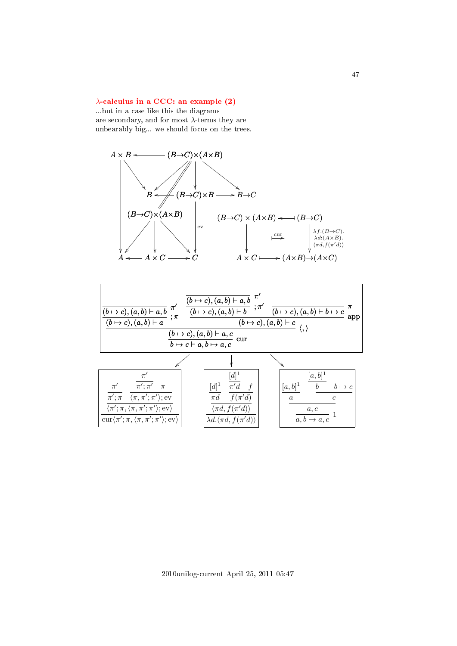### $\lambda$ [-calculus in a CCC: an example \(2\)](#page-2-4)

...but in a case like this the diagrams are secondary, and for most  $\lambda$ -terms they are unbearably big... we should focus on the trees.



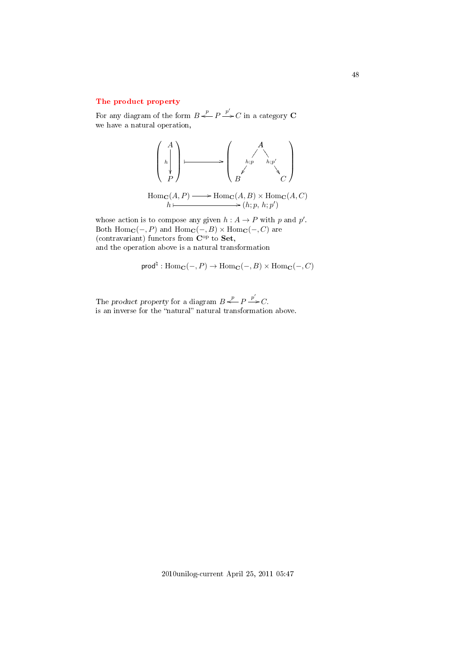# [The product property](#page-2-5)

For any diagram of the form  $B \stackrel{p}{\iff} P \stackrel{p'}{\Longrightarrow} C$  in a category C we have a natural operation,



Hom<sub>**C**</sub> $(A, P) \longrightarrow \text{Hom}_{\mathbf{C}}(A, B) \times \text{Hom}_{\mathbf{C}}(A, C)$ <br>  $h \longmapsto (h; p, h; p')$ 

whose action is to compose any given  $h: A \to P$  with p and p'. Both  $\text{Hom}_{\mathbf{C}}(-, P)$  and  $\text{Hom}_{\mathbf{C}}(-, B) \times \text{Hom}_{\mathbf{C}}(-, C)$  are (contravariant) functors from  $\mathbf{C}^{\mathrm{op}}$  to **Set**, and the operation above is a natural transformation

$$
\mathsf{prod}^{\natural} : \mathrm{Hom}_{\mathbf{C}}(-, P) \to \mathrm{Hom}_{\mathbf{C}}(-, B) \times \mathrm{Hom}_{\mathbf{C}}(-, C)
$$

The product property for a diagram  $B \stackrel{p}{\leftarrow} P \stackrel{p'}{\rightarrow} C$ . is an inverse for the "natural" natural transformation above.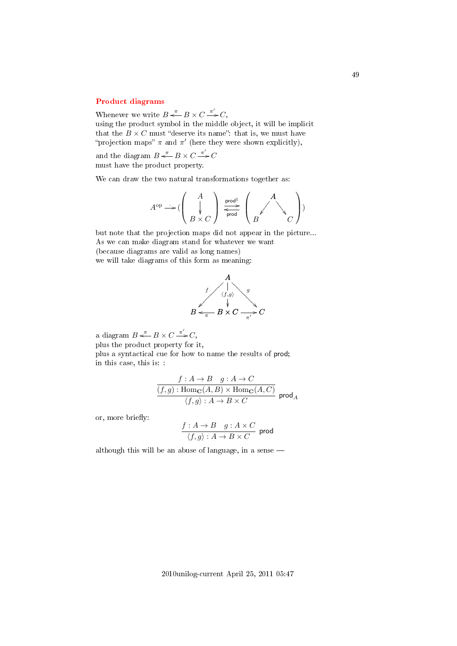### [Product diagrams](#page-2-6)

Whenever we write  $B \stackrel{\pi}{\iff} B \times C \stackrel{\pi'}{\Longrightarrow} C$ , using the product symbol in the middle object, it will be implicit

that the  $B \times C$  must "deserve its name": that is, we must have "projection maps"  $\pi$  and  $\pi'$  (here they were shown explicitly),

and the diagram  $B \stackrel{\pi}{\longleftarrow} B \times C \stackrel{\pi'}{\longrightarrow} C$ must have the product property.

We can draw the two natural transformations together as:

$$
A^{\mathrm{op}} \longrightarrow (\left(\begin{array}{c}A \\ \downarrow \\ B \times C\end{array}\right) \xrightarrow[\text{prod}]{\text{prod}}]{\text{prod}} \left(\begin{array}{c}A \\ \swarrow \\ C\end{array}\right))
$$

but note that the projection maps did not appear in the picture... As we can make diagram stand for whatever we want (because diagrams are valid as long names) we will take diagrams of this form as meaning:



a diagram  $B \stackrel{\pi}{\longleftarrow} B \times C \stackrel{\pi'}{\longrightarrow} C$ ,

plus the product property for it,

plus a syntactical cue for how to name the results of prod; in this case, this is: :

$$
\frac{f: A \to B \quad g: A \to C}{(f,g): \mathrm{Hom}_{\mathbf{C}}(A,B) \times \mathrm{Hom}_{\mathbf{C}}(A,C)} \cdot \frac{f}{(f,g): A \to B \times C} \text{prod}_{A}
$$

or, more briefly:

$$
\frac{f:A \to B \quad g:A \times C}{\langle f,g \rangle:A \to B \times C} \text{ prod}
$$

although this will be an abuse of language, in a sense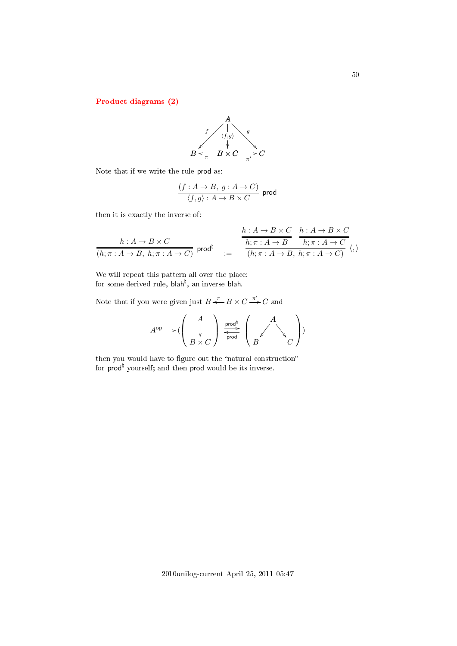[Product diagrams \(2\)](#page-2-7)



Note that if we write the rule prod as:

$$
\frac{(f:A\to B,\; g:A\to C)}{\langle f,g\rangle:A\to B\times C}\;\,\mathrm{prod}
$$

then it is exactly the inverse of:

$$
\frac{h:A \to B \times C}{(h;\pi:A \to B, h;\pi:A \to C)} \text{ prod}^{\natural} \quad := \quad \frac{\frac{h:A \to B \times C}{h;\pi:A \to B} \quad \frac{h:A \to B \times C}{h;\pi:A \to B}}{(h;\pi:A \to B, h;\pi:A \to C)} \langle,\rangle
$$

We will repeat this pattern all over the place: for some derived rule, blah<sup>ḥ</sup>, an inverse blah.

Note that if you were given just  $B \stackrel{\pi}{\leftarrow} B \times C \stackrel{\pi'}{\rightarrow} C$  and

$$
A^{\mathrm{op}} \longrightarrow (\left(\begin{array}{c} A \\ \downarrow \\ B \times C \end{array}\right) \xrightarrow[\text{prod}]{\text{prod}}]{\text{prod}} \left(\begin{array}{c} A \\ \swarrow \\ B \end{array}\right))
$$

then you would have to figure out the "natural construction" for  $\mathsf{prod}^\natural$  yourself; and then  $\mathsf{prod}$  would be its inverse.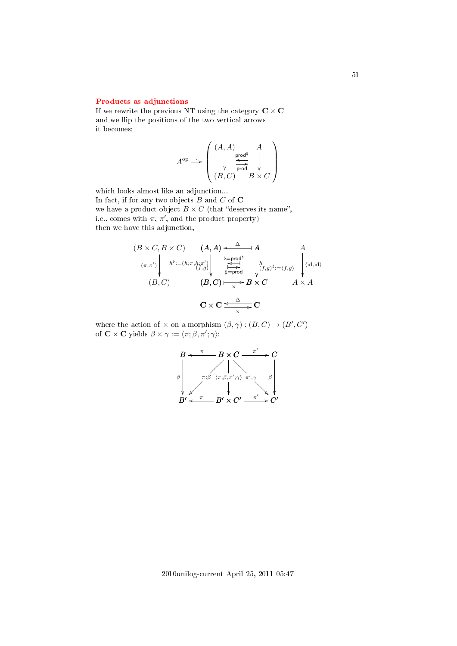### [Products as adjunctions](#page-2-8)

If we rewrite the previous NT using the category  $C \times C$ and we flip the positions of the two vertical arrows it becomes:

$$
A^\mathrm{op} \longrightarrow \left(\begin{array}{ccc}(A,A) & A\\ \downarrow & \xrightarrow{\mathsf{prod}^{\mathsf{d}}}\quad \ \, \\ \downarrow & \xrightarrow{\mathsf{prod}}& \downarrow \\ (B,C) & B \times C\end{array}\right)
$$

which looks almost like an adjunction... In fact, if for any two objects  $B$  and  $C$  of  $C$ we have a product object  $B \times C$  (that "deserves its name", i.e., comes with  $\pi$ ,  $\pi'$ , and the product property) then we have this adjunction,

$$
(B \times C, B \times C) \qquad (A, A) \leftarrow \Delta A
$$
  
\n
$$
(\pi, \pi') \left\| h^{\flat} := (h; \pi, h; \pi') \right\|_{\substack{\substack{b = \text{prod}^d \\ \text{if } b = \text{prod}^d \\ \text{if } b \text{ is odd}}} h^{\flat} := (f, g) \left\| \begin{matrix} 1 \\ (f, g)^{\sharp} := (f, g) \\ (f, g)^{\sharp} := (f, g) \end{matrix} \right\|_{\substack{\text{if } b = \text{prod}^d \\ \text{if } b \text{ is odd}}} \tag{id, id}
$$
  
\n
$$
(B, C) \qquad (B, C) \longmapsto B \times C \qquad A \times A
$$
  
\n
$$
C \times C \xrightarrow{\Delta} C
$$

where the action of  $\times$  on a morphism  $(\beta, \gamma) : (B, C) \to (B', C')$ of  $\mathbf{C} \times \mathbf{C}$  yields  $\beta \times \gamma := \langle \pi; \beta, \pi'; \gamma \rangle$ :

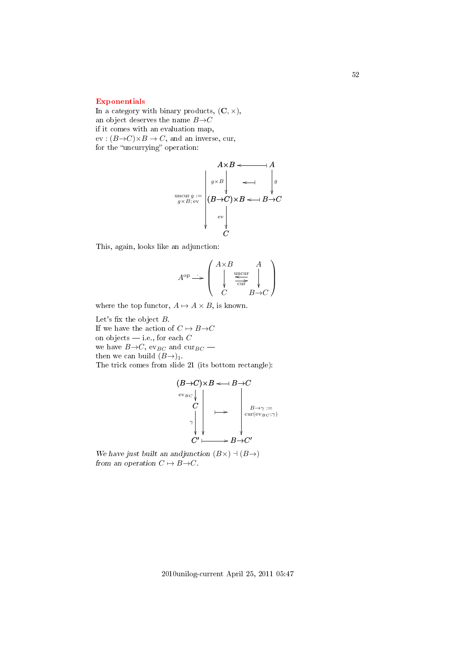### [Exponentials](#page-2-9)

In a category with binary products,  $(C, \times)$ , an object deserves the name  $B\rightarrow C$ if it comes with an evaluation map,  $ev : (B \rightarrow C) \times B \rightarrow C$ , and an inverse, cur, for the "uncurrying" operation:

$$
A \times B \longleftarrow A
$$
\n
$$
\begin{array}{c}\nA \times B \longleftarrow A \\
\downarrow g \times B \\
\downarrow g \longleftarrow B \longrightarrow C\n\end{array}
$$
\n
$$
\begin{array}{c}\n(B \rightarrow C) \times B \longleftarrow B \rightarrow C \\
\downarrow g \\
\downarrow g \\
\downarrow g \\
C\n\end{array}
$$

This, again, looks like an adjunction:

$$
A^{\rm op} \longrightarrow \left( \begin{array}{c} A \times B & A \\ \downarrow & \xleftarrow{\text{uncur}} \\ C & B \rightarrow C \end{array} \right)
$$

where the top functor,  $A \mapsto A \times B$ , is known.

Let's fix the object  $B$ . If we have the action of  $C \mapsto B \rightarrow C$ on objects  $\frac{d}{dx}$  i.e., for each C we have  $B\rightarrow C$ , ev<sub>BC</sub> and cur<sub>BC</sub> – then we can build  $(B\rightarrow)_{1}$ . The trick comes from slide 21 (its bottom rectangle):

$$
(B\to C)\times B \leftarrow B\to C
$$
  
\n
$$
\begin{array}{c}\nC \\
C \\
\downarrow \\
\downarrow \\
\downarrow \\
C'\longmapsto B\to C'\n\end{array}
$$

We have just built an andjunction  $(B\times) \dashv (B\rightarrow)$ from an operation  $C \mapsto B \rightarrow C$ .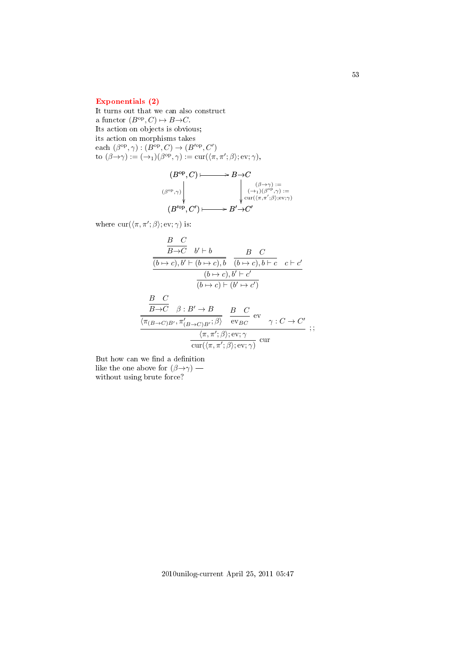### [Exponentials \(2\)](#page-2-10)

It turns out that we can also construct a functor  $(B^{\text{op}}, C) \mapsto B \rightarrow C$ . Its action on objects is obvious; its action on morphisms takes each  $(\beta^{\rm op}, \gamma) : (B^{\rm op}, C) \to (B'^{\rm op}, C')$ to  $(\beta \rightarrow \gamma) := (\rightarrow_1)(\beta^{\text{op}}, \gamma) := \text{cur}(\langle \pi, \pi'; \beta \rangle; \text{ev}; \gamma),$ 

$$
(B^{\mathrm{op}}, C) \longmapsto B \to C
$$
  

$$
(\beta^{\mathrm{op}}, \gamma) \downarrow \qquad \qquad \downarrow \qquad \qquad \downarrow \qquad \qquad \downarrow \qquad \qquad \downarrow \qquad \downarrow \qquad \downarrow \qquad \downarrow \qquad \downarrow \qquad \downarrow \qquad \downarrow \qquad \downarrow \qquad \downarrow \qquad \downarrow \qquad \downarrow \qquad \downarrow \qquad \downarrow \qquad \downarrow \qquad \downarrow \qquad \downarrow \qquad \downarrow \qquad \downarrow \qquad \downarrow \qquad \downarrow \qquad \downarrow \qquad \downarrow \qquad \downarrow \qquad \downarrow \qquad \downarrow \qquad \downarrow \qquad \downarrow \qquad \downarrow \qquad \downarrow \qquad \downarrow \qquad \downarrow \qquad \downarrow \qquad \downarrow \qquad \downarrow \qquad \downarrow \qquad \downarrow \qquad \downarrow \qquad \downarrow \qquad \downarrow \qquad \downarrow \qquad \downarrow \qquad \downarrow \qquad \downarrow \qquad \downarrow \qquad \downarrow \qquad \downarrow \qquad \downarrow \qquad \downarrow \qquad \downarrow \qquad \downarrow \qquad \downarrow \qquad \downarrow \qquad \downarrow \qquad \downarrow \qquad \downarrow \qquad \downarrow \qquad \downarrow \qquad \downarrow \qquad \downarrow \qquad \downarrow \qquad \downarrow \qquad \downarrow \qquad \downarrow \qquad \downarrow \qquad \downarrow \qquad \downarrow \qquad \downarrow \qquad \downarrow \qquad \downarrow \qquad \downarrow \qquad \downarrow \qquad \downarrow \qquad \downarrow \qquad \downarrow \qquad \downarrow \qquad \downarrow \qquad \downarrow \qquad \downarrow \qquad \downarrow \qquad \downarrow \qquad \downarrow \qquad \downarrow \qquad \downarrow \qquad \downarrow \qquad \downarrow \qquad \downarrow \qquad \downarrow \qquad \downarrow \qquad \downarrow \qquad \downarrow \qquad \downarrow \qquad \downarrow \qquad \downarrow \qquad \downarrow \qquad \downarrow \qquad \downarrow \qquad \downarrow \qquad \downarrow \qquad \downarrow \qquad \downarrow \qquad \downarrow \qquad \downarrow \qquad \downarrow \qquad \downarrow \qquad \downarrow \qquad \downarrow \qquad \downarrow \qquad \downarrow \qquad \downarrow \qquad \downarrow \qquad \downarrow \qquad \downarrow \qquad \downarrow \qquad \downarrow \qquad \
$$

where  $\text{cur}(\langle \pi, \pi'; \beta \rangle; \text{ev}; \gamma)$  is:

$$
\frac{B \ C}{\frac{(b \rightarrow c), b' \vdash (b \rightarrow c), b}{(b \rightarrow c), b' \vdash (b \rightarrow c), b \vdash c} \quad c \vdash c'}{\frac{(b \rightarrow c), b' \vdash (b \rightarrow c), b' \vdash c'}{(b \rightarrow c) \vdash (b' \rightarrow c')}
$$
\n
$$
\frac{B \ C}{\frac{B \rightarrow C}{(T(B \rightarrow C)B', T'_{(B \rightarrow C)B'}; \beta)}} \quad \frac{B \ C}{\text{ev}_{BC}} \text{ev}_{\gamma : C \rightarrow C'}
$$
\n
$$
\frac{\frac{\langle \pi, \pi'; \beta \rangle; \text{ev}_{\gamma} \gamma}{\langle \pi(\pi, \pi'; \beta \rangle; \text{ev}_{\gamma} \gamma \rangle \text{cur}} \dots; \text{ev}_{\gamma : C \rightarrow C'}{\langle \pi(\pi, \pi'; \beta \rangle; \text{ev}_{\gamma} \gamma \rangle \text{cur}} \dots; \text{ev}_{\gamma : C \rightarrow C'} \text{ev}_{\gamma : C \rightarrow C'} \text{ev}_{\gamma : C \rightarrow C'} \text{ev}_{\gamma : C \rightarrow C'} \text{ev}_{\gamma : C \rightarrow C'} \text{ev}_{\gamma : C \rightarrow C'} \text{ev}_{\gamma : C \rightarrow C'} \text{ev}_{\gamma : C \rightarrow C'} \text{ev}_{\gamma : C \rightarrow C'} \text{ev}_{\gamma : C \rightarrow C'} \text{ev}_{\gamma : C \rightarrow C'} \text{ev}_{\gamma : C \rightarrow C'} \text{ev}_{\gamma : C \rightarrow C'} \text{ev}_{\gamma : C \rightarrow C' \rightarrow C'} \text{ev}_{\gamma : C \rightarrow C' \rightarrow C' \rightarrow C' \text{ev}_{\gamma : C \rightarrow C' \rightarrow C' \text{ev}_{\gamma : C' \rightarrow C' \rightarrow C' \text{ev}_{\gamma : C' \rightarrow C' \rightarrow C' \text{ev}_{\gamma : C' \rightarrow C' \rightarrow C' \text{ev}_{\gamma : C' \rightarrow C' \rightarrow C' \text{ev}_{\gamma : C' \rightarrow C' \rightarrow C' \text{ev}_{\gamma : C' \rightarrow C' \rightarrow C' \text{ev}_{\gamma : C' \rightarrow C' \text{ev}_{\gamma : C' \rightarrow C' \rightarrow C' \text{ev}_{\gamma : C' \rightarrow C' \rightarrow C' \text{ev}_{\gamma : C' \rightarrow C' \rightarrow C' \text{ev}_{\gamma : C' \rightarrow C' \rightarrow C' \text{ev}_{\gamma : C' \rightarrow C' \rightarrow C' \text{ev}_{\gamma : C' \rightarrow C' \rightarrow C' \text{ev}_{\gamma : C
$$

But how can we find a definition like the one above for  $(\beta \rightarrow \gamma)$  without using brute force?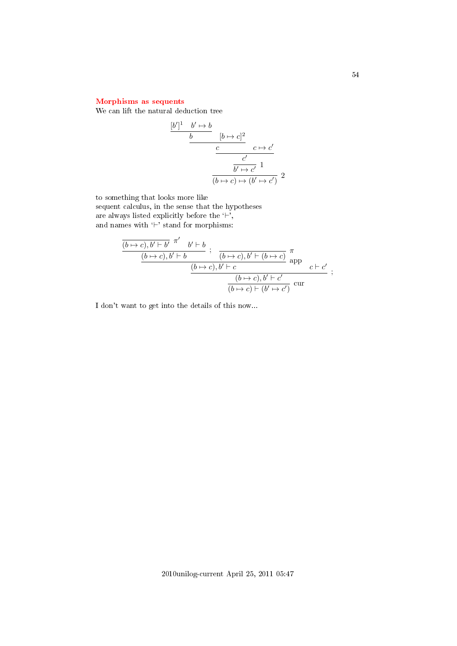# [Morphisms as sequents](#page-3-0)

We can lift the natural deduction tree

$$
\frac{[b']^1 \quad b' \mapsto b}{b} \qquad [b \mapsto c]^2
$$
\n
$$
\frac{c}{\frac{c'}{b' \mapsto c'}} \qquad 1
$$
\n
$$
\frac{b' \mapsto c'}{(b \mapsto c) \mapsto (b' \mapsto c')} \qquad 2
$$

to something that looks more like

sequent calculus, in the sense that the hypotheses are always listed explicitly before the  $\lq\vdash',$ and names with  $\vdash'$  stand for morphisms:

$$
\frac{\overline{(b \mapsto c), b' \vdash b'} \stackrel{\pi'}{\cdots} b' \vdash b}{\frac{(b \mapsto c), b' \vdash b}{\frac{(b \mapsto c), b' \vdash c}{\cdots}} \cdot \frac{\pi}{\text{app}} \cdot c \vdash c'}{\frac{(b \mapsto c), b' \vdash c}{\frac{(b \mapsto c), b' \vdash c'}{\cdots}} \cdot \frac{\pi}{\frac{(b \mapsto c) \vdash (b' \mapsto c')}{\cdots}} \cdot \frac{\pi}{\cdots}};
$$

I don't want to get into the details of this now...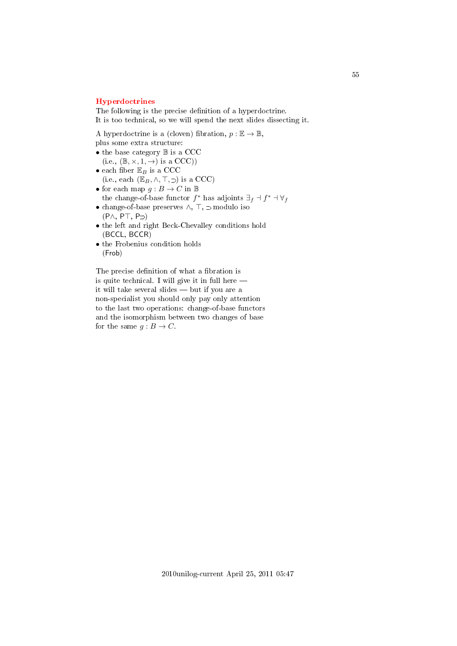#### [Hyperdoctrines](#page-3-1)

The following is the precise definition of a hyperdoctrine. It is too technical, so we will spend the next slides dissecting it.

A hyperdoctrine is a (cloven) fibration,  $p : \mathbb{E} \to \mathbb{B}$ ,

plus some extra structure:

- the base category  $\mathbb B$  is a CCC  $(i.e., (\mathbb{B}, \times, 1, \rightarrow)$  is a CCC))
- each fiber  $\mathbb{E}_B$  is a CCC (i.e., each  $(\mathbb{E}_B, \wedge, \top, \supset)$  is a CCC)
- $\bullet$  for each map  $g : B \rightarrow C$  in  $\mathbb B$ the change-of-base functor  $f^*$  has adjoints  $\exists_f \dashv f^* \dashv \forall_f$
- $\bullet$  change-of-base preserves  $\land, \top, \supset \mathsf{modulo}$  iso  $(P \wedge, P \top, P \supset)$
- the left and right Beck-Chevalley conditions hold (BCCL, BCCR)
- the Frobenius condition holds (Frob)

The precise definition of what a fibration is is quite technical. I will give it in full here it will take several slides  $-$  but if you are a non-specialist you should only pay only attention to the last two operations: change-of-base functors and the isomorphism between two changes of base for the same  $g : B \to C$ .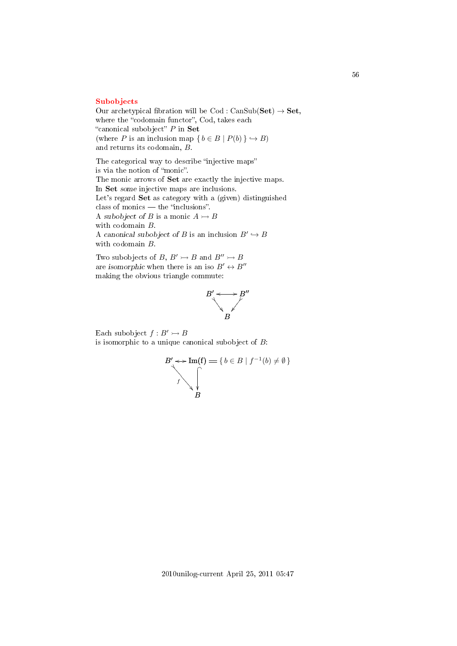#### [Subobjects](#page-3-2)

Our archetypical fibration will be  $\text{Cod}: \text{CanSub}(\textbf{Set}) \to \textbf{Set},$ where the "codomain functor", Cod, takes each "canonical subobject"  $P$  in Set (where P is an inclusion map  $\{ b \in B \mid P(b) \} \hookrightarrow B$ ) and returns its codomain, B.

The categorical way to describe "injective maps" is via the notion of "monic". The monic arrows of Set are exactly the injective maps. In Set some injective maps are inclusions. Let's regard Set as category with a (given) distinguished class of monics — the "inclusions". A subobject of B is a monic  $A \rightarrowtail B$ with codomain B. A canonical subobject of B is an inclusion  $B' \hookrightarrow B$ with codomain B.

Two subobjects of B,  $B' \rightarrowtail B$  and  $B'' \rightarrowtail B$ are isomorphic when there is an iso  $B' \leftrightarrow B''$ making the obvious triangle commute:



Each subobject  $f : B' \rightarrow B$ is isomorphic to a unique canonical subobject of  $B$ :

$$
B' \leftrightarrow \text{Im}(\mathbf{f}) = \{ b \in B \mid f^{-1}(b) \neq \emptyset \}
$$
  

$$
f \qquad \qquad \downarrow
$$
  

$$
B
$$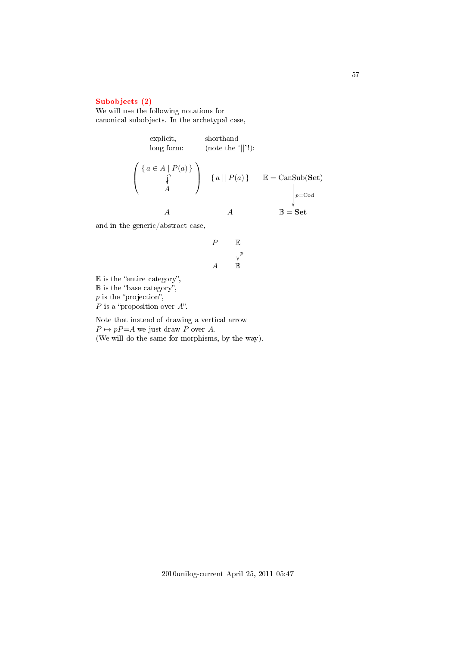### [Subobjects \(2\)](#page-3-3)

We will use the following notations for canonical subobjects. In the archetypal case,

explicit,  
\nlong form:  
\n
$$
\left\{\n\begin{array}{ccc}\n\{a \in A \mid P(a)\} \\
\uparrow \\
A\n\end{array}\n\right\}\n\quad\n\left\{\n\begin{array}{ccc}\na \mid\mid P(a)\n\end{array}\n\right\}\n\quad\n\mathbb{E} = \text{CanSub}(\mathbf{Set})
$$
\n
$$
\downarrow_{p=\text{Cod}}^{p=\text{Cod}}
$$
\n
$$
A\n\quad\nA\n\quad\n\mathbb{B} = \mathbf{Set}
$$

and in the generic/abstract case,

$$
\begin{array}{ccc}\nP & \mathbb{E} \\
& \downarrow^p \\
A & \mathbb{B}\n\end{array}
$$

 $E$  is the "entire category",  $\mathbb B$  is the "base category",  $p$  is the "projection",  $P$  is a "proposition over  $A$ ".

Note that instead of drawing a vertical arrow  $P \mapsto pP = A$  we just draw P over A. (We will do the same for morphisms, by the way).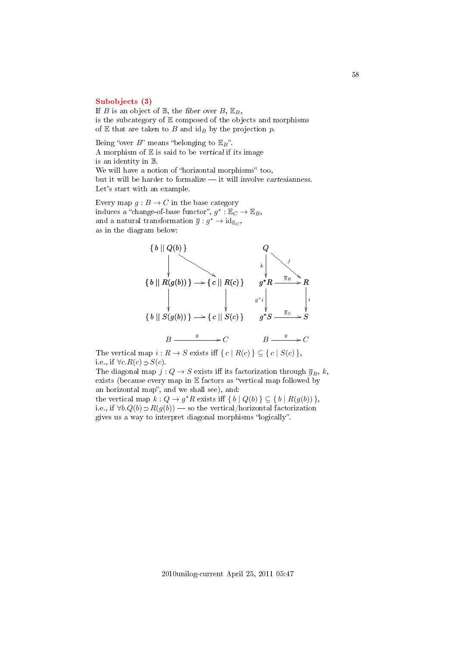#### [Subobjects \(3\)](#page-3-4)

If B is an object of  $\mathbb{B}$ , the fiber over B,  $\mathbb{E}_B$ , is the subcategory of  $E$  composed of the objects and morphisms of  $E$  that are taken to  $B$  and  $id_B$  by the projection  $p$ .

Being "over  $B$ " means "belonging to  $\mathbb{E}_{B}$ ". A morphism of  $E$  is said to be vertical if its image is an identity in B. We will have a notion of "horizontal morphisms" too, but it will be harder to formalize  $-$  it will involve cartesianness. Let's start with an example.

Every map  $g : B \to C$  in the base category induces a "change-of-base functor",  $g^* : \mathbb{E}_C \to \mathbb{E}_B$ , and a natural transformation  $\overline{g}: g^* \to id_{\mathbb{E}_C}$ , as in the diagram below:



The vertical map  $i : R \to S$  exists iff  $\{ c \mid R(c) \} \subseteq \{ c \mid S(c) \}$ , i.e., if  $\forall c. R(c) \supset S(c)$ .

The diagonal map  $j: Q \to S$  exists iff its factorization through  $\overline{g}_R$ , k, exists (because every map in  $E$  factors as "vertical map followed by an horizontal map", and we shall see), and:

the vertical map  $k: Q \to g^*R$  exists iff  $\{b \mid Q(b)\} \subseteq \{b \mid R(g(b))\}$ , i.e., if  $\forall b. Q(b) \supset R(g(b))$  — so the vertical/horizontal factorization gives us a way to interpret diagonal morphisms "logically".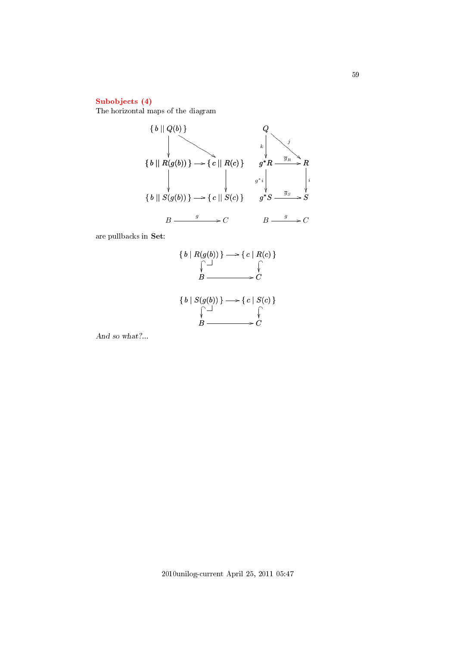# [Subobjects \(4\)](#page-3-5)

The horizontal maps of the diagram



are pullbacks in Set:

$$
\{b \mid R(g(b))\} \longrightarrow \{c \mid R(c)\}\
$$
  

$$
\downarrow \qquad \qquad \downarrow
$$
  

$$
B \longrightarrow C
$$
  

$$
\{b \mid S(g(b))\} \longrightarrow \{c \mid S(c)\}\
$$
  

$$
\downarrow \qquad \qquad \downarrow
$$
  

$$
B \longrightarrow C
$$

And so what?...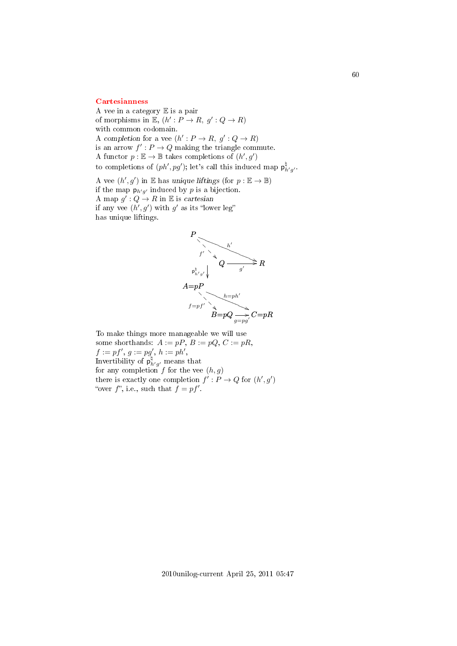#### **[Cartesianness](#page-3-6)**

A vee in a category E is a pair of morphisms in  $\mathbb{E}, (h': P \to R, g': Q \to R)$ with common codomain. A completion for a vee  $(h': P \to R, g': Q \to R)$ is an arrow  $f': P \to Q$  making the triangle commute. A functor  $p : \mathbb{E} \to \mathbb{B}$  takes completions of  $(h', g')$ to completions of  $(ph', pg')$ ; let's call this induced map  $p^{\nmid}_{h'g'}$ .

A vee  $(h', g')$  in E has unique liftings (for  $p : \mathbb{E} \to \mathbb{B}$ ) if the map  $p_{h'g'}$  induced by p is a bijection. A map  $g': Q \to R$  in E is cartesian if any vee  $(h', g')$  with g' as its "lower leg" has unique liftings.



To make things more manageable we will use some shorthands:  $A := pP$ ,  $B := pQ$ ,  $C := pR$ ,  $f := pf', g := pg', h := ph',$ Invertibility of  $p^{\natural}_{h'g'}$  means that for any completion f for the vee  $(h, g)$ there is exactly one completion  $f': P \to Q$  for  $(h', g')$ "over  $f$ ", i.e., such that  $f = pf'$ .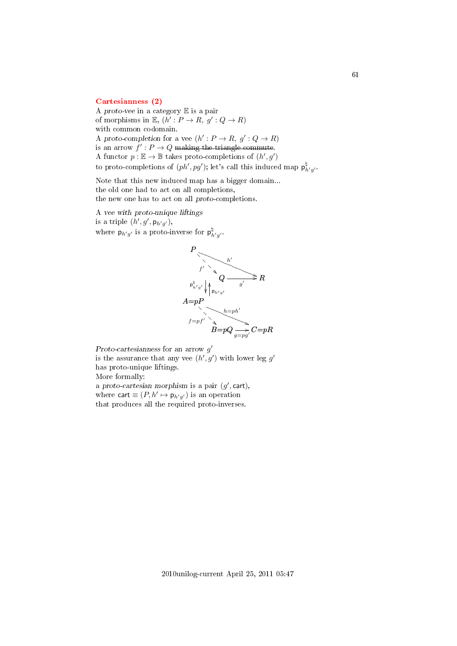#### [Cartesianness \(2\)](#page-3-7)

A proto-vee in a category E is a pair of morphisms in  $\mathbb{E}, (h': P \to R, g': Q \to R)$ with common codomain. A proto-completion for a vee  $(h': P \to R, g': Q \to R)$ is an arrow  $f': P \to Q$  making the triangle commute. A functor  $p : \mathbb{E} \to \mathbb{B}$  takes proto-completions of  $(h', g')$ to proto-completions of  $(ph', pg')$ ; let's call this induced map  $\mathsf{p}^{\natural}_{h'g'}$ .

Note that this new induced map has a bigger domain... the old one had to act on all completions, the new one has to act on all proto-completions.

A vee with proto-unique liftings is a triple  $(h', g', \mathsf{p}_{h'g'})$ , where  $p_{h'g'}$  is a proto-inverse for  $p^{\nmid}_{h'g'}$ .



Proto-cartesianness for an arrow  $g'$ 

is the assurance that any vee  $(h', g')$  with lower leg g' has proto-unique liftings.

More formally:

a proto-cartesian morphism is a pair  $(g',$  cart), where cart  $\equiv (P, h' \mapsto p_{h'g'})$  is an operation that produces all the required proto-inverses.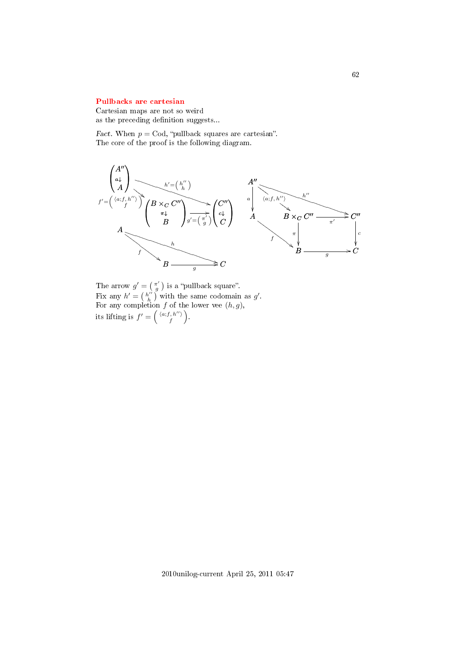#### [Pullbacks are cartesian](#page-3-8)

Cartesian maps are not so weird as the preceding definition suggests...

Fact. When  $p = \text{Cod}$ , "pullback squares are cartesian". The core of the proof is the following diagram.



The arrow  $g' = \begin{pmatrix} \pi' \\ g \end{pmatrix}$  is a "pullback square". Fix any  $h' = \left(\begin{array}{c} h'' \\ h \end{array}\right)$  with the same codomain as  $g'$ . For any completion f of the lower vee  $(h, g)$ , its lifting is  $f' = \left( \begin{array}{c} \langle a; f, h'' \rangle \\ f \end{array} \right)$  $\left(\begin{array}{c} h^{\prime\prime}\rangle\ f^{\prime\prime} \end{array}\right).$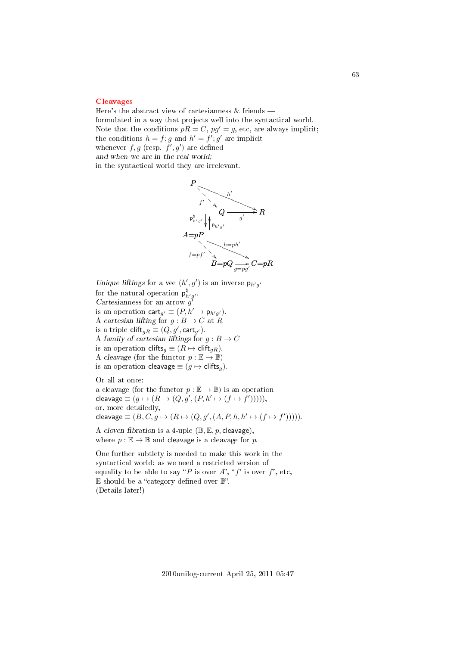#### [Cleavages](#page-3-9)

Here's the abstract view of cartesianness & friends formulated in a way that projects well into the syntactical world. Note that the conditions  $pR = C$ ,  $pg' = g$ , etc, are always implicit; the conditions  $h = f$ ; g and  $h' = f'$ ; g' are implicit whenever  $f, g$  (resp.  $f', g'$ ) are defined and when we are in the real world; in the syntactical world they are irrelevant.



Unique liftings for a vee  $(h', g')$  is an inverse  $p_{h'g'}$ for the natural operation  $p^{\natural}_{h'g'}$ . Cartesianness for an arrow  $g^{\prime}$ is an operation  $\text{cart}_{g'} \equiv (P, h' \mapsto \mathsf{p}_{h'g'}).$ A cartesian lifting for  $g : B \to C$  at R is a triple  $\text{clift}_{gR} \equiv (Q, g', \textsf{cart}_{g'}).$ A family of cartesian liftings for  $g: B \to C$ is an operation clifts<sub>g</sub>  $\equiv (R \mapsto \text{clift}_{gR})$ . A cleavage (for the functor  $p : \mathbb{E} \to \mathbb{B}$ ) is an operation cleavage  $\equiv (q \mapsto \text{clifts}_q)$ .

Or all at once: a cleavage (for the functor  $p : \mathbb{E} \to \mathbb{B}$ ) is an operation cleavage  $\equiv (g \mapsto (R \mapsto (Q, g', (P, h' \mapsto (f \mapsto f'))))),$ or, more detailedly, cleavage  $\equiv (B, C, g \mapsto (R \mapsto (Q, g', (A, P, h, h' \mapsto (f \mapsto f'))))).$ 

A cloven fibration is a 4-uple  $(\mathbb{B}, \mathbb{E}, p, \text{clearage})$ , where  $p : \mathbb{E} \to \mathbb{B}$  and cleavage is a cleavage for p.

One further subtlety is needed to make this work in the syntactical world: as we need a restricted version of equality to be able to say "P is over A", "f' is over f", etc,  $E$  should be a "category defined over  $\mathbb{B}$ ". (Details later!)

63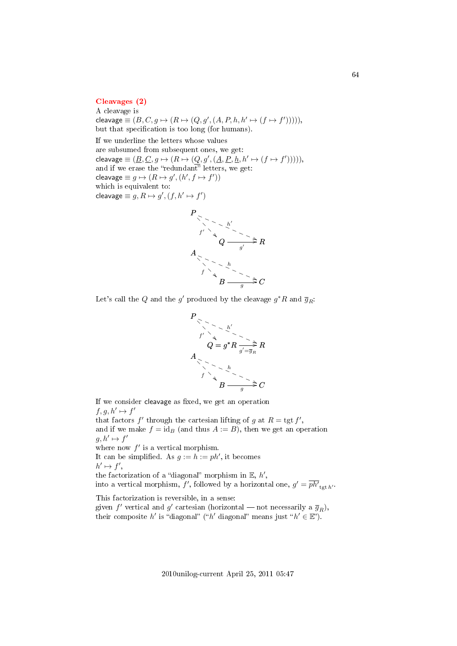### [Cleavages \(2\)](#page-3-10)

A cleavage is cleavage  $\equiv (B, C, g \mapsto (R \mapsto (Q, g', (A, P, h, h' \mapsto (f \mapsto f'))))),$ but that specification is too long (for humans). If we underline the letters whose values are subsumed from subsequent ones, we get: cleavage  $\equiv (\underline{B}, \underline{C}, g \mapsto (R \mapsto (Q, g', (\underline{A}, \underline{P}, \underline{h}, h' \mapsto (f \mapsto f'))))),$ and if we erase the "redundant" letters, we get: cleavage  $\equiv g \mapsto (R \mapsto g', (h', f \mapsto f'))$ which is equivalent to: cleavage  $\equiv g, R \mapsto g', (f, h' \mapsto f')$ 



Let's call the  $Q$  and the  $g'$  produced by the cleavage  $g^*R$  and  $\overline{g}_R$ :



If we consider cleavage as fixed, we get an operation  $f, g, h' \mapsto f'$ that factors  $f'$  through the cartesian lifting of g at  $R = \text{tgt } f'$ , and if we make  $f = id_B$  (and thus  $A := B$ ), then we get an operation  $g, h' \mapsto f'$ where now  $f'$  is a vertical morphism. It can be simplified. As  $g := h := ph'$ , it becomes  $h' \mapsto f',$ the factorization of a "diagonal" morphism in  $E, h',$ into a vertical morphism, f', followed by a horizontal one,  $g' = \overline{ph'}_{\text{tgt }h'}$ . This factorization is reversible, in a sense:

given  $f'$  vertical and  $g'$  cartesian (horizontal – not necessarily a  $\overline{g}_R$ ), their composite h' is "diagonal" ("h' diagonal" means just " $h' \in \mathbb{E}$ ").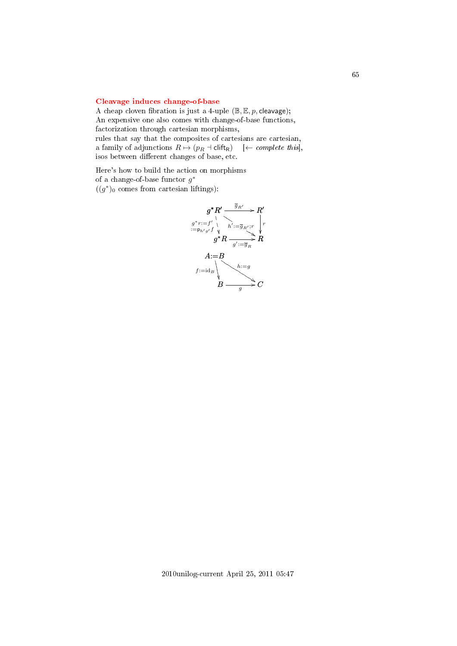### [Cleavage induces change-of-base](#page-3-11)

A cheap cloven fibration is just a 4-uple  $(\mathbb{B}, \mathbb{E}, p$ , cleavage); An expensive one also comes with change-of-base functions, factorization through cartesian morphisms,

rules that say that the composites of cartesians are cartesian, a family of adjunctions  $R \mapsto (p_R + \text{clift}_R)$  [← *complete this*], isos between different changes of base, etc.

Here's how to build the action on morphisms of a change-of-base functor  $g^*$  $((g^*)_0$  comes from cartesian liftings):

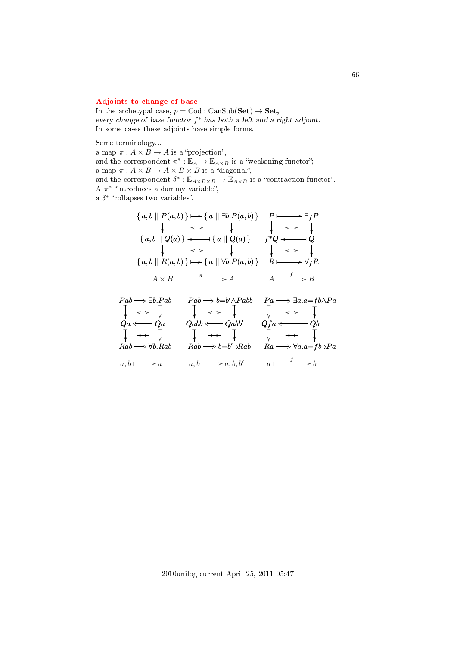### [Adjoints to change-of-base](#page-3-12)

In the archetypal case,  $p = \text{Cod} : \text{CanSub}(\mathbf{Set}) \to \mathbf{Set}$ , every change-of-base functor  $f^*$  has both a left and a right adjoint. In some cases these adjoints have simple forms.

Some terminology...

a map  $\pi: A \times B \to A$  is a "projection", and the correspondent  $\pi^*: \mathbb{E}_A \to \mathbb{E}_{A \times B}$  is a "weakening functor"; a map  $\pi: A \times B \rightarrow A \times B \times B$  is a "diagonal", and the correspondent  $\delta^* : \mathbb{E}_{A \times B \times B} \to \mathbb{E}_{A \times B}$  is a "contraction functor". A  $\pi^*$  "introduces a dummy variable", a  $\delta^*$  "collapses two variables".

$$
\{a, b \mid P(a, b)\} \mapsto \{a \mid \exists b.P(a, b)\} \quad P \longmapsto \exists_f P
$$
\n
$$
\downarrow \iff \qquad \qquad \downarrow \iff \qquad \downarrow
$$
\n
$$
\{a, b \mid Q(a)\} \iff \{a \mid Q(a)\} \quad f^*Q \iff Q
$$
\n
$$
\downarrow \iff \qquad \qquad \downarrow \qquad \iff \qquad \downarrow
$$
\n
$$
\{a, b \mid R(a, b)\} \mapsto \{a \mid \forall b.P(a, b)\} \quad R \longmapsto \forall_f R
$$
\n
$$
A \times B \xrightarrow{\pi} A \qquad A \xrightarrow{f} B
$$

$$
\begin{array}{ccc}\nPab \Longrightarrow \exists b.Pab & Pab \Longrightarrow b=b' \land Pabb & Pa \Longrightarrow \exists a.a = fb \land Pa \\
\downarrow & \longleftrightarrow & \downarrow & \downarrow & \longleftrightarrow & \downarrow \\
Qa \Longleftarrow & Qa & Qabb \Longleftarrow & Qabb & Qfa \Longleftarrow & Qb \\
\downarrow & \longleftrightarrow & \downarrow & \downarrow & \longleftrightarrow & \downarrow \\
Rab \Longrightarrow \forall b.Rab & Rab \Longrightarrow b=b' \supset Rab & Ra \Longrightarrow \forall a.a = fb \supset Pa \\
a, b \longmapsto a & a, b \longmapsto a, b, b' & a \longmapsto b\n\end{array}
$$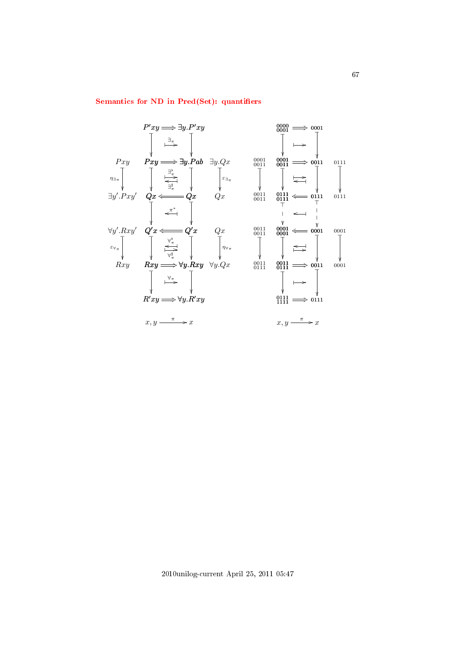### Semantics for ND in Pred(Set): quantifiers

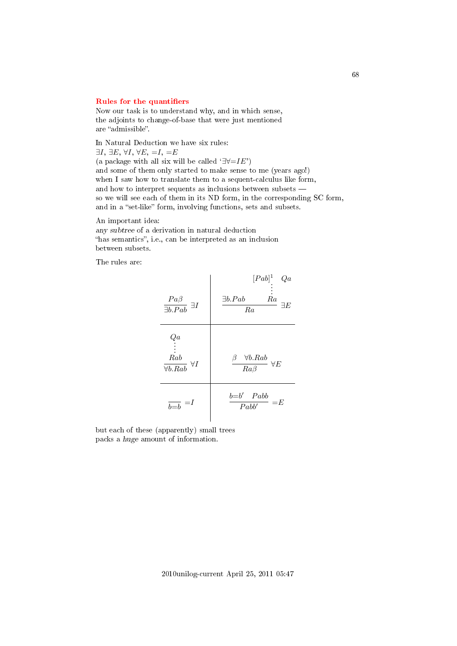#### Rules for the quantifiers

Now our task is to understand why, and in which sense, the adjoints to change-of-base that were just mentioned are "admissible".

In Natural Deduction we have six rules:  $\exists I, \exists E, \forall I, \forall E, =I, =E$ (a package with all six will be called  $\exists \forall = I E'$ ) and some of them only started to make sense to me (years ago!) when I saw how to translate them to a sequent-calculus like form, and how to interpret sequents as inclusions between subsets so we will see each of them in its ND form, in the corresponding SC form, and in a "set-like" form, involving functions, sets and subsets.

An important idea: any subtree of a derivation in natural deduction "has semantics", i.e., can be interpreted as an inclusion between subsets.

The rules are:



but each of these (apparently) small trees packs a huge amount of information.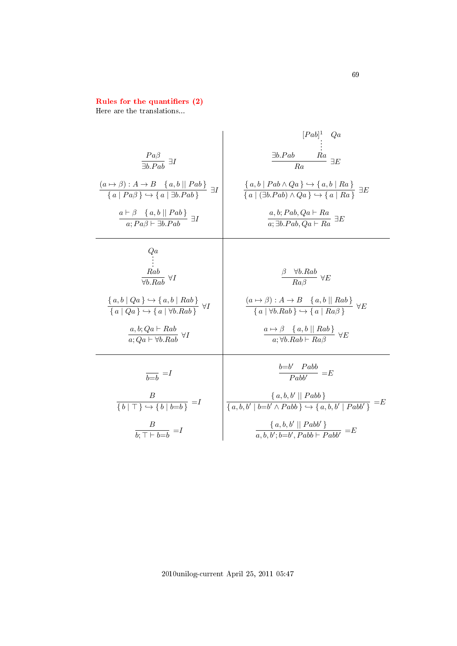### Rules for the quantifiers (2)

Here are the translations...

$$
\begin{array}{c|c|c}\n & \frac{Pa\beta}{\exists b.Pab} & \exists I & \frac{\exists b.Pab & Ra}{Ra} & \frac{[Pab]^1}{\forall Qa} \\
 & \frac{\exists b.Pab & Ra}{Ra} & \exists E \\
 & \frac{(a \rightarrow \beta) : A \rightarrow B \{a, b \mid Pab \}}{\{a \mid Pa\beta\} \rightarrow \{a \mid \exists b.Pab} \} & \exists I & \frac{\{a, b \mid Pab \land Qa\} \rightarrow \{a, b \mid Ra\}}{\{a \mid (\exists b.Pab) \land Qa\} \rightarrow \{a \mid Ra\}} & \exists E \\
 & \frac{a \vdash \beta \{a, b \mid Pab \}}{a; Pa\beta \vdash \exists b.Pab} & \exists I & \frac{a, b; Pab, Qa \vdash Ra}{a; \exists b.Pab, Qa \vdash Ra} & \exists E \\
 & \frac{Rab}{\forall b.Rab} & \forall I & \frac{\beta \quad \forall b.Rab}{Ra\beta} & \forall E \\
 & \frac{\{a, b \mid Qa\} \rightarrow \{a, b \mid Rab\}}{\{a \mid Qa\} \rightarrow \{a \mid \forall b.Rab\}} & \forall I & \frac{(a \rightarrow \beta) : A \rightarrow B \{a, b \mid Rab\}}{\{a \mid \forall b.Rab \} \rightarrow \{a \mid Ra\beta\}} & \forall E \\
 & \frac{a, b; Qa \vdash Rab}{a; Qa \vdash \forall b.Rab} & \forall I & \frac{a \mapsto \beta \{a, b \mid Rab\}}{\{a \mid \forall b.Rab \} \rightarrow \{a \mid Ra\beta\}} & \forall E \\
 & \frac{B}{b \doteq b} & \frac{B}{Pabb} & \frac{\{a, b, V \mid Pabb\}}{\{a, b, V \mid b \vdash b \land Pabb\}} & \exists E \\
 & \frac{B}{b; \top \vdash b \vdash b} & \frac{\{a, b, b' \mid Pabb\}}{\{a, b, b' \mid b \vdash b' \land Pabb\}} & \exists E \\
 & \frac{\{a, b, b' \mid Pabb\}}{\{a, b, b' \mid b \vdash b \land Pabb\}} & \exists E \\
 & \frac{\{a, b, b' \mid Pabb
$$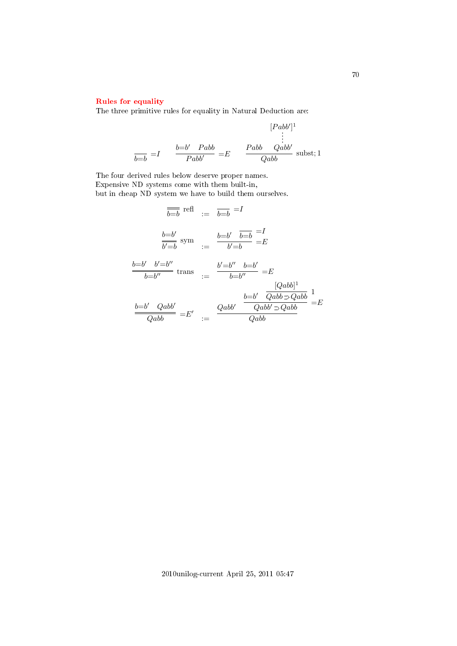# [Rules for equality](#page-3-16)

The three primitive rules for equality in Natural Deduction are:

$$
[Pabb']^{1}
$$
  

$$
\frac{b=b' \quad Pabb}{Pabb'} = E \qquad \frac{Pabb \quad Qabb'}{Qabb} \text{ substit; 1}
$$

The four derived rules below deserve proper names. Expensive ND systems come with them built-in, but in cheap ND system we have to build them ourselves.

$$
\overline{b=b} \text{ refl} := \overline{b=b} = I
$$
\n
$$
\frac{b=b'}{\overline{b'b}} \text{ sym} := \frac{b=b'}{b'b} = \frac{b}{b}
$$
\n
$$
\frac{b=b'}{b=b''} \text{ trans} := \frac{b'=b''}{b=b''} = E
$$
\n
$$
\frac{b=b'}{b=b''} \text{ trans} := \frac{b'=b''}{b=b''} = E
$$
\n
$$
\frac{[Qabb]^1}{Qabb} = E'
$$
\n
$$
\frac{b=b'}{Qabb} = E'
$$
\n
$$
\frac{Qabb'}{Qabb} = E
$$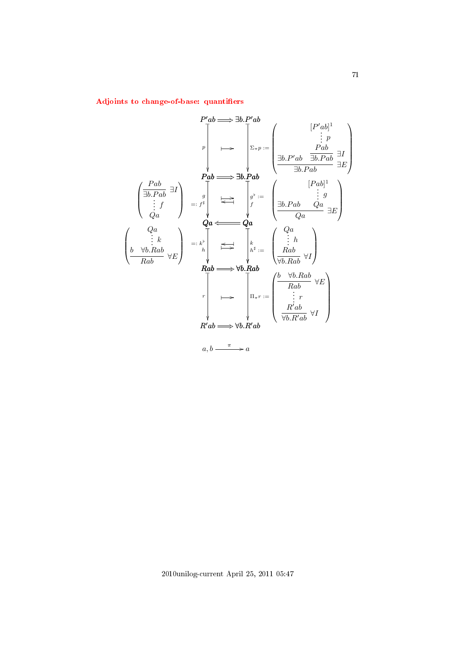Adjoints to change-of-base: quantifiers

$$
P'ab \implies \exists b. P'ab
$$
\n
$$
\downarrow \qquad \qquad [\begin{array}{c} P'ab \longrightarrow \exists b. P'ab \\ \vdots & \vdots \\ P'ab \longrightarrow \exists b. Pab \end{array}]
$$
\n
$$
\downarrow \qquad [\begin{array}{c} P'ab \longrightarrow \exists b. P'ab \\ \vdots & \vdots \\ Pab \longrightarrow \exists b. Pab \end{array}]
$$
\n
$$
\downarrow \qquad [\begin{array}{c} Pab \longrightarrow \exists b. Pab \\ \exists b. Pab \longrightarrow \exists b. Pab \end{array}]
$$
\n
$$
\downarrow \qquad [\begin{array}{c} Pab \longrightarrow \exists b. Pab \\ \vdots & \vdots \\ Pab \end{array}]
$$
\n
$$
\downarrow \qquad [\begin{array}{c} Qa \\ \vdots & \vdots \\ Qa \end{array}]
$$
\n
$$
\downarrow \qquad [\begin{array}{c} Qa \\ \vdots & \vdots \\ Qa \end{array}]
$$
\n
$$
\downarrow \qquad [\begin{array}{c} Qa \\ \vdots & \vdots \\ Qa \end{array}]
$$
\n
$$
\downarrow \qquad [\begin{array}{c} Qa \\ \vdots & \vdots \\ Qa \end{array}]
$$
\n
$$
\downarrow \qquad [\begin{array}{c} Qa \\ \vdots & \vdots \\ Qa \end{array}]
$$
\n
$$
\downarrow \qquad [\begin{array}{c} Qa \\ \vdots & \vdots \\ Qa \end{array}]
$$
\n
$$
\downarrow \qquad [\begin{array}{c} Qa \\ \vdots & \vdots \\ Qb \end{array}]
$$
\n
$$
\downarrow \qquad [\begin{array}{c} Qa \\ \vdots & \vdots \\ Qb \end{array}]
$$
\n
$$
\downarrow \qquad [\begin{array}{c} Qa \\ \vdots & \vdots \\ Qb \end{array}]
$$
\n
$$
\downarrow \qquad [\begin{array}{c} Qa \\ \vdots & \vdots \\ Qab \end{array}]
$$
\n
$$
\downarrow \qquad [\begin{array}{c} Qa \\ \vdots & \vdots \\ Qab \end{array}]
$$
\n
$$
\downarrow \qquad [\begin{array}{c} Qa \\ \vdots & \vdots \\ Qab \end{array}]
$$
\n
$$
\downarrow \qquad [\begin{array}{c} Qa \\ \vdots & \vdots \\ Qab \end{array}]
$$
\n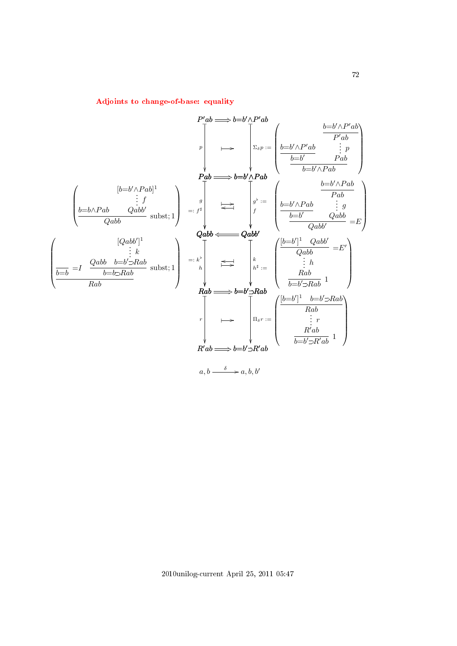$$
P'ab \longrightarrow b=b' \wedge P'ab
$$
\n
$$
\downarrow \qquad p \qquad \downarrow \qquad p \qquad \downarrow \qquad p \qquad \downarrow \qquad p \qquad \downarrow \qquad p \qquad \downarrow \qquad p \qquad \downarrow \qquad p \qquad \downarrow \qquad p \qquad \downarrow \qquad p \qquad \downarrow \qquad p \qquad \downarrow \qquad p \qquad \downarrow \qquad p \qquad \downarrow \qquad p \qquad \downarrow \qquad p \qquad \downarrow \qquad p \qquad \downarrow \qquad p \qquad \downarrow \qquad p \qquad \downarrow \qquad p \qquad \downarrow \qquad p \qquad \downarrow \qquad p \qquad \downarrow \qquad p \qquad \downarrow \qquad p \qquad \downarrow \qquad p \qquad \downarrow \qquad p \qquad \downarrow \qquad p \qquad \downarrow \qquad p \qquad \downarrow \qquad p \qquad \downarrow \qquad p \qquad \downarrow \qquad p \qquad \downarrow \qquad p \qquad \downarrow \qquad p \qquad \downarrow \qquad p \qquad \downarrow \qquad p \qquad \downarrow \qquad p \qquad \downarrow \qquad p \qquad \downarrow \qquad p \qquad \downarrow \qquad p \qquad \downarrow \qquad p \qquad \downarrow \qquad p \qquad \downarrow \qquad p \qquad \downarrow \qquad p \qquad \downarrow \qquad p \qquad \downarrow \qquad p \qquad \downarrow \qquad p \qquad \downarrow \qquad p \qquad \downarrow \qquad p \qquad \downarrow \qquad p \qquad \downarrow \qquad p \qquad \downarrow \qquad p \qquad \downarrow \qquad p \qquad \downarrow \qquad p \qquad \downarrow \qquad p \qquad \downarrow \qquad p \qquad \downarrow \qquad p \qquad \downarrow \qquad p \qquad \downarrow \qquad p \qquad \downarrow \qquad p \qquad \downarrow \qquad p \qquad \downarrow \qquad p \qquad \downarrow \qquad p \qquad \downarrow \qquad p \qquad \downarrow \qquad p \qquad \downarrow \qquad p \qquad \downarrow \qquad p \qquad \downarrow \qquad p \qquad \downarrow \qquad p \qquad \downarrow \qquad p \qquad \downarrow \qquad p \qquad \downarrow \qquad p \qquad \downarrow \qquad p \qquad \downarrow \qquad p \qquad \downarrow \qquad p \qquad \downarrow \qquad p \qquad \downarrow \qquad
$$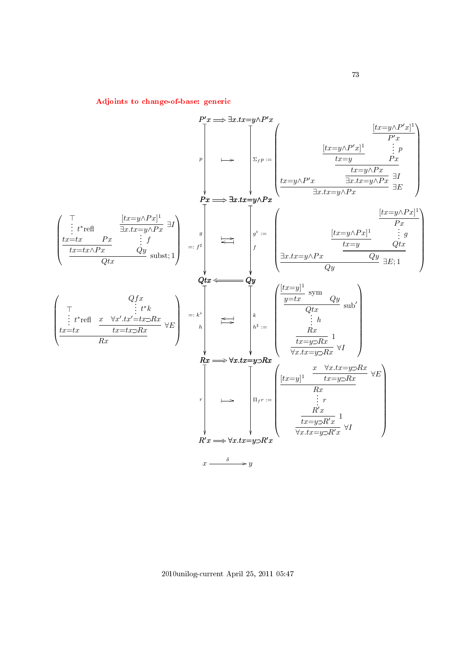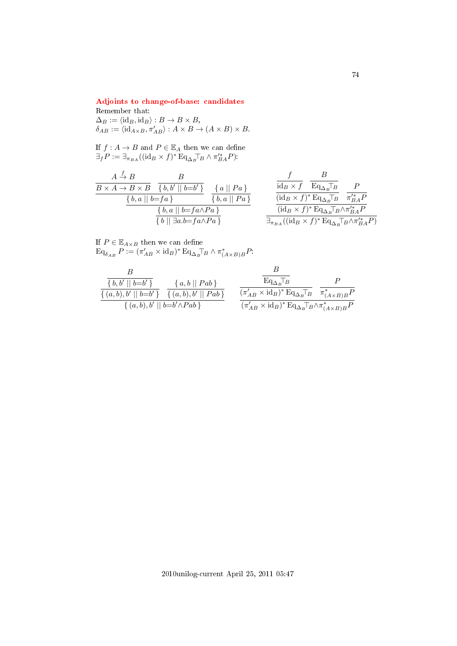# [Adjoints to change-of-base: candidates](#page-3-1)

# Remember that:  $\Delta_B := \langle \mathrm{id}_B, \mathrm{id}_B \rangle : B \to B \times B,$  $\delta_{AB} := \langle \mathrm{id}_{A \times B}, \pi'_{AB} \rangle : A \times B \to (A \times B) \times B.$

If  $f: A \to B$  and  $P \in \mathbb{E}_A$  then we can define  $\exists_f P := \exists_{\pi_{BA}} ((id_B \times f)^* \mathop{\mathrm{Eq}}\nolimits_{\Delta_B} \top_B \wedge \pi_{BA}^{\prime *} P).$ 

$$
\begin{array}{c|c|c} & A \xrightarrow{f} & B & B \\ \hline B \times A \to B \times B & \{b,b'\mid b=b'\} & \{a\mid\mid Pa\} & \text{if } \\ \hline & \{b,a\mid\mid b=fa\} & \{b,a\mid\mid Pa\} & \text{if } \\ \hline & \{b,a\mid\mid b=fa \land Pa\} & \text{if } \\ \hline & \{b\mid\mid \exists a.b = fa \land Pa\} & \text{if } \\ \hline \end{array} \qquad \begin{array}{c} f & B \\ \hline \text{id}_B \times f & \overline{\text{Eq}_{\Delta_B} \top_B} & P \\ \hline & \text{id}_B \times f)^* \text{Eq}_{\Delta_B} \overline{\text{Eq}} & \pi^{\prime *}_{BA} P \\ \hline & \text{id}_B \times f)^* \text{Eq}_{\Delta_B} \overline{\text{Eq}} \wedge \pi^{\prime *}_{BA} P \\ \end{array}
$$

If  $P \in \mathbb{E}_{A \times B}$  then we can define  $\operatorname{Eq}_{\delta_{AB}} P := (\pi'_{AB} \times \mathrm{id}_B)^* \operatorname{Eq}_{\Delta_B} \top_B \wedge \pi^*_{(A \times B)B} P$ 

$$
\frac{B}{\{b,b'\mid b=b'\}} \quad \frac{\{a,b\mid Pab\}}{\{(a,b),b'\mid b=b'\}} \quad \frac{\{a,b\mid Pab\}}{\{(a,b),b'\mid b=b'\}} \quad \frac{\overline{\text{Eq}_{\Delta_B}T_B}}{\{\pi'_{AB} \times \text{id}_B\}^* \text{Eq}_{\Delta_B}T_B} \quad \frac{P}{\pi^*_{(A \times B)B}P} \quad \frac{\{\pi^*_{(A \times B)B}B}{\{a,b\}\}^* \text{Eq}_{\Delta_B}T_B \times \pi^*_{(A \times B)B}P}}{\{\pi'_{AB} \times \text{id}_B\}^* \text{Eq}_{\Delta_B}T_B \times \pi^*_{(A \times B)B}P}
$$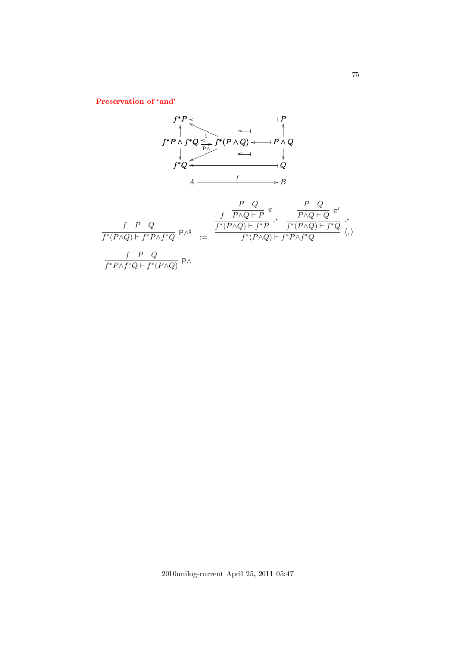Preservation of 'and'

$$
f^{*}P \leftarrow f^{*}Q \leftarrow f^{*}(P \land Q) \leftarrow P \land Q
$$
\n
$$
f^{*}Q \leftarrow f^{*}(P \land Q) \leftarrow f^{*}Q
$$
\n
$$
A \leftarrow f^{*}Q \leftarrow f^{*}(P \land Q) \leftarrow f^{*}Q \land Q
$$
\n
$$
A \leftarrow f^{*}Q \leftarrow f^{*}Q \land Q
$$
\n
$$
B
$$
\n
$$
\frac{f}{f^{*}(P \land Q) \vdash f^{*}P \land f^{*}Q} P \land^{\natural} = \frac{f^{*}(P \land Q) \vdash f^{*}P}{f^{*}(P \land Q) \vdash f^{*}P} \cdot^{*} \frac{f^{*}(P \land Q) \vdash f^{*}Q}{f^{*}(P \land Q) \vdash f^{*}P \land f^{*}Q} \leftarrow f^{*}P \land f^{*}Q}
$$
\n
$$
\frac{f}{f^{*}P \land f^{*}Q \vdash f^{*}(P \land Q)} P \land
$$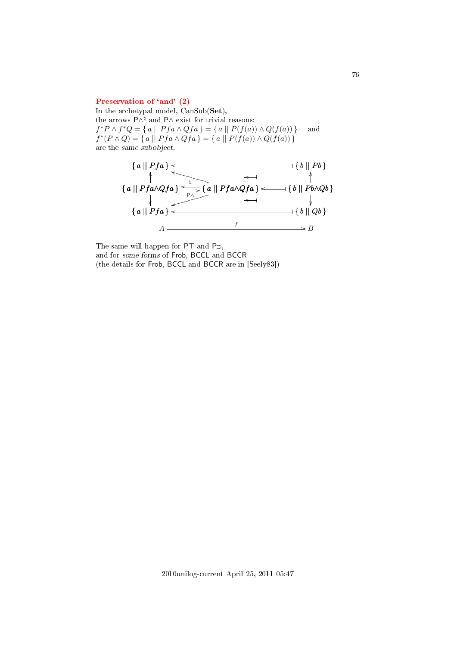#### Preservation of 'and' (2)

In the archetypal model, CanSub(Set), the arrows  $P \wedge^{\natural}$  and  $P \wedge$  exist for trivial reasons:  $f^*P \wedge f^*Q = \{ a \mid Pfa \wedge Qfa \} = \{ a \mid P(f(a)) \wedge Q(f(a)) \}$  and  $f^*(P \wedge Q) = \{ a \mid Pfa \wedge Qfa \} = \{ a \mid P(f(a)) \wedge Q(f(a)) \}$ are the same subobject.



The same will happen for  $PT$  and  $P\supset$ , and for some forms of Frob, BCCL and BCCR (the details for Frob, BCCL and BCCR are in [Seely83])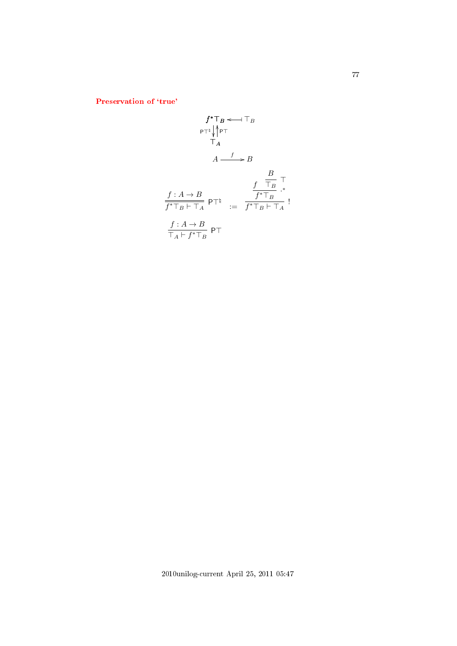Preservation of 'true'

$$
f^*T_B \leftarrow T_B
$$
\n
$$
\begin{array}{ccc}\n & & & \uparrow^* \uparrow^* & & \uparrow^* \\
 & & & \uparrow^* & & \uparrow^* \\
 & & & \uparrow^* & & \uparrow^* \\
 & & & A & \xrightarrow{f} & & \downarrow^* \\
 & & & A & \xrightarrow{f} & & \uparrow^* \\
 & & & & \uparrow^* \uparrow^* & & \uparrow^* \\
 & & & & \uparrow^* \uparrow^* & & \uparrow^* \\
 & & & & \uparrow^* \uparrow^* & & \uparrow^* \\
 & & & & \uparrow^* & & \uparrow^* \\
 & & & & \uparrow^* & & \uparrow^* \\
 & & & & \uparrow^* & & \uparrow^* & & \uparrow^* \\
 & & & & & \uparrow^* & & \uparrow^* \\
 & & & & & \uparrow^* & & \uparrow^* & & \uparrow\n\end{array}
$$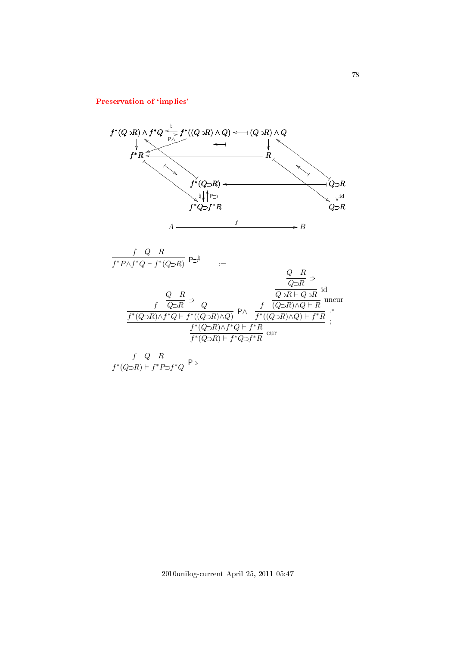## Preservation of 'implies'

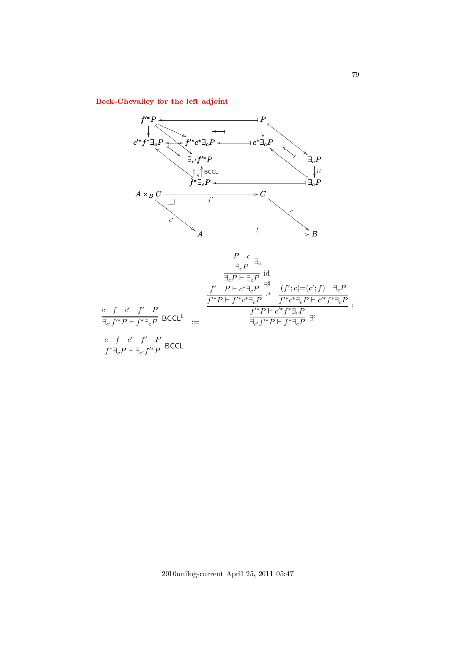[Beck-Chevalley for the left adjoint](#page-3-6)

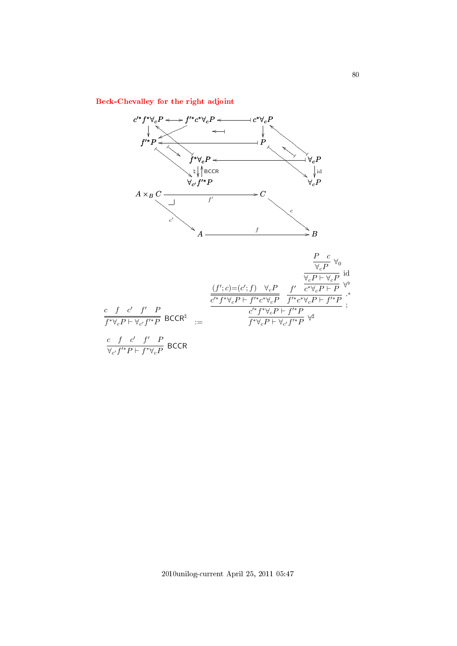[Beck-Chevalley for the right adjoint](#page-3-7)

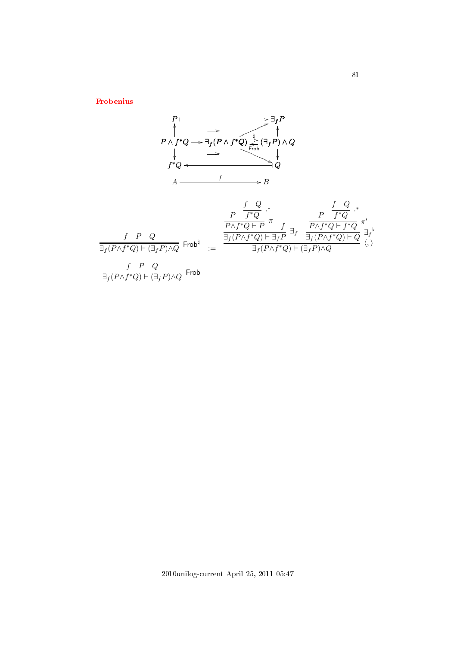[Frobenius](#page-3-8)

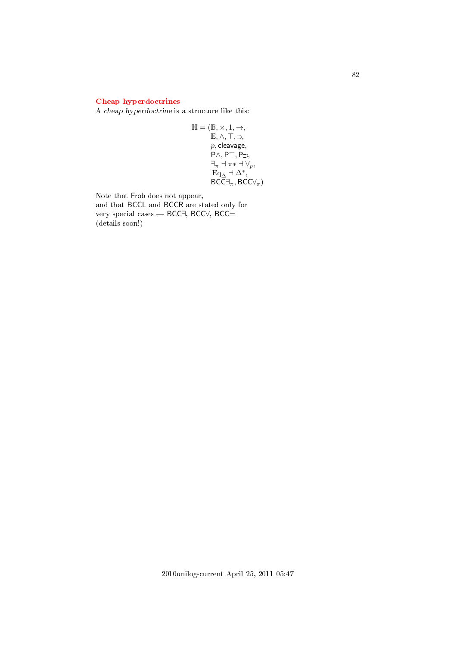# [Cheap hyperdoctrines](#page-3-9)

A cheap hyperdoctrine is a structure like this:

$$
\mathbb{H} = (\mathbb{B}, \times, 1, \rightarrow, \mathbb{E}, \land, \top, \supset, \n p, cleavage, \n P\land, PT, P\supset, \n \exists_{\pi} \neg \pi * \neg \forall_{p}, \n \quad \mathbf{Eq}_{\Delta} \neg \Delta^*, \n \quad \mathbf{BCC} \exists_{\pi}, \mathbf{BCC} \forall_{\pi})
$$

Note that Frob does not appear, and that BCCL and BCCR are stated only for very special cases — BCC∃, BCC∀, BCC= (details soon!)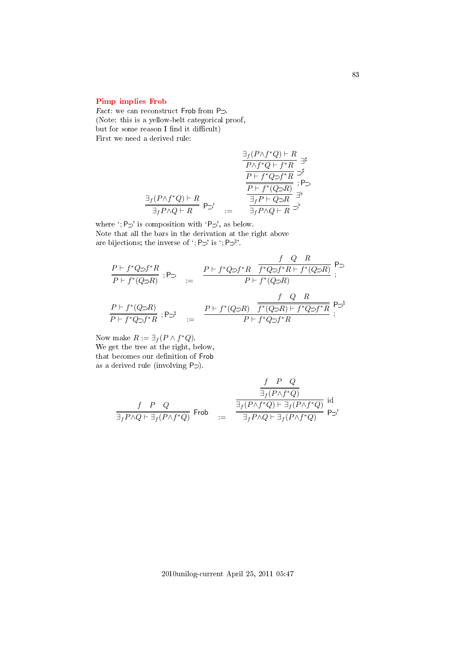## [Pimp implies Frob](#page-3-10)

Fact: we can reconstruct Frob from  $P \supset$ . (Note: this is a yellow-belt categorical proof, but for some reason I find it difficult) First we need a derived rule:

$$
\frac{\exists_{f}(P \land f^*Q) \vdash R}{\frac{P \land f^*Q \vdash f^*R}{P \vdash f^*Q \supset f^*R}} \overset{\exists}{\Rightarrow^{\sharp}} \frac{\frac{\exists_{f}(P \land f^*Q) \vdash R}{\Rightarrow^{\sharp}}}{\frac{P \vdash f^*Q \supset f^*R}{\frac{\exists_{f}P \vdash Q \supset R}{\Rightarrow^{\sharp}}}} \overset{\exists}{\Rightarrow^{\sharp}} \frac{\exists_{f}P \land Q \vdash R}{\Rightarrow^{\sharp}} \frac{\exists_{f}P \land Q \vdash R}{\Rightarrow^{\sharp}} \Rightarrow^{\sharp}
$$

where  $\cdot$ ; P $\supset$  is composition with  $\cdot$ P $\supset$ , as below. Note that all the bars in the derivation at the right above are bijections; the inverse of ';  $P \supset '$  is ';  $P \supset^{\natural}$ '.

$$
\begin{array}{ccc} \frac{P\vdash f^*Q\supset f^*R}{P\vdash f^*(Q\supset R)}\ ; \mathsf{P}\supset&:=&\frac{P\vdash f^*Q\supset f^*R\quad \overline{f^*Q\supset f^*R\vdash f^*(Q\supset R)}}{P\vdash f^*(Q\supset R)}\ ;\\ \\ \frac{P\vdash f^*(Q\supset R)}{P\vdash f^*Q\supset f^*R}\ ; \mathsf{P}\supset^{\natural}&:=&\frac{P\vdash f^*(Q\supset R)\quad \overline{f^*(Q\supset R)\vdash f^*Q\supset f^*R}}{P\vdash f^*Q\supset f^*R}\ ; \end{array}
$$

Now make  $R := \exists_f (P \wedge f^*Q).$ We get the tree at the right, below, that becomes our definition of Frob as a derived rule (involving  $P \supset$ ).

$$
\begin{array}{rcl} \frac{f & P & Q \\ \frac{}{\exists_f(P\wedge f^*Q)} \\ \frac{}{\exists_f P\wedge Q\vdash \exists_f(P\wedge f^*Q)}} & \mathrm{Frob} \\ \frac{}{\exists_f(P\wedge f^*Q)\vdash \exists_f(P\wedge f^*Q)}} & \mathrm{P}\supset' \end{array} \mathop{\mathrm{id}}\nolimits_{\exists_f(P\wedge f^*Q)} \frac{}{\exists_f(P\wedge f^*Q)} \mathop{\mathrm{Proj}}\nolimits_{\exists_f(P\wedge f^*Q)} \mathop{\mathrm{proj}}\nolimits_{\exists_f(P\wedge f^*Q)} \mathop{\mathrm{proj}}\nolimits_{\exists_f(P\wedge f^*Q)} \mathop{\mathrm{proj}}\nolimits_{\exists_f(P\wedge f^*Q)} \mathop{\mathrm{proj}}\nolimits_{\exists_f(P\wedge f^*Q)} \mathop{\mathrm{proj}}\nolimits_{\exists_f(P\wedge f^*Q)} \mathop{\mathrm{proj}}\nolimits_{\exists_f(P\wedge f^*Q)} \mathop{\mathrm{proj}}\nolimits_{\exists_f(P\wedge f^*Q)} \mathop{\mathrm{proj}}\nolimits_{\exists_f(P\wedge f^*Q)} \mathop{\mathrm{proj}}\nolimits_{\exists_f(P\wedge f^*Q)} \mathop{\mathrm{proj}}\nolimits_{\exists_f(P\wedge f^*Q)} \mathop{\mathrm{proj}}\nolimits_{\exists_f(P\wedge f^*Q)} \mathop{\mathrm{proj}}\nolimits_{\exists_f(P\wedge f^*Q)} \mathop{\mathrm{proj}}\nolimits_{\exists_f(P\wedge f^*Q)} \mathop{\mathrm{proj}}\nolimits_{\exists_f(P\wedge f^*Q)} \mathop{\mathrm{proj}}\nolimits_{\exists_f(P\wedge f^*Q)} \mathop{\mathrm{proj}}\nolimits_{\exists_f(P\wedge f^*Q)} \mathop{\mathrm{proj}}\nolimits_{\exists_f(P\wedge f^*Q)} \mathop{\mathrm{proj}}\nolimits_{\exists_f(P\wedge f^*Q)} \mathop{\mathrm{proj}}\nolimits_{\exists_f(P\wedge f^*Q)} \mathop{\mathrm{proj}}\nolimits_{\exists_f(P\wedge f^*Q)} \mathop{\mathrm{proj}}\nolimits_{\exists_f(P\wedge f^*Q)} \mathop{\mathrm{proj}}\nolimits_{\exists_f(P\wedge f^*Q)} \mathop{\mathrm{proj}}\nolimits_{\exists_f(P\wedge f^*Q)} \mathop{\mathrm{proj}}\nol
$$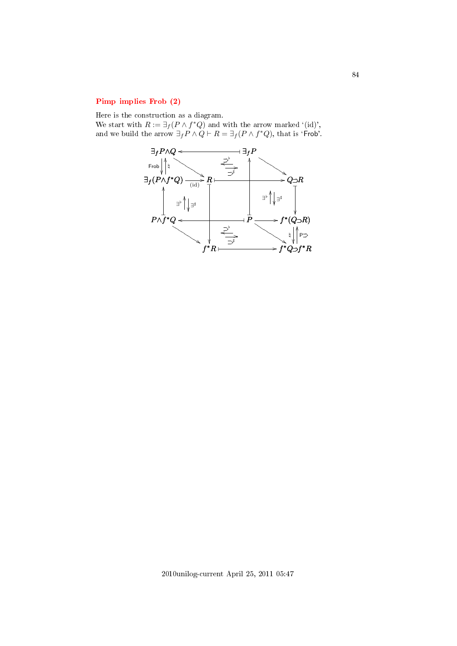# [Pimp implies Frob \(2\)](#page-3-11)

Here is the construction as a diagram.

We start with  $R := \exists_f (P \wedge f^*Q)$  and with the arrow marked '(id)', and we build the arrow  $\exists_f P \land Q \vdash R = \exists_f (P \land f^*Q)$ , that is 'Frob'.

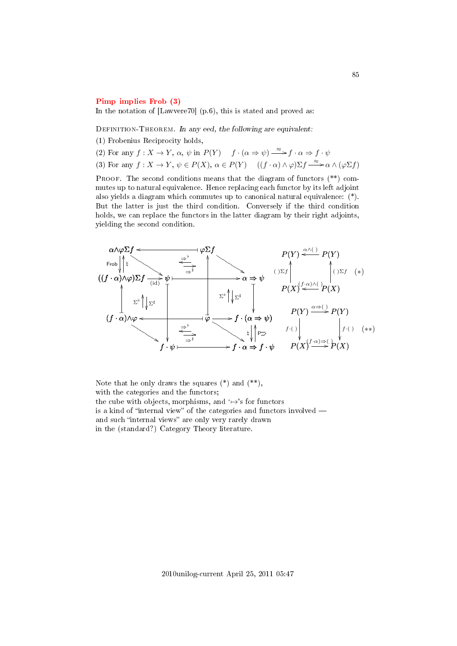#### [Pimp implies Frob \(3\)](#page-3-12)

In the notation of [Lawvere70] (p.6), this is stated and proved as:

DEFINITION-THEOREM. In any eed, the following are equivalent:

(1) Frobenius Reciprocity holds,

(2) For any  $f: X \to Y$ ,  $\alpha$ ,  $\psi$  in  $P(Y)$   $f \cdot (\alpha \Rightarrow \psi) \stackrel{\approx}{\longrightarrow} f \cdot \alpha \Rightarrow f \cdot \psi$ (3) For any  $f: X \to Y, \psi \in P(X), \alpha \in P(Y)$   $((f \cdot \alpha) \wedge \varphi) \Sigma f \xrightarrow{\approx} \alpha \wedge (\varphi \Sigma f)$ 

PROOF. The second conditions means that the diagram of functors  $(**)$  commutes up to natural equivalence. Hence replacing each functor by its left adjoint also yields a diagram which commutes up to canonical natural equivalence: (\*). But the latter is just the third condition. Conversely if the third condition holds, we can replace the functors in the latter diagram by their right adjoints, yielding the second condition.



Note that he only draws the squares  $(*)$  and  $(**)$ . with the categories and the functors; the cube with objects, morphisms, and  $\leftrightarrow$ 's for functors is a kind of "internal view" of the categories and functors involved  $$ and such "internal views" are only very rarely drawn in the (standard?) Category Theory literature.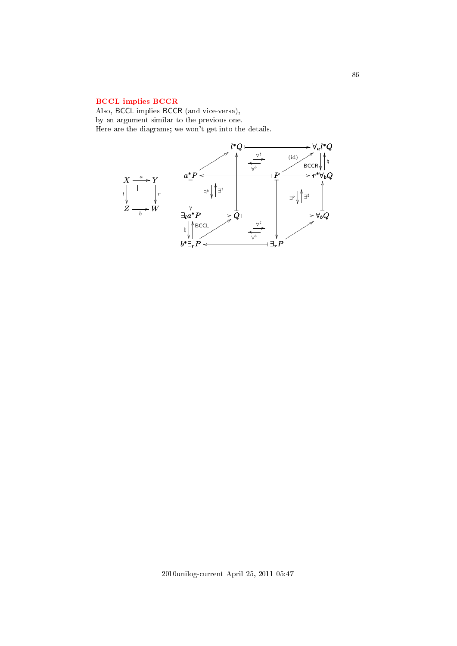# [BCCL implies BCCR](#page-3-13)

Also, BCCL implies BCCR (and vice-versa), by an argument similar to the previous one. Here are the diagrams; we won't get into the details.

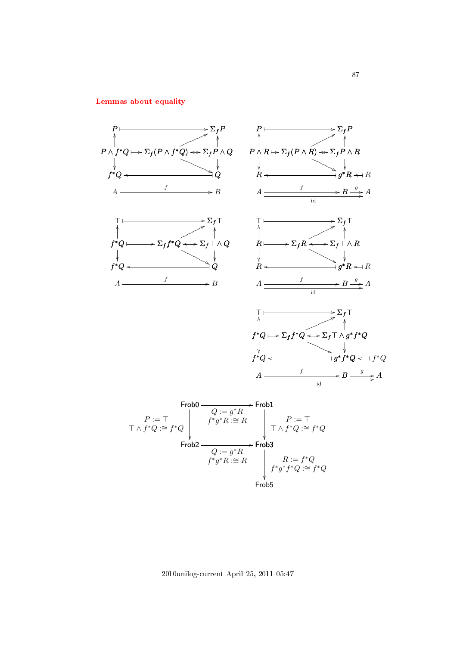[Lemmas about equality](#page-3-14)



2010unilog-current April 25, 2011 05:47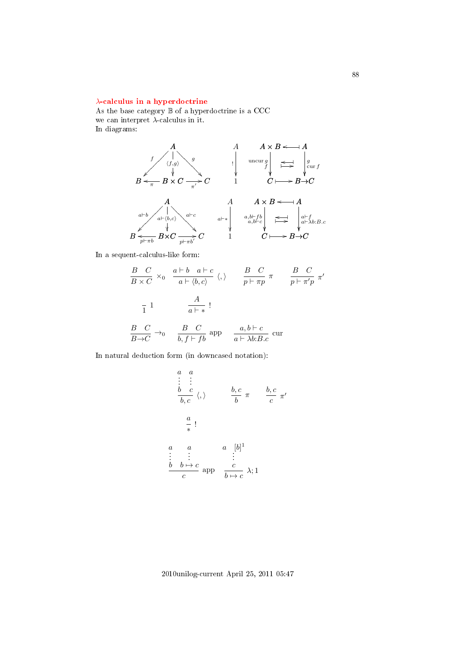## λ[-calculus in a hyperdoctrine](#page-3-15)

As the base category  $\mathbb B$  of a hyperdoctrine is a CCC we can interpret  $\lambda$ -calculus in it. In diagrams:



In a sequent-calculus-like form:

$$
\frac{B}{B \times C} \times_0 \frac{a \vdash b \quad a \vdash c}{a \vdash \langle b, c \rangle} \langle, \rangle \qquad \frac{B}{p \vdash \pi p} \pi \qquad \frac{B}{p \vdash \pi' p} \pi'
$$
  

$$
\frac{1}{1} \qquad \frac{A}{a \vdash *}!
$$
  

$$
\frac{B}{B \to C} \to_0 \qquad \frac{B}{b, f \vdash fb} \text{ and } \qquad \frac{a, b \vdash c}{a \vdash \lambda b : B.c} \text{ cur}
$$

In natural deduction form (in downcased notation):

$$
\begin{array}{cccc}\n a & a \\
 \vdots & \vdots \\
 b & c \\
 \hline\n b, c & \langle, \rangle\n \end{array}\n \qquad\n \begin{array}{cccc}\n b, c \\
 \hline\n b & \pi & \frac{b, c}{c} \pi\n \end{array}\n \qquad\n \begin{array}{cccc}\n \hline\n b, c \\
 \hline\n \pi & \frac{b, c}{c} \pi\n \end{array}
$$
\n
$$
\begin{array}{cccc}\n a & a & [b]^1 \\
 \vdots & \vdots & \vdots \\
 c & \frac{b & b \mapsto c}{c} \text{ app} & \frac{c}{b \mapsto c} \lambda; 1\n \end{array}
$$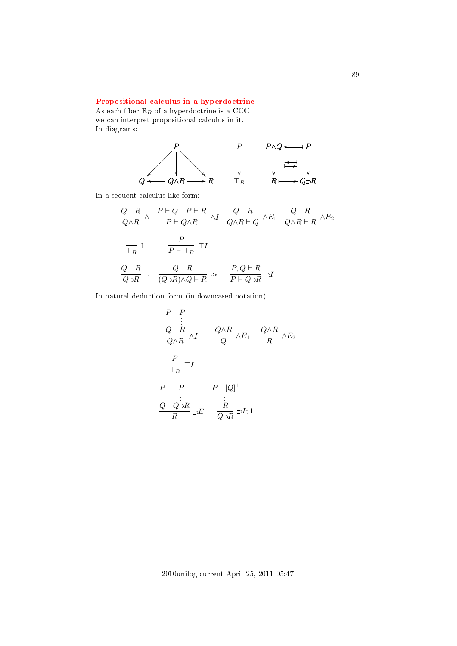# [Propositional calculus in a hyperdoctrine](#page-3-16)

As each fiber  $\mathbb{E}_B$  of a hyperdoctrine is a CCC we can interpret propositional calculus in it. In diagrams:



In a sequent-calculus-like form:

$$
\frac{Q-R}{Q\wedge R} \wedge \frac{P\vdash Q \quad P\vdash R}{P\vdash Q\wedge R} \wedge I \quad \frac{Q-R}{Q\wedge R\vdash Q} \wedge E_1 \quad \frac{Q-R}{Q\wedge R\vdash R} \wedge E_2
$$
\n
$$
\frac{P}{\top_B} 1 \qquad \frac{P}{P\vdash \top_B} \top I
$$
\n
$$
\frac{Q-R}{Q\supset R} \supset \frac{Q-R}{(Q\supset R)\wedge Q\vdash R} \text{ev} \quad \frac{P,Q\vdash R}{P\vdash Q\supset R} \supset I
$$

In natural deduction form (in downcased notation):

$$
\begin{array}{ccc}\nP & P \\
\vdots & \vdots \\
Q & R \\
\hline\nQ \wedge R & \wedge I\n\end{array}\n\qquad\n\begin{array}{ccc}\nQ \wedge R & & Q \wedge R \\
\hline\nQ & \wedge E_1 & \frac{Q \wedge R}{R} \wedge E_2\n\end{array}
$$
\n
$$
\begin{array}{ccc}\nP & P & P & [Q]^1 \\
\vdots & \vdots & \vdots \\
Q & Q \supset R & \supset E & \frac{R}{Q \supset R} \supset I;1\n\end{array}
$$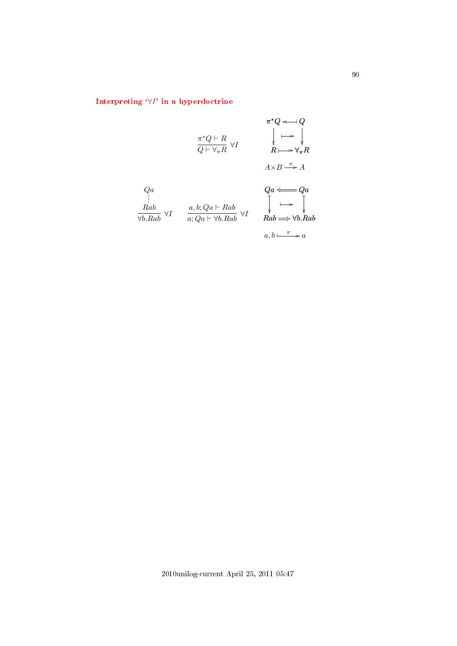# Interpreting  $\forall I$ [' in a hyperdoctrine](#page-3-17)

$$
\pi^*Q \longleftarrow Q
$$
\n
$$
\pi^*Q \longleftarrow R
$$
\n
$$
\downarrow \longleftarrow \downarrow
$$
\n
$$
\downarrow \longleftarrow \downarrow
$$
\n
$$
\downarrow \longleftarrow \downarrow
$$
\n
$$
R \longmapsto \forall_{\pi}R
$$
\n
$$
A \times B \xrightarrow{\pi} A
$$
\n
$$
Qa
$$
\n
$$
\vdots
$$
\n
$$
Rab
$$
\n
$$
\forall I \qquad \begin{array}{c} a, b; Qa \longleftarrow Rab \\ \hline a; Qa \longleftarrow \forall I \end{array} \qquad \begin{array}{c} Qa \longleftarrow Qa \\ \hline a \longleftarrow Qa \\ \hline a; Qa \longleftarrow \forall I \end{array} \qquad \begin{array}{c} Qa \longleftarrow Qa \\ \hline a; Qa \longleftarrow \forall I \end{array} \qquad \begin{array}{c} Qa \longleftarrow Qa \\ \hline a; Qa \longleftarrow \forall I \end{array} \qquad \begin{array}{c} Qa \longleftarrow \forall I \\ \hline a; Qa \longleftarrow \forall I \end{array} \qquad \begin{array}{c} Qa \longleftarrow \forall I \\ \hline a; Qa \longleftarrow \forall I \end{array} \qquad \begin{array}{c} Qa \longleftarrow \forall I \\ \hline a; Qa \longleftarrow \forall I \end{array} \qquad \begin{array}{c} Qa \longleftarrow \forall I \\ \hline a; Qa \longleftarrow \forall I \end{array} \qquad \begin{array}{c} Qa \longleftarrow \forall I \\ \hline a; Qa \longleftarrow \forall I \end{array} \qquad \begin{array}{c} Qa \longleftarrow \forall I \\ \hline a; Qa \longleftarrow \forall I \end{array} \qquad \begin{array}{c} Qa \longleftarrow \forall I \\ \hline a; Qa \longleftarrow \forall I \end{array} \qquad \begin{array}{c} Qa \longleftarrow \forall I \\ \hline a; Qa \longleftarrow \forall I \end{array} \qquad \begin{array}{c} Qa \longleftarrow \forall I \\ \hline a; Qa \longleftarrow \forall I \end{array} \qquad \begin{array}{c} Qa \longleftarrow \forall I \\ \hline a; Qa \longleftarrow \forall I \end{array} \qquad \begin{array}{c} Qa \longleftarrow \forall I \\ \hline a; Q
$$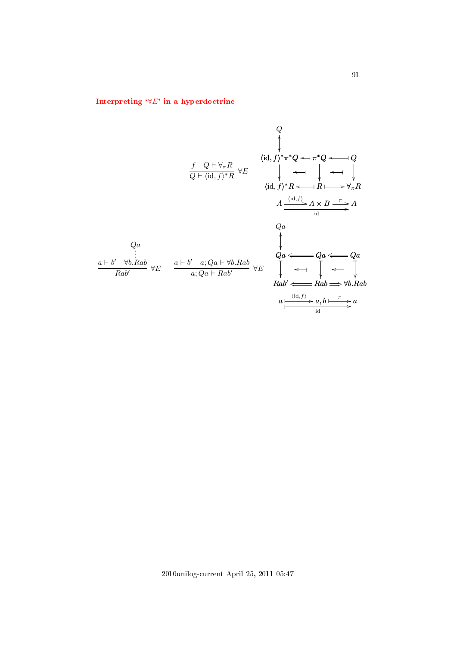# Interpreting  $\forall E'$  in a hyperdoctrine

Q  
\n
$$
\oint_{Q} \langle id, f \rangle^* \pi^* Q \leftarrow \pi^* Q \leftarrow Q
$$
\n
$$
\oint_{Q} \langle id, f \rangle^* \pi^* Q \leftarrow \pi^* Q \leftarrow Q
$$
\n
$$
\langle id, f \rangle^* R \leftarrow R \leftarrow \mathcal{H} \leftarrow \mathcal{H}
$$
\n
$$
\langle id, f \rangle^* R \leftarrow R \leftarrow \mathcal{H} \leftarrow \mathcal{H} \leftarrow \mathcal{H} \leftarrow \mathcal{H} \leftarrow \mathcal{H} \leftarrow \mathcal{H} \leftarrow \mathcal{H} \leftarrow \mathcal{H} \leftarrow \mathcal{H} \leftarrow \mathcal{H} \leftarrow \mathcal{H} \leftarrow \mathcal{H} \leftarrow \mathcal{H} \leftarrow \mathcal{H} \leftarrow \mathcal{H} \leftarrow \mathcal{H} \leftarrow \mathcal{H} \leftarrow \mathcal{H} \leftarrow \mathcal{H} \leftarrow \mathcal{H} \leftarrow \mathcal{H} \leftarrow \mathcal{H} \leftarrow \mathcal{H} \leftarrow \mathcal{H} \leftarrow \mathcal{H} \leftarrow \mathcal{H} \leftarrow \mathcal{H} \leftarrow \mathcal{H} \leftarrow \mathcal{H} \leftarrow \mathcal{H} \leftarrow \mathcal{H} \leftarrow \mathcal{H} \leftarrow \mathcal{H} \leftarrow \mathcal{H} \leftarrow \mathcal{H} \leftarrow \mathcal{H} \leftarrow \mathcal{H} \leftarrow \mathcal{H} \leftarrow \mathcal{H} \leftarrow \mathcal{H} \leftarrow \mathcal{H} \leftarrow \mathcal{H} \leftarrow \mathcal{H} \leftarrow \mathcal{H} \leftarrow \mathcal{H} \leftarrow \mathcal{H} \leftarrow \mathcal{H} \leftarrow \mathcal{H} \leftarrow \mathcal{H} \leftarrow \mathcal{H} \leftarrow \mathcal{H} \leftarrow \mathcal{H} \leftarrow \mathcal{H} \leftarrow \mathcal{H} \leftarrow \mathcal{H} \leftarrow \mathcal{H} \leftarrow \mathcal{H} \leftarrow \mathcal{H} \leftarrow \mathcal{H} \leftarrow \mathcal{H} \leftarrow \mathcal{H} \leftarrow \mathcal{H} \leftarrow \mathcal{H} \leftarrow \mathcal{H} \leftarrow \mathcal{H} \leftarrow \mathcal{H} \leftarrow \mathcal{H} \leftarrow \mathcal{H} \leftarrow \mathcal{H} \
$$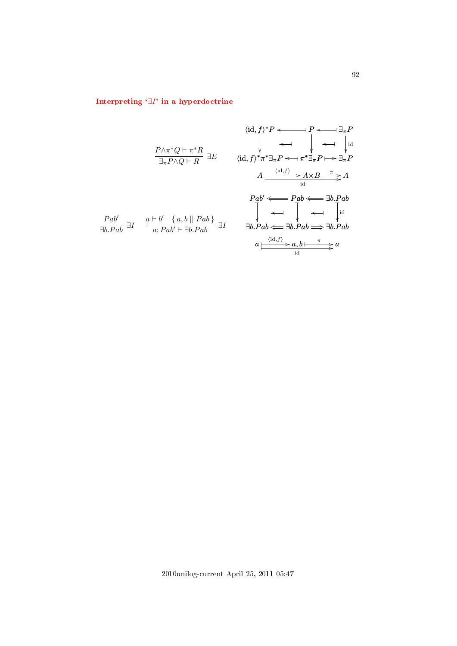# Interpreting `∃I[' in a hyperdoctrine](#page-3-19)

$$
\langle id, f \rangle^* P \longleftarrow \longrightarrow P \longleftarrow \exists_{\pi} P
$$
\n
$$
\downarrow \longleftarrow \longrightarrow \longrightarrow \exists_{\pi} P
$$
\n
$$
\downarrow \longleftarrow \longrightarrow \longrightarrow \exists_{\pi} P
$$
\n
$$
\downarrow \longleftarrow \longrightarrow \longrightarrow \exists_{\pi} P
$$
\n
$$
\downarrow \longleftarrow \longrightarrow \exists_{\pi} P
$$
\n
$$
\downarrow \longleftarrow \longrightarrow \exists_{\pi} P
$$
\n
$$
\downarrow \longleftarrow \longrightarrow \exists_{\pi} P
$$
\n
$$
A \xrightarrow{\langle id, f \rangle} \pi^* \exists_{\pi} P \longleftarrow \pi^* \exists_{\pi} P \longmapsto \exists_{\pi} P
$$
\n
$$
A \xrightarrow{\langle id, f \rangle} A \times B \xrightarrow{\pi} A
$$
\n
$$
\downarrow \longrightarrow \exists_{\text{id}}
$$
\n
$$
\downarrow \longrightarrow \exists_{\text{id}}
$$
\n
$$
\downarrow \longrightarrow \exists_{\text{id}}
$$
\n
$$
\downarrow \longrightarrow \exists_{\text{id}}
$$
\n
$$
\downarrow \longrightarrow \exists_{\text{id}}
$$
\n
$$
\downarrow \longrightarrow \exists_{\text{id}}
$$
\n
$$
\downarrow \longleftarrow \longrightarrow \exists_{\text{id}}
$$
\n
$$
\downarrow \longleftarrow \longrightarrow \exists_{\text{id}}
$$
\n
$$
\downarrow \longleftarrow \longrightarrow \exists_{\text{id}}
$$
\n
$$
\downarrow \longleftarrow \longrightarrow \exists_{\text{id}}
$$
\n
$$
\downarrow \longleftarrow \longrightarrow \exists_{\text{id}}
$$
\n
$$
\downarrow \longleftarrow \longrightarrow \exists_{\text{id}}
$$
\n
$$
\downarrow \longleftarrow \longrightarrow \exists_{\text{id}}
$$
\n
$$
\downarrow \longleftarrow \longrightarrow \exists_{\text{id}}
$$
\n
$$
\downarrow \longleftarrow \longrightarrow \exists_{\text{id}}
$$
\n
$$
\downarrow \longleftarrow \longrightarrow \exists_{\text{id}}
$$
\n
$$
\downarrow \longleftarrow \longrightarrow \exists_{\text{id}}
$$
\n
$$
\downarrow \longleftarrow \longrightarrow \exists_{\text{id}}
$$
\n
$$
\downarrow \longleftarrow \longrightarrow \exists_{\text{id}}
$$
\n
$$
\downarrow \longleftarrow \longrightarrow \exists_{\text{id}}
$$
\n<math display="</math>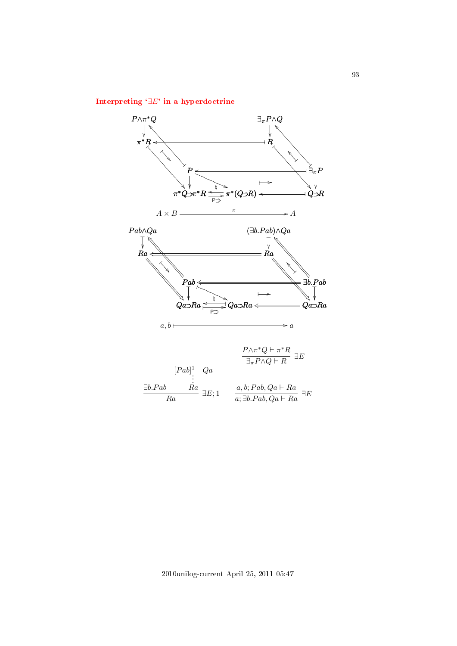# Interpreting `∃E[' in a hyperdoctrine](#page-3-20)

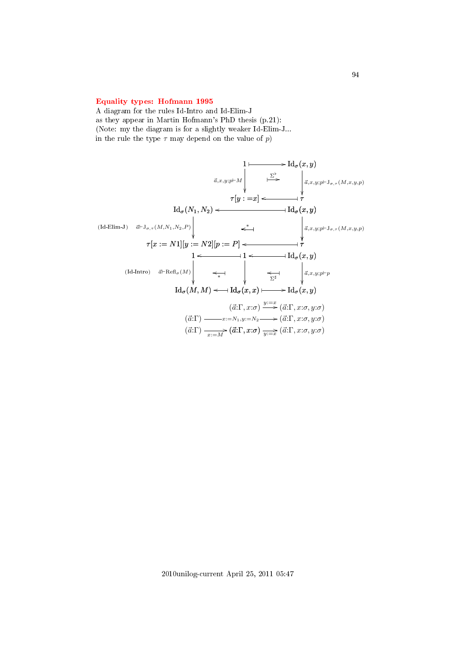## [Equality types: Hofmann 1995](#page-3-21)

A diagram for the rules Id-Intro and Id-Elim-J as they appear in Martin Hofmann's PhD thesis (p.21): (Note: my the diagram is for a slightly weaker Id-Elim-J... in the rule the type  $\tau$  may depend on the value of p)

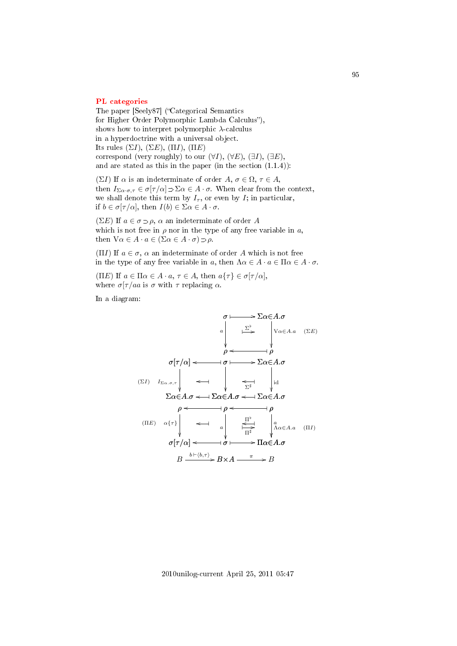#### [PL categories](#page-3-22)

The paper [Seely87] ("Categorical Semantics for Higher Order Polymorphic Lambda Calculus"), shows how to interpret polymorphic  $\lambda$ -calculus in a hyperdoctrine with a universal object. Its rules  $(\Sigma I)$ ,  $(\Sigma E)$ ,  $(\Pi I)$ ,  $(\Pi E)$ correspond (very roughly) to our  $(\forall I)$ ,  $(\forall E)$ ,  $(\exists I)$ ,  $(\exists E)$ , and are stated as this in the paper (in the section (1.1.4)):

(ΣI) If  $\alpha$  is an indeterminate of order  $A, \sigma \in \Omega, \tau \in A$ , then  $I_{\Sigma\alpha\cdot\sigma,\tau} \in \sigma[\tau/\alpha] \supset \Sigma\alpha \in A\cdot\sigma$ . When clear from the context, we shall denote this term by  $I_{\tau}$ , or even by I; in particular, if  $b \in \sigma[\tau/\alpha]$ , then  $I(b) \in \Sigma \alpha \in A \cdot \sigma$ .

( $\Sigma E$ ) If  $a \in \sigma \supset \rho$ ,  $\alpha$  an indeterminate of order A which is not free in  $\rho$  nor in the type of any free variable in a, then  $\forall \alpha \in A \cdot a \in (\Sigma \alpha \in A \cdot \sigma) \supset \rho$ .

(ΠI) If  $a \in \sigma$ ,  $\alpha$  an indeterminate of order A which is not free in the type of any free variable in a, then  $\Lambda \alpha \in A \cdot a \in \Pi \alpha \in A \cdot \sigma$ .

(ΠE) If  $a \in \Pi \alpha \in A \cdot a, \tau \in A$ , then  $a\{\tau\} \in \sigma[\tau/\alpha]$ , where  $\sigma[\tau/aa$  is  $\sigma$  with  $\tau$  replacing  $\alpha$ .

In a diagram:

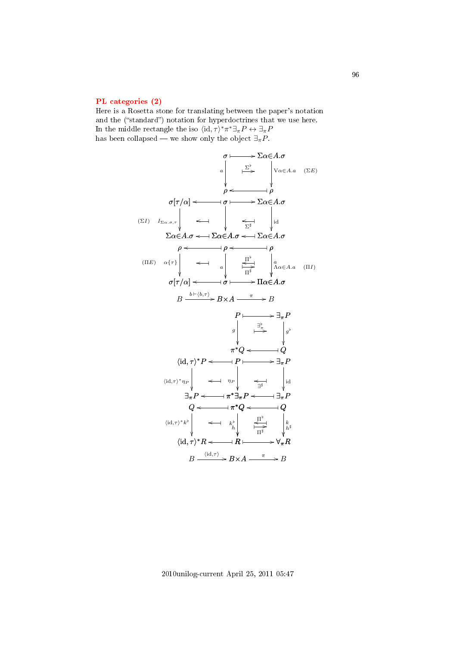### [PL categories \(2\)](#page-4-0)

Here is a Rosetta stone for translating between the paper's notation and the ("standard") notation for hyperdoctrines that we use here. In the middle rectangle the iso  $\langle id, \tau \rangle^* \pi^* \exists_{\pi} P \leftrightarrow \exists_{\pi} P$ has been collapsed — we show only the object  $\exists_{\pi} P$ .



2010unilog-current April 25, 2011 05:47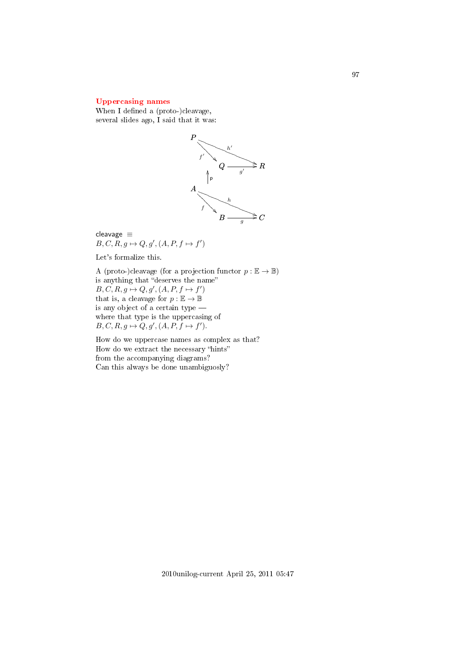## [Uppercasing names](#page-4-1)

When I defined a (proto-)cleavage, several slides ago, I said that it was:



cleavage ≡  $B, C, R, g \mapsto Q, g', (A, P, f \mapsto f')$ 

Let's formalize this.

A (proto-)cleavage (for a projection functor  $p : \mathbb{E} \to \mathbb{B}$ ) is anything that "deserves the name"  $B, C, R, g \mapsto Q, g', (A, P, f \mapsto f')$ that is, a cleavage for  $p : \mathbb{E} \to \mathbb{B}$ is any object of a certain type where that type is the uppercasing of  $B, C, R, g \mapsto Q, g', (A, P, f \mapsto f').$ 

How do we uppercase names as complex as that? How do we extract the necessary "hints" from the accompanying diagrams? Can this always be done unambiguosly?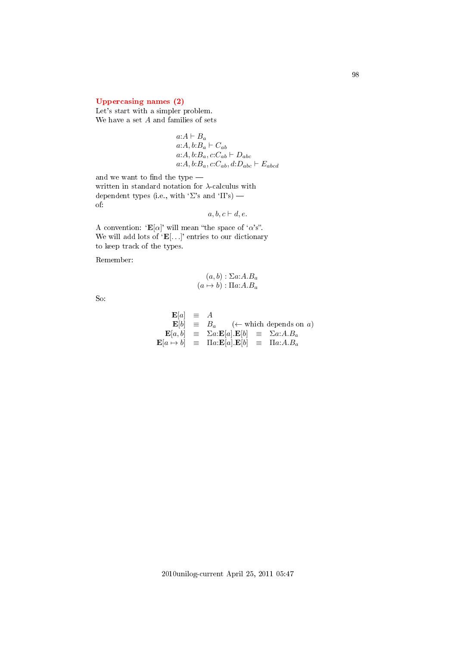## [Uppercasing names \(2\)](#page-4-2)

Let's start with a simpler problem. We have a set  $A$  and families of sets

> $a:A \vdash B_a$  $a:A, b:B_a \vdash C_{ab}$  $a:A, b:B_a, c:C_{ab} \vdash D_{abc}$  $a:A, b:B_a, c:C_{ab}, d:D_{abc} \vdash E_{abcd}$

and we want to find the type  $-\;$ written in standard notation for  $\lambda$ -calculus with dependent types (i.e., with ' $\Sigma$ 's and ' $\Pi$ 's) of:

 $a, b, c \vdash d, e.$ 

A convention: ' $\mathbf{E}[\alpha]$ ' will mean "the space of ' $\alpha$ 's". We will add lots of  $E[...]$  entries to our dictionary to keep track of the types.

Remember:

$$
(a, b) : \Sigma a:A.B_a
$$

$$
(a \mapsto b) : \Pi a:A.B_a
$$

So:

$$
\begin{array}{rcl}\n\mathbf{E}[a] & \equiv & A \\
\mathbf{E}[b] & \equiv & B_a \quad (\leftarrow \text{ which depends on } a) \\
\mathbf{E}[a, b] & \equiv & \Sigma a : \mathbf{E}[a] . \mathbf{E}[b] & \equiv & \Sigma a : A . B_a \\
\mathbf{E}[a \mapsto b] & \equiv & \Pi a : \mathbf{E}[a] . \mathbf{E}[b] & \equiv & \Pi a : A . B_a\n\end{array}
$$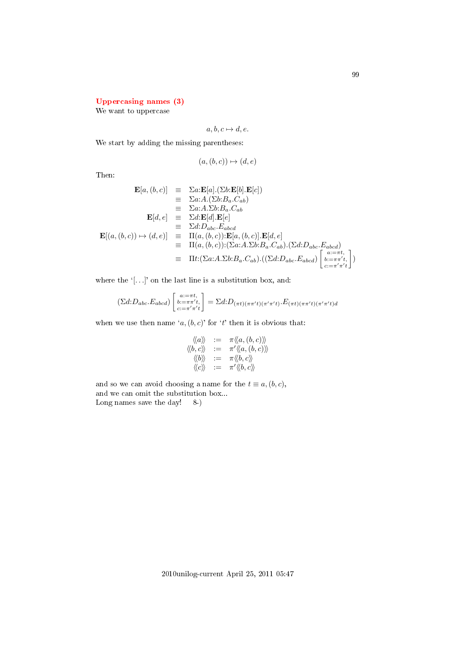# [Uppercasing names \(3\)](#page-4-3)

We want to uppercase

$$
a, b, c \mapsto d, e.
$$

We start by adding the missing parentheses:

$$
(a,(b,c)) \mapsto (d,e)
$$

Then:

$$
\mathbf{E}[a, (b, c)] \equiv \Sigma a : \mathbf{E}[a] \cdot (\Sigma b : \mathbf{E}[b] \cdot \mathbf{E}[c])
$$
  
\n
$$
\equiv \Sigma a : A \cdot (\Sigma b : B_a \cdot C_{ab})
$$
  
\n
$$
\equiv \Sigma a : A \cdot \Sigma b : B_a \cdot C_{ab}
$$
  
\n
$$
\mathbf{E}[d, e] \equiv \Sigma d : \mathbf{E}[d] \cdot \mathbf{E}[e]
$$
  
\n
$$
\equiv \Sigma d : D_{abc} \cdot E_{abcd}
$$
  
\n
$$
\mathbf{E}[(a, (b, c)) \mapsto (d, e)] \equiv \Pi(a, (b, c)) : \mathbf{E}[a, (b, c)] \cdot \mathbf{E}[d, e]
$$
  
\n
$$
\equiv \Pi(a, (b, c)) : (\Sigma a : A \cdot \Sigma b : B_a \cdot C_{ab}) \cdot (\Sigma d : D_{abc} \cdot E_{abcd})
$$
  
\n
$$
\equiv \Pi t : (\Sigma a : A \cdot \Sigma b : B_a \cdot C_{ab}) \cdot ((\Sigma d : D_{abc} \cdot E_{abcd}) \begin{bmatrix} a : = \pi t \\ b : = \pi r' t \\ c : = \pi' \pi' t \end{bmatrix})
$$

where the  $'$ [ $\dots$ ]' on the last line is a substitution box, and:

$$
(\Sigma d: D_{abc}.E_{abcd})\begin{bmatrix} a:=\pi t, \\ b:=\pi\pi't, \\ c:=\pi'\pi't \end{bmatrix} = \Sigma d: D_{(\pi t)(\pi\pi' t)(\pi'\pi' t)} \cdot E_{(\pi t)(\pi\pi' t)(\pi'\pi' t)d}
$$

when we use then name  $(a, (b, c))$  for 't' then it is obvious that:

$$
\begin{array}{rcl}\langle\!\langle a\rangle\!\rangle&:=&\pi\langle\!\langle a,(b,c)\rangle\!\rangle\\\langle\!\langle b,c\rangle\!\rangle&:=&\pi'\langle\!\langle a,(b,c)\rangle\!\rangle\\\langle\!\langle b\rangle\!\rangle&:=&\pi\langle\!\langle b,c\rangle\!\rangle\\\langle\!\langle c\rangle\!\rangle&:=&\pi'\langle\!\langle b,c\rangle\!\rangle\end{array}
$$

and so we can avoid choosing a name for the  $t \equiv a,(b,c)$ , and we can omit the substitution box... Long names save the day! 8-)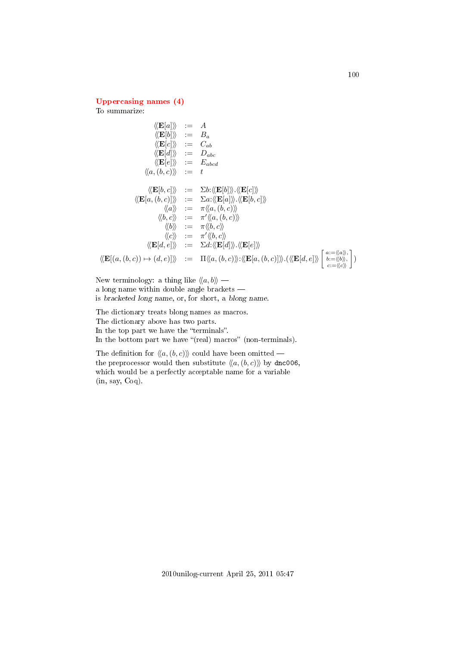## [Uppercasing names \(4\)](#page-4-4)

To summarize:

$$
\langle \langle \mathbf{E}[a] \rangle \rangle := A
$$
  
\n
$$
\langle \langle \mathbf{E}[b] \rangle \rangle := B_a
$$
  
\n
$$
\langle \langle \mathbf{E}[c] \rangle \rangle := C_{ab}
$$
  
\n
$$
\langle \langle \mathbf{E}[d] \rangle \rangle := D_{abc}
$$
  
\n
$$
\langle \langle \mathbf{E}[e] \rangle \rangle := E_{abcd}
$$
  
\n
$$
\langle \langle a, (b, c) \rangle \rangle := \Sigma b : \langle \langle \mathbf{E}[b] \rangle \rangle \langle \langle \mathbf{E}[c] \rangle \rangle
$$
  
\n
$$
\langle \langle \mathbf{E}[a, (b, c)] \rangle \rangle := \Sigma a : \langle \langle \mathbf{E}[a] \rangle \rangle \langle \langle \mathbf{E}[b, c] \rangle \rangle
$$
  
\n
$$
\langle \langle a \rangle \rangle := \pi \langle \langle a, (b, c) \rangle \rangle
$$
  
\n
$$
\langle \langle b \rangle \rangle := \pi \langle \langle a, (b, c) \rangle \rangle
$$
  
\n
$$
\langle \langle b \rangle \rangle := \pi \langle \langle b, c \rangle \rangle
$$
  
\n
$$
\langle \langle \mathbf{E}[d, e] \rangle \rangle := \Sigma d : \langle \langle \mathbf{E}[d] \rangle \rangle \langle \langle \mathbf{E}[e] \rangle \rangle
$$
  
\n
$$
\langle \langle \mathbf{E}[a, (b, c) \rangle \rangle \rangle := \Sigma d : \langle \langle \mathbf{E}[d] \rangle \rangle \langle \langle \mathbf{E}[e] \rangle \rangle
$$
  
\n
$$
\langle \langle \mathbf{E}[(a, (b, c)) \mapsto (d, e)] \rangle \rangle := \Pi \langle \langle a, (b, c) \rangle \rangle : \langle \langle \mathbf{E}[a, (b, c)] \rangle \rangle \langle \langle \langle \mathbf{E}[d, e] \rangle \rangle \rangle \Big|_{c := \langle \langle c \rangle \rangle}^{a := \langle \langle a \rangle \rangle, b = c}
$$

New terminology: a thing like  $\langle \langle a, b \rangle \rangle$  a long name within double angle brackets is bracketed long name, or, for short, a blong name.

The dictionary treats blong names as macros. The dictionary above has two parts. In the top part we have the "terminals". In the bottom part we have "(real) macros" (non-terminals).

The definition for  $\langle\langle a, (b, c)\rangle\rangle$  could have been omitted – the preprocessor would then substitute  $\langle\langle a, (b, c)\rangle\rangle$  by dnc006, which would be a perfectly acceptable name for a variable (in, say, Coq).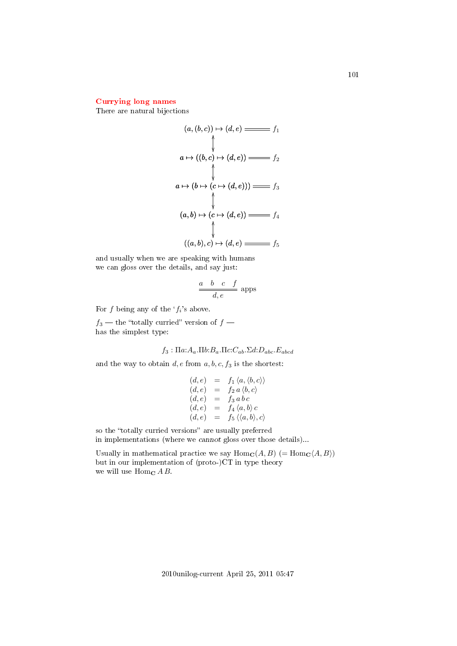## [Currying long names](#page-4-5)

There are natural bijections

$$
(a, (b, c)) \mapsto (d, e) \longrightarrow f_1
$$
\n
$$
\uparrow
$$
\n
$$
a \mapsto ((b, c) \mapsto (d, e)) \longrightarrow f_2
$$
\n
$$
\uparrow
$$
\n
$$
a \mapsto (b \mapsto (c \mapsto (d, e))) \longrightarrow f_3
$$
\n
$$
(a, b) \mapsto (c \mapsto (d, e)) \longrightarrow f_4
$$
\n
$$
\uparrow
$$
\n
$$
((a, b), c) \mapsto (d, e) \longrightarrow f_5
$$

and usually when we are speaking with humans we can gloss over the details, and say just:

$$
\frac{a \quad b \quad c \quad f}{d, e}
$$
 apps

For f being any of the  $f_i$ 's above.

 $f_3$  — the "totally curried" version of  $f$  has the simplest type:

$$
f_3: \Pi a: A_a.\Pi b: B_a.\Pi c: C_{ab}.\Sigma d: D_{abc}.\mathbb{E}_{abcd}
$$

and the way to obtain  $d, e$  from  $a, b, c, f_3$  is the shortest:

$$
(d, e) = f_1 \langle a, \langle b, c \rangle \rangle
$$
  
\n
$$
(d, e) = f_2 a \langle b, c \rangle
$$
  
\n
$$
(d, e) = f_3 a b c
$$
  
\n
$$
(d, e) = f_4 \langle a, b \rangle c
$$
  
\n
$$
(d, e) = f_5 \langle \langle a, b \rangle, c \rangle
$$

so the "totally curried versions" are usually preferred in implementations (where we cannot gloss over those details)...

Usually in mathematical practice we say  $\text{Hom}_{\mathbf{C}}(A, B)$  (=  $\text{Hom}_{\mathbf{C}}(A, B)$ ) but in our implementation of (proto-)CT in type theory we will use Hom<sub>c</sub>  $A B$ .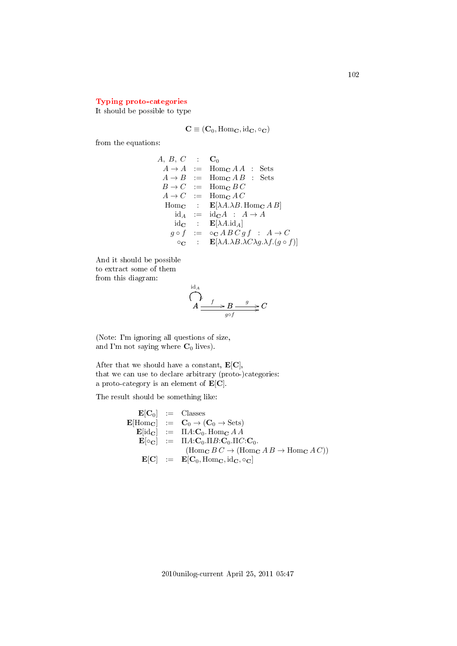## [Typing proto-categories](#page-4-6)

It should be possible to type

$$
\mathbf{C} \equiv (\mathbf{C}_0, \mathrm{Hom}_\mathbf{C}, \mathrm{id}_\mathbf{C}, \circ_\mathbf{C})
$$

from the equations:

 $A, B, C \quad : \quad \mathbf{C}_0$  $A \rightarrow A$  := Hom<sub>c</sub>  $A A$  : Sets  $A \rightarrow B$  := Hom<sub>C</sub>  $A B$  : Sets  $B \to C$  := Hom<sub>c</sub> BC  $A \rightarrow C$  := Hom<sub>c</sub>  $AC$ Hom<sub>c</sub> :  $\mathbf{E}[\lambda A. \lambda B.$  Hom<sub>c</sub> A B  $id_A := id_C A : A \rightarrow A$ id<sub>C</sub> :  $\mathbf{E}[\lambda A. \text{id}_A]$  $g \circ f$  :=  $\circ_{\mathbf{C}} \mathit{ABC} \mathit{gf}$  :  $A \to C$  $\circ_{\mathbf{C}}$  :  $\mathbf{E}[\lambda A.\lambda B.\lambda C\lambda g.\lambda f.(g \circ f)]$ 

And it should be possible to extract some of them from this diagram:

$$
\bigcap_{A}^{id_A} A \xrightarrow{f} B \xrightarrow{g} C
$$

(Note: I'm ignoring all questions of size, and I'm not saying where  $C_0$  lives).

After that we should have a constant,  $\mathbf{E}[\mathbf{C}]$ , that we can use to declare arbitrary (proto-)categories: a proto-category is an element of  $\mathbf{E}[\mathbf{C}]$ .

The result should be something like:

$$
\begin{array}{rcl}\n\mathbf{E}[\mathbf{C}_0] & := & \text{Classes} \\
\mathbf{E}[\text{Hom}_{\mathbf{C}}] & := & \mathbf{C}_0 \rightarrow (\mathbf{C}_0 \rightarrow \text{Sets}) \\
\mathbf{E}[\text{id}_{\mathbf{C}}] & := & \Pi A: \mathbf{C}_0. \text{Hom}_{\mathbf{C}} A A \\
\mathbf{E}[\circ_{\mathbf{C}}] & := & \Pi A: \mathbf{C}_0. \Pi B: \mathbf{C}_0. \Pi C: \mathbf{C}_0. \\
& & (\text{Hom}_{\mathbf{C}} B C \rightarrow (\text{Hom}_{\mathbf{C}} A B \rightarrow \text{Hom}_{\mathbf{C}} A C)) \\
\mathbf{E}[\mathbf{C}] & := & \mathbf{E}[\mathbf{C}_0, \text{Hom}_{\mathbf{C}}, \text{id}_{\mathbf{C}}, \circ_{\mathbf{C}}]\n\end{array}
$$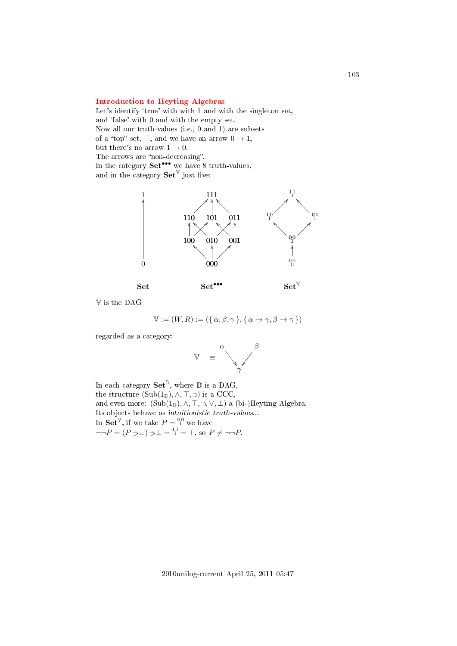## [Introduction to Heyting Algebras](#page-4-7)

Let's identify 'true' with with 1 and with the singleton set, and 'false' with 0 and with the empty set. Now all our truth-values (i.e., 0 and 1) are subsets of a "top" set,  $\top$ , and we have an arrow  $0 \to 1$ , but there's no arrow  $1 \rightarrow 0$ . The arrows are "non-decreasing". In the category  $\mathbf{Set}^{\bullet\bullet\bullet}$  we have 8 truth-values, and in the category  $\mathbf{Set}^{\mathbb{V}}$  just five:



V is the DAG

$$
\mathbb{V} := (W, R) := (\{ \alpha, \beta, \gamma \}, \{ \alpha \to \gamma, \beta \to \gamma \})
$$

regarded as a category:



In each category  $\mathbf{Set}^{\mathbb{D}}$ , where  $\mathbb D$  is a DAG, the structure  $(Sub(1_{\mathbb{D}}), \wedge, \top, \supset)$  is a CCC, and even more:  $(Sub(1_{\mathbb{D}}), \wedge, \top, \supset, \vee, \bot)$  a (bi-)Heyting Algebra. Its objects behave as intuitionistic truth-values... In  $\mathbf{Set}^{\mathbb{V}}$ , if we take  $P = \mathbb{S}^0$  we have  $\neg\neg P = (P \supset \bot) \supset \bot = \frac{11}{1} = \top$ , so  $P \neq \neg \neg P$ .

103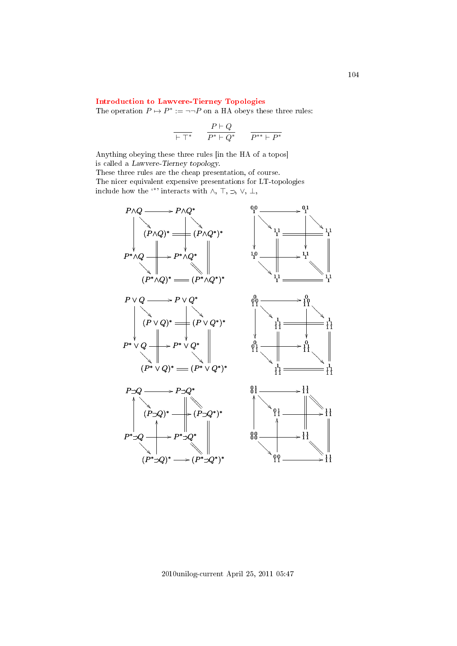# [Introduction to Lawvere-Tierney Topologies](#page-4-8)

The operation  $P \mapsto P^* := \neg \neg P$  on a HA obeys these three rules:

$$
\frac{}{\vdash \top^\ast}\qquad \frac{P\vdash Q}{P^\ast\vdash Q^\ast}\qquad \frac{}{P^{\ast\ast}\vdash P^\ast}
$$

Anything obeying these three rules [in the HA of a topos] is called a Lawvere-Tierney topology.

These three rules are the cheap presentation, of course. The nicer equivalent expensive presentations for LT-topologies include how the <sup>\*\*</sup>' interacts with  $\wedge$ ,  $\top$ ,  $\supset$ ,  $\vee$ ,  $\bot$ ,



2010unilog-current April 25, 2011 05:47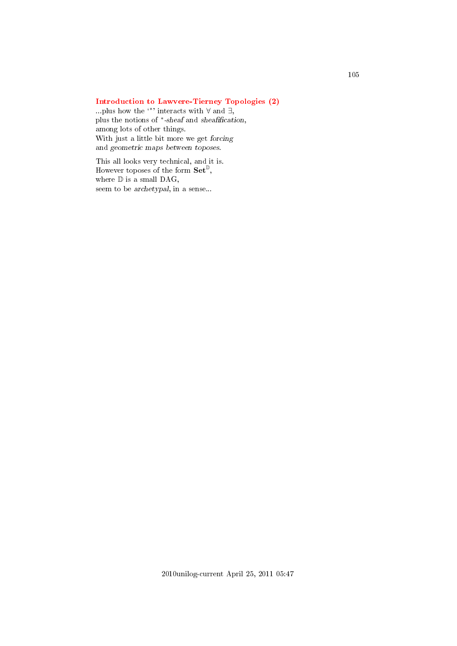# [Introduction to Lawvere-Tierney Topologies \(2\)](#page-4-9)

...plus how the  $\cdot\cdot\cdot$  interacts with  $\forall$  and  $\exists$ , plus the notions of \*-sheaf and sheafification, among lots of other things. With just a little bit more we get forcing and geometric maps between toposes.

This all looks very technical, and it is. However toposes of the form  $\mathbf{Set}^{\mathbb{D}}$ , where  $\mathbb D$  is a small DAG, seem to be archetypal, in a sense...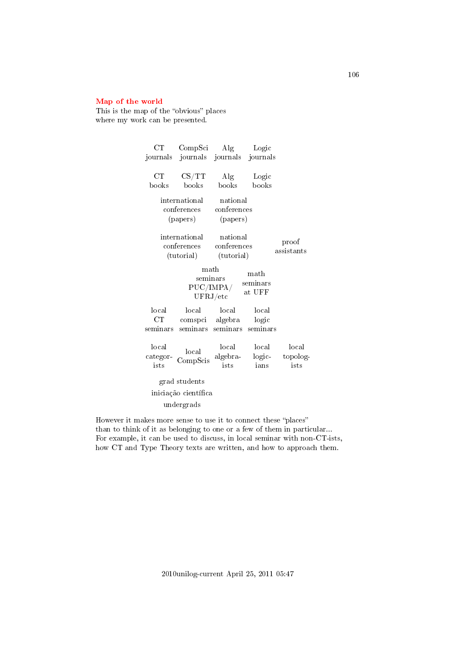## [Map of the world](#page-4-10)

This is the map of the "obvious" places where my work can be presented.

| $_{\rm CT}$                                                                                    | CompSci                              | Alg                                   | Logic                      |                           |
|------------------------------------------------------------------------------------------------|--------------------------------------|---------------------------------------|----------------------------|---------------------------|
| journals                                                                                       |                                      | journals journals                     | journals                   |                           |
| CT<br>books                                                                                    | $\text{CS}/\text{TT}$<br>books       | Alg<br>books                          | Logic<br>books             |                           |
| national<br>international<br>conferences<br>conferences<br>(papers)<br>(papers)                |                                      |                                       |                            |                           |
| international<br>conferences<br>(tutorial)                                                     |                                      | national<br>conferences<br>(tutorial) |                            | proof<br>assistants       |
| math<br>$\mathop{\rm math}$<br>seminars<br>seminars<br>PUC/IMPA/<br>at UFF<br>${\rm UFRJ/etc}$ |                                      |                                       |                            |                           |
| local<br>$_{\rm CT}$<br>seminars                                                               | local<br>comspci algebra<br>seminars | local<br>seminars                     | local<br>logic<br>seminars |                           |
| local<br>categor-<br>ists                                                                      | local<br>CompScis                    | local<br>algebra-<br>ists             | local<br>logic-<br>ians    | local<br>topolog-<br>ists |
| grad students<br>iniciação científica<br>undergrads                                            |                                      |                                       |                            |                           |

However it makes more sense to use it to connect these "places" than to think of it as belonging to one or a few of them in particular... For example, it can be used to discuss, in local seminar with non-CT-ists, how CT and Type Theory texts are written, and how to approach them.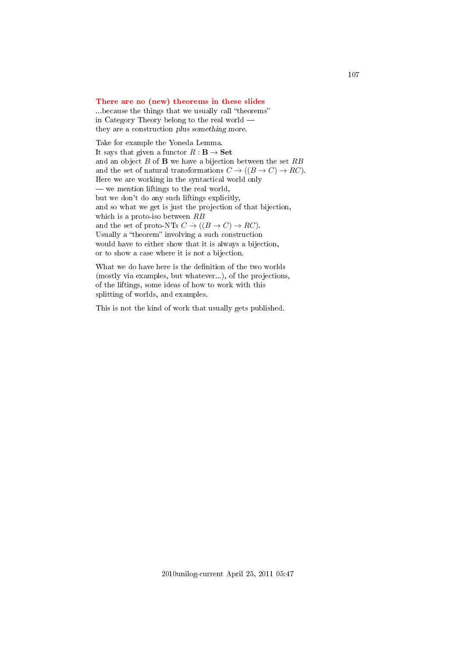#### [There are no \(new\) theorems in these slides](#page-4-11)

...because the things that we usually call "theorems" in Category Theory belong to the real world they are a construction plus something more.

Take for example the Yoneda Lemma. It says that given a functor  $R : \mathbf{B} \to \mathbf{Set}$ and an object  $B$  of  $\bf{B}$  we have a bijection between the set  $RB$ and the set of natural transformations  $C \to ((B \to C) \to RC)$ . Here we are working in the syntactical world only  $\frac{1}{x}$  we mention liftings to the real world, but we don't do any such liftings explicitly, and so what we get is just the projection of that bijection, which is a proto-iso between  $RB$ and the set of proto-NTs  $C \to ((B \to C) \to RC)$ . Usually a "theorem" involving a such construction would have to either show that it is always a bijection, or to show a case where it is not a bijection.

What we do have here is the definition of the two worlds (mostly via examples, but whatever...), of the projections, of the liftings, some ideas of how to work with this splitting of worlds, and examples.

This is not the kind of work that usually gets published.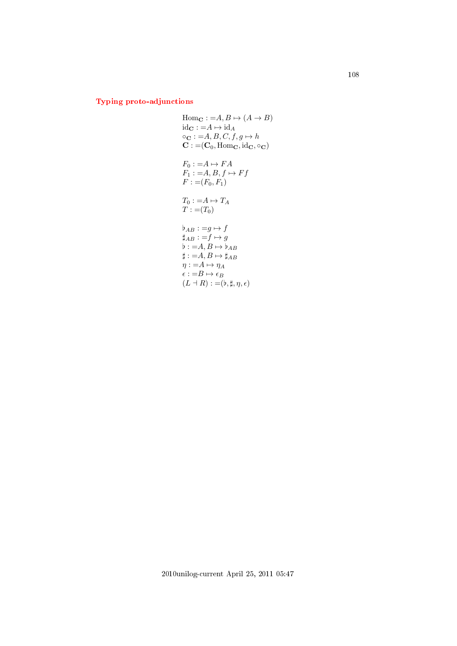# [Typing proto-adjunctions](#page-4-12)

Hom<sub>C</sub> := A, B \mapsto (A \rightarrow B)  
\nid<sub>C</sub> := A \mapsto id<sub>A</sub>  
\n
$$
\circ
$$
<sub>C</sub> := A, B, C, f, g \mapsto h  
\nC := (C<sub>0</sub>, Hom<sub>C</sub>, id<sub>C</sub>,  $\circ$ <sub>C</sub>)  
\nF<sub>0</sub> := A \mapsto FA  
\nF<sub>1</sub> := A, B, f \mapsto Ff  
\nF := (F<sub>0</sub>, F<sub>1</sub>)  
\nT<sub>0</sub> := A \mapsto T<sub>A</sub>  
\nT := (T<sub>0</sub>)  
\n $\flat$ <sub>AB</sub> := g \mapsto f  
\n $\sharp$ <sub>AB</sub> := f \mapsto g  
\n $\flat$  := A, B \mapsto \sharp<sub>AB</sub>  
\n $\sharp$  := A, B \mapsto \sharp<sub>AB</sub>  
\n $\eta$  := A \mapsto  $\eta$ <sub>A</sub>  
\n $\epsilon$  := B \mapsto \epsilon\_B  
\n(L + R) := (b, #, \eta, \epsilon)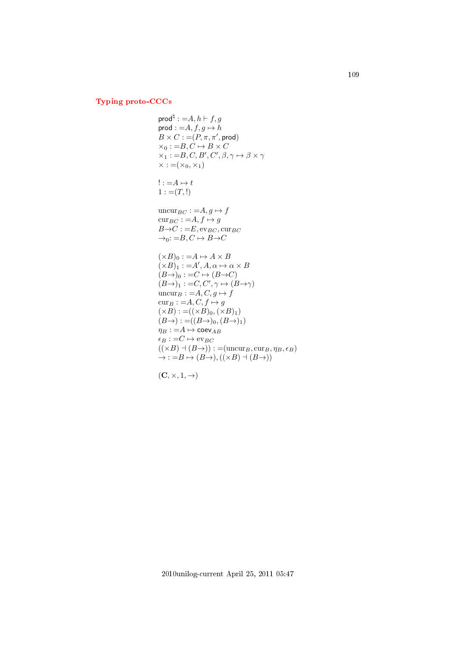## [Typing proto-CCCs](#page-4-0)

$$
prod^{\natural} := A, h \vdash f, g
$$
  
\n
$$
B \times C := (P, \pi, \pi', \text{prod})
$$
  
\n
$$
\times_0 := B, C \mapsto B \times C
$$
  
\n
$$
\times_1 := B, C, B', C', \beta, \gamma \mapsto \beta \times \gamma
$$
  
\n
$$
\times := (\times_0, \times_1)
$$
  
\n
$$
! := A \mapsto t
$$
  
\n
$$
1 := (T, !)
$$
  
\n
$$
uncur_{BC} := A, g \mapsto f
$$
  
\n
$$
cur_{BC} := A, f \mapsto g
$$
  
\n
$$
B \rightarrow C := E, ev_{BC}, cur_{BC}
$$
  
\n
$$
\rightarrow_0 := B, C \mapsto B \rightarrow C
$$
  
\n
$$
(\times B)_0 := A \mapsto A \times B
$$
  
\n
$$
(\times B)_1 := A', A, \alpha \mapsto \alpha \times B
$$
  
\n
$$
(B \rightarrow)_0 := C \mapsto (B \rightarrow C)
$$
  
\n
$$
(B \rightarrow)_1 := C, C', \gamma \mapsto (B \rightarrow \gamma)
$$
  
\n
$$
uncur_B := A, C, g \mapsto f
$$
  
\n
$$
cur_B := A, C, f \mapsto g
$$
  
\n
$$
(\times B) := ((\times B)_0, (\times B)_1)
$$
  
\n
$$
(B \rightarrow) := ((B \rightarrow)_0, (B \rightarrow)_1)
$$
  
\n
$$
\eta_B := A \mapsto coe_{AB}
$$
  
\n
$$
\epsilon_B := C \mapsto ev_{BC}
$$
  
\n
$$
((\times B) \dashv (B \rightarrow)) := (uncur_B, cur_B, \eta_B, \epsilon_B)
$$
  
\n
$$
\rightarrow := B \mapsto (B \rightarrow), ((\times B) \dashv (B \rightarrow))
$$

$$
(\mathbf{C},\times,1,\rightarrow)
$$